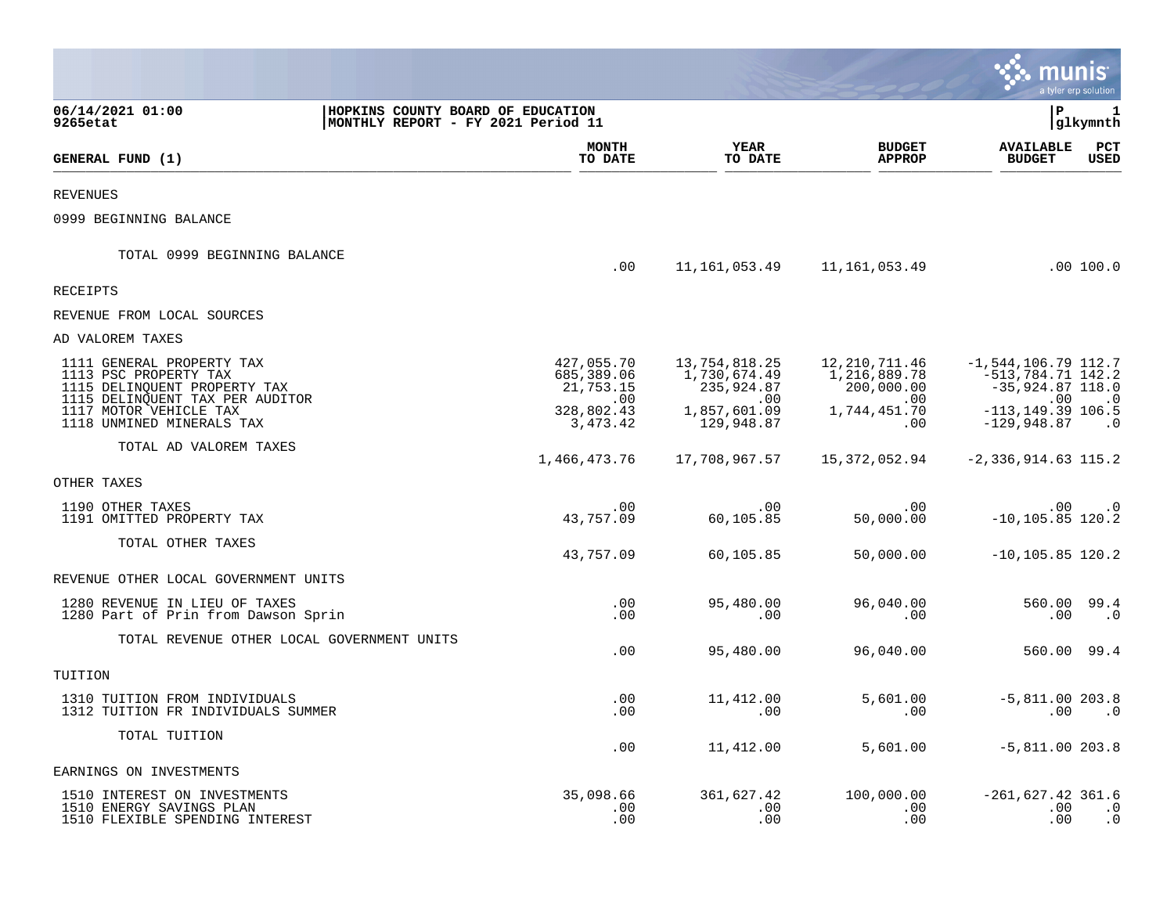|                                                                                             |                                                                         |                                       |                                             |                                               |                                                                        | a tyler erp solution        |
|---------------------------------------------------------------------------------------------|-------------------------------------------------------------------------|---------------------------------------|---------------------------------------------|-----------------------------------------------|------------------------------------------------------------------------|-----------------------------|
| 06/14/2021 01:00<br>9265etat                                                                | HOPKINS COUNTY BOARD OF EDUCATION<br>MONTHLY REPORT - FY 2021 Period 11 |                                       |                                             |                                               | ΙP                                                                     | 1<br>glkymnth               |
| GENERAL FUND (1)                                                                            |                                                                         | <b>MONTH</b><br>TO DATE               | <b>YEAR</b><br>TO DATE                      | <b>BUDGET</b><br><b>APPROP</b>                | <b>AVAILABLE</b><br><b>BUDGET</b>                                      | $_{\rm PCT}$<br><b>USED</b> |
| <b>REVENUES</b>                                                                             |                                                                         |                                       |                                             |                                               |                                                                        |                             |
| 0999 BEGINNING BALANCE                                                                      |                                                                         |                                       |                                             |                                               |                                                                        |                             |
| TOTAL 0999 BEGINNING BALANCE                                                                |                                                                         | .00                                   | 11,161,053.49                               | 11,161,053.49                                 |                                                                        | .00 100.0                   |
| <b>RECEIPTS</b>                                                                             |                                                                         |                                       |                                             |                                               |                                                                        |                             |
| REVENUE FROM LOCAL SOURCES                                                                  |                                                                         |                                       |                                             |                                               |                                                                        |                             |
| AD VALOREM TAXES                                                                            |                                                                         |                                       |                                             |                                               |                                                                        |                             |
| 1111 GENERAL PROPERTY TAX<br>1113 PSC PROPERTY TAX<br>1115 DELINQUENT PROPERTY TAX          |                                                                         | 427,055.70<br>685,389.06<br>21,753.15 | 13,754,818.25<br>1,730,674.49<br>235,924.87 | 12, 210, 711.46<br>1,216,889.78<br>200,000.00 | $-1, 544, 106.79$ 112.7<br>$-513,784.71$ $142.2$<br>$-35,924.87$ 118.0 |                             |
| 1115 DELINQUENT TAX PER AUDITOR<br>1117 MOTOR VEHICLE TAX<br>1118 UNMINED MINERALS TAX      |                                                                         | .00<br>328,802.43<br>3,473.42         | .00<br>1,857,601.09<br>129,948.87           | .00<br>1,744,451.70<br>.00                    | .00<br>$-113, 149.39$ 106.5<br>$-129,948.87$                           | $\cdot$ 0<br>$\cdot$ 0      |
| TOTAL AD VALOREM TAXES                                                                      |                                                                         | 1,466,473.76                          | 17,708,967.57                               | 15,372,052.94                                 | $-2,336,914.63$ 115.2                                                  |                             |
| OTHER TAXES                                                                                 |                                                                         |                                       |                                             |                                               |                                                                        |                             |
| 1190 OTHER TAXES<br>1191 OMITTED PROPERTY TAX                                               |                                                                         | .00<br>43,757.09                      | .00<br>60,105.85                            | .00<br>50,000.00                              | $.00 \,$<br>$-10, 105.85$ 120.2                                        | $\cdot$ 0                   |
| TOTAL OTHER TAXES                                                                           |                                                                         | 43,757.09                             | 60,105.85                                   | 50,000.00                                     | $-10, 105.85$ 120.2                                                    |                             |
| REVENUE OTHER LOCAL GOVERNMENT UNITS                                                        |                                                                         |                                       |                                             |                                               |                                                                        |                             |
| 1280 REVENUE IN LIEU OF TAXES<br>1280 Part of Prin from Dawson Sprin                        |                                                                         | .00<br>.00                            | 95,480.00<br>.00                            | 96,040.00<br>.00                              | 560.00<br>.00                                                          | 99.4<br>$\cdot$ 0           |
| TOTAL REVENUE OTHER LOCAL GOVERNMENT UNITS                                                  |                                                                         | .00                                   | 95,480.00                                   | 96,040.00                                     | 560.00 99.4                                                            |                             |
| TUITION                                                                                     |                                                                         |                                       |                                             |                                               |                                                                        |                             |
| 1310 TUITION FROM INDIVIDUALS<br>1312 TUITION FR INDIVIDUALS SUMMER                         |                                                                         | $.00 \,$<br>.00                       | 11,412.00<br>.00                            | 5,601.00<br>.00                               | $-5,811.00 203.8$<br>.00                                               | $\cdot$ 0                   |
| TOTAL TUITION                                                                               |                                                                         | .00                                   | 11,412.00                                   | 5,601.00                                      | $-5,811.00$ 203.8                                                      |                             |
| EARNINGS ON INVESTMENTS                                                                     |                                                                         |                                       |                                             |                                               |                                                                        |                             |
| 1510 INTEREST ON INVESTMENTS<br>1510 ENERGY SAVINGS PLAN<br>1510 FLEXIBLE SPENDING INTEREST |                                                                         | 35,098.66<br>.00<br>.00               | 361,627.42<br>.00<br>.00                    | 100,000.00<br>.00<br>.00                      | $-261,627.42$ 361.6<br>.00<br>.00                                      | $\cdot$ 0<br>$\cdot$ 0      |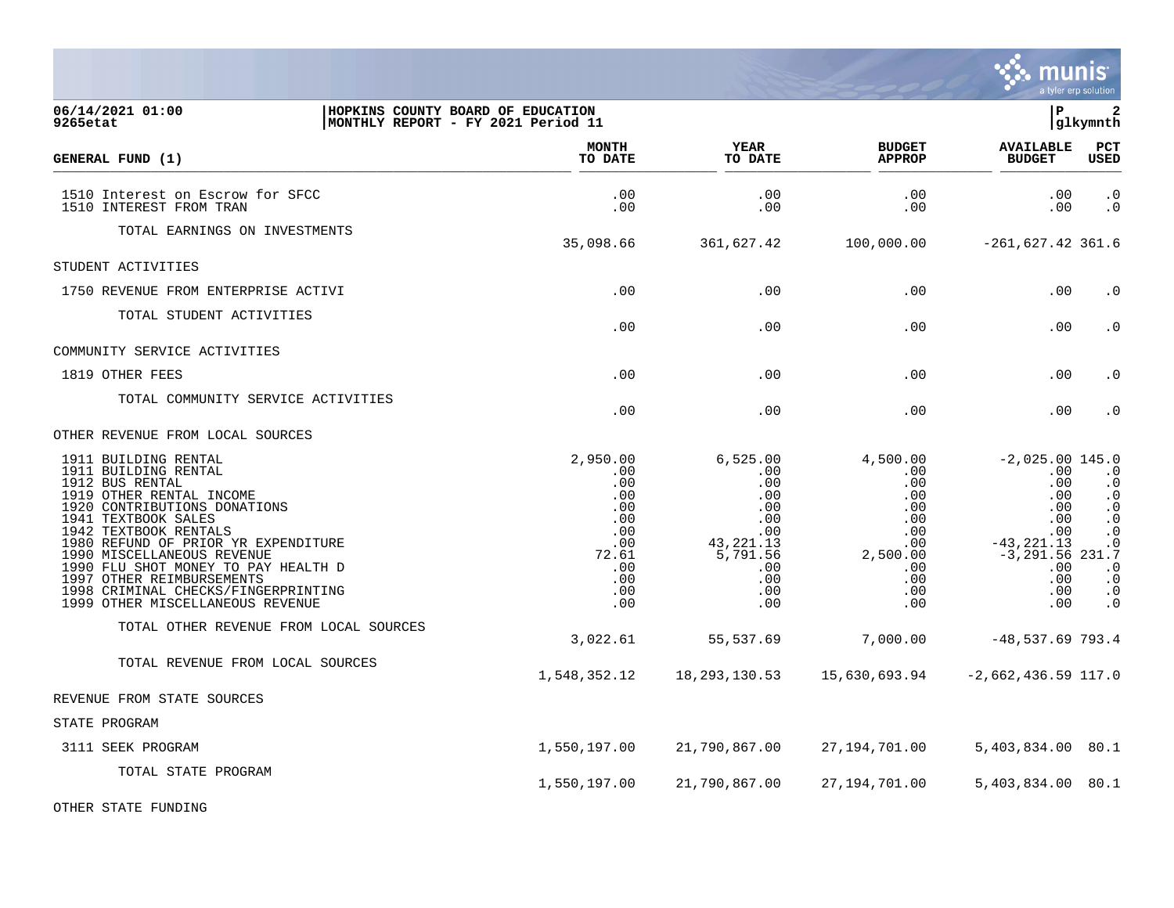|                                                                                                                                                                                                                                                                                                                                                                                                 |                                                                                                |                                                                                                                |                                                                                                        |                                                                                                                               | a tyler erp solution                                                                                                                                                   |
|-------------------------------------------------------------------------------------------------------------------------------------------------------------------------------------------------------------------------------------------------------------------------------------------------------------------------------------------------------------------------------------------------|------------------------------------------------------------------------------------------------|----------------------------------------------------------------------------------------------------------------|--------------------------------------------------------------------------------------------------------|-------------------------------------------------------------------------------------------------------------------------------|------------------------------------------------------------------------------------------------------------------------------------------------------------------------|
| 06/14/2021 01:00<br>9265etat                                                                                                                                                                                                                                                                                                                                                                    | HOPKINS COUNTY BOARD OF EDUCATION<br> MONTHLY REPORT - FY 2021 Period 11                       |                                                                                                                |                                                                                                        | lР                                                                                                                            | $\overline{2}$<br> glkymnth                                                                                                                                            |
| GENERAL FUND (1)                                                                                                                                                                                                                                                                                                                                                                                | <b>MONTH</b><br>TO DATE                                                                        | <b>YEAR</b><br>TO DATE                                                                                         | <b>BUDGET</b><br><b>APPROP</b>                                                                         | <b>AVAILABLE</b><br><b>BUDGET</b>                                                                                             | PCT<br><b>USED</b>                                                                                                                                                     |
| 1510 Interest on Escrow for SFCC<br>1510 INTEREST FROM TRAN                                                                                                                                                                                                                                                                                                                                     | .00<br>.00                                                                                     | .00<br>.00                                                                                                     | .00<br>.00                                                                                             | .00<br>.00                                                                                                                    | $\cdot$ 0<br>$\cdot$ 0                                                                                                                                                 |
| TOTAL EARNINGS ON INVESTMENTS                                                                                                                                                                                                                                                                                                                                                                   | 35,098.66                                                                                      | 361,627.42                                                                                                     | 100,000.00                                                                                             | $-261,627.42$ 361.6                                                                                                           |                                                                                                                                                                        |
| STUDENT ACTIVITIES                                                                                                                                                                                                                                                                                                                                                                              |                                                                                                |                                                                                                                |                                                                                                        |                                                                                                                               |                                                                                                                                                                        |
| 1750 REVENUE FROM ENTERPRISE ACTIVI                                                                                                                                                                                                                                                                                                                                                             | .00                                                                                            | .00                                                                                                            | .00                                                                                                    | .00                                                                                                                           | . $\boldsymbol{0}$                                                                                                                                                     |
| TOTAL STUDENT ACTIVITIES                                                                                                                                                                                                                                                                                                                                                                        | .00                                                                                            | .00                                                                                                            | .00                                                                                                    | .00                                                                                                                           | $\cdot$ 0                                                                                                                                                              |
| COMMUNITY SERVICE ACTIVITIES                                                                                                                                                                                                                                                                                                                                                                    |                                                                                                |                                                                                                                |                                                                                                        |                                                                                                                               |                                                                                                                                                                        |
| 1819 OTHER FEES                                                                                                                                                                                                                                                                                                                                                                                 | .00                                                                                            | .00                                                                                                            | .00                                                                                                    | .00                                                                                                                           | $\cdot$ 0                                                                                                                                                              |
| TOTAL COMMUNITY SERVICE ACTIVITIES                                                                                                                                                                                                                                                                                                                                                              | .00                                                                                            | .00                                                                                                            | .00                                                                                                    | .00                                                                                                                           | $\cdot$ 0                                                                                                                                                              |
| OTHER REVENUE FROM LOCAL SOURCES                                                                                                                                                                                                                                                                                                                                                                |                                                                                                |                                                                                                                |                                                                                                        |                                                                                                                               |                                                                                                                                                                        |
| 1911 BUILDING RENTAL<br>1911 BUILDING RENTAL<br>1912 BUS RENTAL<br>1919 OTHER RENTAL INCOME<br>1920 CONTRIBUTIONS DONATIONS<br>1941 TEXTBOOK SALES<br>1942 TEXTBOOK RENTALS<br>1980 REFUND OF PRIOR YR EXPENDITURE<br>1990 MISCELLANEOUS REVENUE<br>1990 FLU SHOT MONEY TO PAY HEALTH D<br>1997 OTHER REIMBURSEMENTS<br>1998 CRIMINAL CHECKS/FINGERPRINTING<br>1999 OTHER MISCELLANEOUS REVENUE | 2,950.00<br>.00<br>.00<br>.00<br>.00<br>.00<br>.00<br>.00<br>72.61<br>.00<br>.00<br>.00<br>.00 | 6,525.00<br>$.00 \,$<br>.00<br>.00<br>.00<br>.00<br>.00<br>43, 221. 13<br>5,791.56<br>.00<br>.00<br>.00<br>.00 | 4,500.00<br>.00<br>$.00 \,$<br>.00<br>.00<br>.00<br>.00<br>.00<br>2,500.00<br>.00<br>.00<br>.00<br>.00 | $-2,025.00$ 145.0<br>.00<br>.00<br>.00<br>.00<br>.00<br>.00<br>$-43, 221.13$<br>$-3,291.56$ 231.7<br>.00<br>.00<br>.00<br>.00 | $\cdot$ 0<br>$\boldsymbol{\cdot}$ 0<br>$\cdot$ 0<br>$\boldsymbol{\cdot}$ 0<br>$\cdot$ 0<br>$\ddot{0}$<br>$\cdot$ 0<br>$\cdot$ 0<br>$\cdot$ 0<br>$\cdot$ 0<br>$\cdot$ 0 |
| TOTAL OTHER REVENUE FROM LOCAL SOURCES                                                                                                                                                                                                                                                                                                                                                          | 3,022.61                                                                                       | 55,537.69                                                                                                      | 7,000.00                                                                                               | $-48,537.69$ 793.4                                                                                                            |                                                                                                                                                                        |
| TOTAL REVENUE FROM LOCAL SOURCES                                                                                                                                                                                                                                                                                                                                                                | 1,548,352.12                                                                                   | 18, 293, 130. 53 15, 630, 693. 94                                                                              |                                                                                                        | $-2,662,436.59$ 117.0                                                                                                         |                                                                                                                                                                        |
| REVENUE FROM STATE SOURCES                                                                                                                                                                                                                                                                                                                                                                      |                                                                                                |                                                                                                                |                                                                                                        |                                                                                                                               |                                                                                                                                                                        |
| STATE PROGRAM                                                                                                                                                                                                                                                                                                                                                                                   |                                                                                                |                                                                                                                |                                                                                                        |                                                                                                                               |                                                                                                                                                                        |
| 3111 SEEK PROGRAM                                                                                                                                                                                                                                                                                                                                                                               | 1,550,197.00                                                                                   | 21,790,867.00                                                                                                  | 27,194,701.00                                                                                          | 5,403,834.00 80.1                                                                                                             |                                                                                                                                                                        |
| TOTAL STATE PROGRAM                                                                                                                                                                                                                                                                                                                                                                             | 1,550,197.00                                                                                   | 21,790,867.00                                                                                                  | 27, 194, 701.00                                                                                        | 5,403,834.00 80.1                                                                                                             |                                                                                                                                                                        |

 $\ddot{\ddot{\mathbf{u}}}$  munis

OTHER STATE FUNDING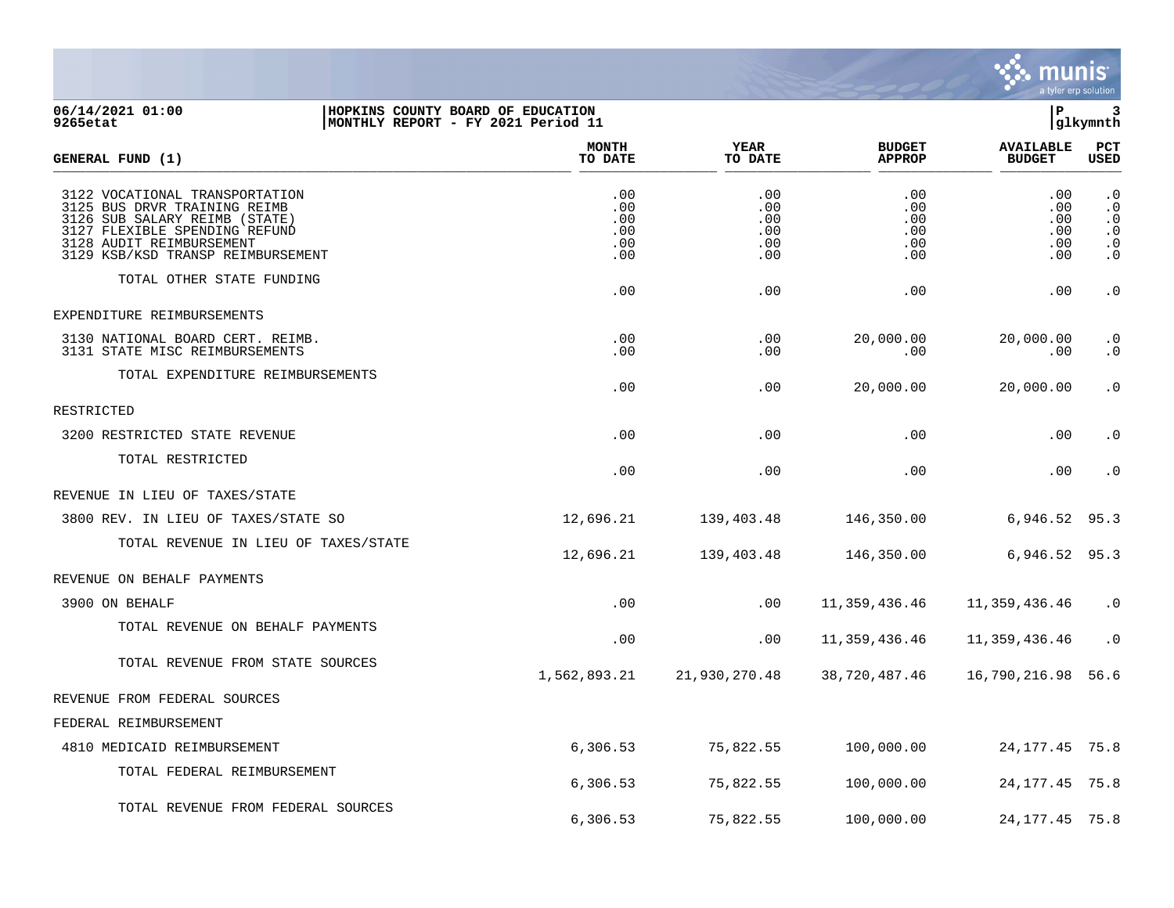

## **06/14/2021 01:00 |HOPKINS COUNTY BOARD OF EDUCATION |P 3 9265etat |MONTHLY REPORT - FY 2021 Period 11 |glkymnth**

| GENERAL FUND (1)                                                                                                                                                                                  | <b>MONTH</b><br>TO DATE                | <b>YEAR</b><br>TO DATE                 | <b>BUDGET</b><br><b>APPROP</b>         | <b>AVAILABLE</b><br><b>BUDGET</b>      | <b>PCT</b><br>USED                                                         |
|---------------------------------------------------------------------------------------------------------------------------------------------------------------------------------------------------|----------------------------------------|----------------------------------------|----------------------------------------|----------------------------------------|----------------------------------------------------------------------------|
| 3122 VOCATIONAL TRANSPORTATION<br>3125 BUS DRVR TRAINING REIMB<br>3126 SUB SALARY REIMB (STATE)<br>3127 FLEXIBLE SPENDING REFUND<br>3128 AUDIT REIMBURSEMENT<br>3129 KSB/KSD TRANSP REIMBURSEMENT | .00<br>.00<br>.00<br>.00<br>.00<br>.00 | .00<br>.00<br>.00<br>.00<br>.00<br>.00 | .00<br>.00<br>.00<br>.00<br>.00<br>.00 | .00<br>.00<br>.00<br>.00<br>.00<br>.00 | $\cdot$ 0<br>$\cdot$ 0<br>$\cdot$ 0<br>$\cdot$ 0<br>$\cdot$ 0<br>$\cdot$ 0 |
| TOTAL OTHER STATE FUNDING                                                                                                                                                                         | .00                                    | .00                                    | .00                                    | .00                                    | $\cdot$ 0                                                                  |
| EXPENDITURE REIMBURSEMENTS                                                                                                                                                                        |                                        |                                        |                                        |                                        |                                                                            |
| 3130 NATIONAL BOARD CERT. REIMB.<br>3131 STATE MISC REIMBURSEMENTS                                                                                                                                | .00<br>.00                             | .00<br>.00                             | 20,000.00<br>.00                       | 20,000.00<br>.00                       | $\cdot$ 0<br>$\cdot$ 0                                                     |
| TOTAL EXPENDITURE REIMBURSEMENTS                                                                                                                                                                  | .00                                    | .00                                    | 20,000.00                              | 20,000.00                              | $\cdot$ 0                                                                  |
| RESTRICTED                                                                                                                                                                                        |                                        |                                        |                                        |                                        |                                                                            |
| 3200 RESTRICTED STATE REVENUE                                                                                                                                                                     | .00                                    | .00                                    | .00                                    | .00                                    | $\cdot$ 0                                                                  |
| TOTAL RESTRICTED                                                                                                                                                                                  | .00                                    | .00                                    | .00                                    | .00                                    | $\cdot$ 0                                                                  |
| REVENUE IN LIEU OF TAXES/STATE                                                                                                                                                                    |                                        |                                        |                                        |                                        |                                                                            |
| 3800 REV. IN LIEU OF TAXES/STATE SO                                                                                                                                                               | 12,696.21                              | 139,403.48                             | 146,350.00                             | 6,946.52                               | 95.3                                                                       |
| TOTAL REVENUE IN LIEU OF TAXES/STATE                                                                                                                                                              | 12,696.21                              | 139,403.48                             | 146,350.00                             | 6,946.52                               | 95.3                                                                       |
| REVENUE ON BEHALF PAYMENTS                                                                                                                                                                        |                                        |                                        |                                        |                                        |                                                                            |
| 3900 ON BEHALF                                                                                                                                                                                    | .00                                    | .00                                    | 11, 359, 436.46                        | 11,359,436.46                          | $\cdot$ 0                                                                  |
| TOTAL REVENUE ON BEHALF PAYMENTS                                                                                                                                                                  | .00                                    | .00                                    | 11,359,436.46                          | 11, 359, 436.46                        | $\cdot$ 0                                                                  |
| TOTAL REVENUE FROM STATE SOURCES                                                                                                                                                                  | 1,562,893.21                           | 21,930,270.48                          | 38,720,487.46                          | 16,790,216.98                          | 56.6                                                                       |
| REVENUE FROM FEDERAL SOURCES                                                                                                                                                                      |                                        |                                        |                                        |                                        |                                                                            |
| FEDERAL REIMBURSEMENT                                                                                                                                                                             |                                        |                                        |                                        |                                        |                                                                            |
| 4810 MEDICAID REIMBURSEMENT                                                                                                                                                                       | 6,306.53                               | 75,822.55                              | 100,000.00                             | 24, 177. 45 75.8                       |                                                                            |
| TOTAL FEDERAL REIMBURSEMENT                                                                                                                                                                       | 6,306.53                               | 75,822.55                              | 100,000.00                             | 24, 177. 45 75.8                       |                                                                            |
| TOTAL REVENUE FROM FEDERAL SOURCES                                                                                                                                                                | 6,306.53                               | 75,822.55                              | 100,000.00                             | 24, 177. 45 75. 8                      |                                                                            |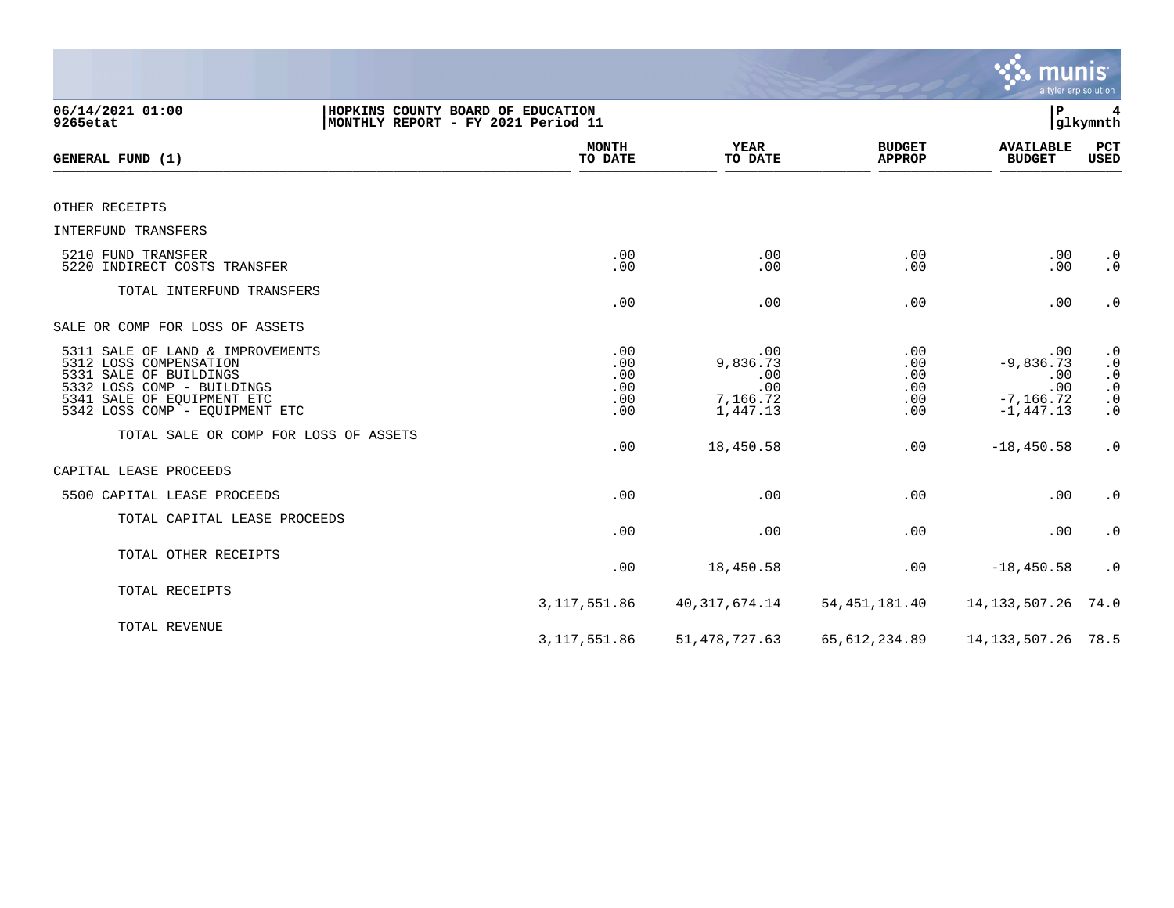|                                                                                                                                                                                    |                                        |                                                       |                                        | <b>munis</b><br>a tyler erp solution                             |                                                                                                               |
|------------------------------------------------------------------------------------------------------------------------------------------------------------------------------------|----------------------------------------|-------------------------------------------------------|----------------------------------------|------------------------------------------------------------------|---------------------------------------------------------------------------------------------------------------|
| 06/14/2021 01:00<br>HOPKINS COUNTY BOARD OF EDUCATION<br>9265etat                                                                                                                  | MONTHLY REPORT - FY 2021 Period 11     |                                                       |                                        | P                                                                | 4<br> glkymnth                                                                                                |
| GENERAL FUND (1)                                                                                                                                                                   | <b>MONTH</b><br>TO DATE                | <b>YEAR</b><br>TO DATE                                | <b>BUDGET</b><br><b>APPROP</b>         | <b>AVAILABLE</b><br><b>BUDGET</b>                                | PCT<br><b>USED</b>                                                                                            |
| OTHER RECEIPTS                                                                                                                                                                     |                                        |                                                       |                                        |                                                                  |                                                                                                               |
| <b>INTERFUND TRANSFERS</b>                                                                                                                                                         |                                        |                                                       |                                        |                                                                  |                                                                                                               |
| 5210 FUND TRANSFER<br>5220 INDIRECT COSTS TRANSFER                                                                                                                                 | .00<br>.00                             | .00<br>.00                                            | .00<br>.00                             | .00<br>.00                                                       | $\begin{smallmatrix} 0.1 \\ 0.1 \end{smallmatrix}$                                                            |
| TOTAL INTERFUND TRANSFERS                                                                                                                                                          | .00                                    | .00                                                   | .00                                    | .00                                                              | $\boldsymbol{\cdot}$ 0                                                                                        |
| SALE OR COMP FOR LOSS OF ASSETS                                                                                                                                                    |                                        |                                                       |                                        |                                                                  |                                                                                                               |
| 5311 SALE OF LAND & IMPROVEMENTS<br>5312 LOSS COMPENSATION<br>5331 SALE OF BUILDINGS<br>5332 LOSS COMP - BUILDINGS<br>5341 SALE OF EQUIPMENT ETC<br>5342 LOSS COMP - EQUIPMENT ETC | .00<br>.00<br>.00<br>.00<br>.00<br>.00 | .00<br>9,836.73<br>.00<br>.00<br>7,166.72<br>1,447.13 | .00<br>.00<br>.00<br>.00<br>.00<br>.00 | .00<br>$-9,836.73$<br>.00<br>.00<br>$-7, 166.72$<br>$-1, 447.13$ | $\begin{smallmatrix} 0.1 \\ 0.1 \end{smallmatrix}$<br>$\begin{array}{c} 0.0 \\ 0.0 \\ 0.0 \\ 0.0 \end{array}$ |
| TOTAL SALE OR COMP FOR LOSS OF ASSETS                                                                                                                                              | .00                                    | 18,450.58                                             | .00                                    | $-18, 450.58$                                                    | $\cdot$ 0                                                                                                     |
| CAPITAL LEASE PROCEEDS                                                                                                                                                             |                                        |                                                       |                                        |                                                                  |                                                                                                               |
| 5500 CAPITAL LEASE PROCEEDS                                                                                                                                                        | .00                                    | .00                                                   | .00                                    | .00                                                              | $\cdot$ 0                                                                                                     |
| TOTAL CAPITAL LEASE PROCEEDS                                                                                                                                                       | .00                                    | .00                                                   | .00                                    | .00                                                              | $\cdot$ 0                                                                                                     |
| TOTAL OTHER RECEIPTS                                                                                                                                                               | .00                                    | 18,450.58                                             | .00                                    | $-18, 450.58$                                                    | $\cdot$ 0                                                                                                     |
| TOTAL RECEIPTS                                                                                                                                                                     | 3, 117, 551.86                         | 40, 317, 674. 14                                      | 54, 451, 181.40                        | 14, 133, 507. 26                                                 | 74.0                                                                                                          |
| TOTAL REVENUE                                                                                                                                                                      | 3, 117, 551.86                         | 51, 478, 727.63                                       | 65, 612, 234.89                        | 14, 133, 507. 26 78. 5                                           |                                                                                                               |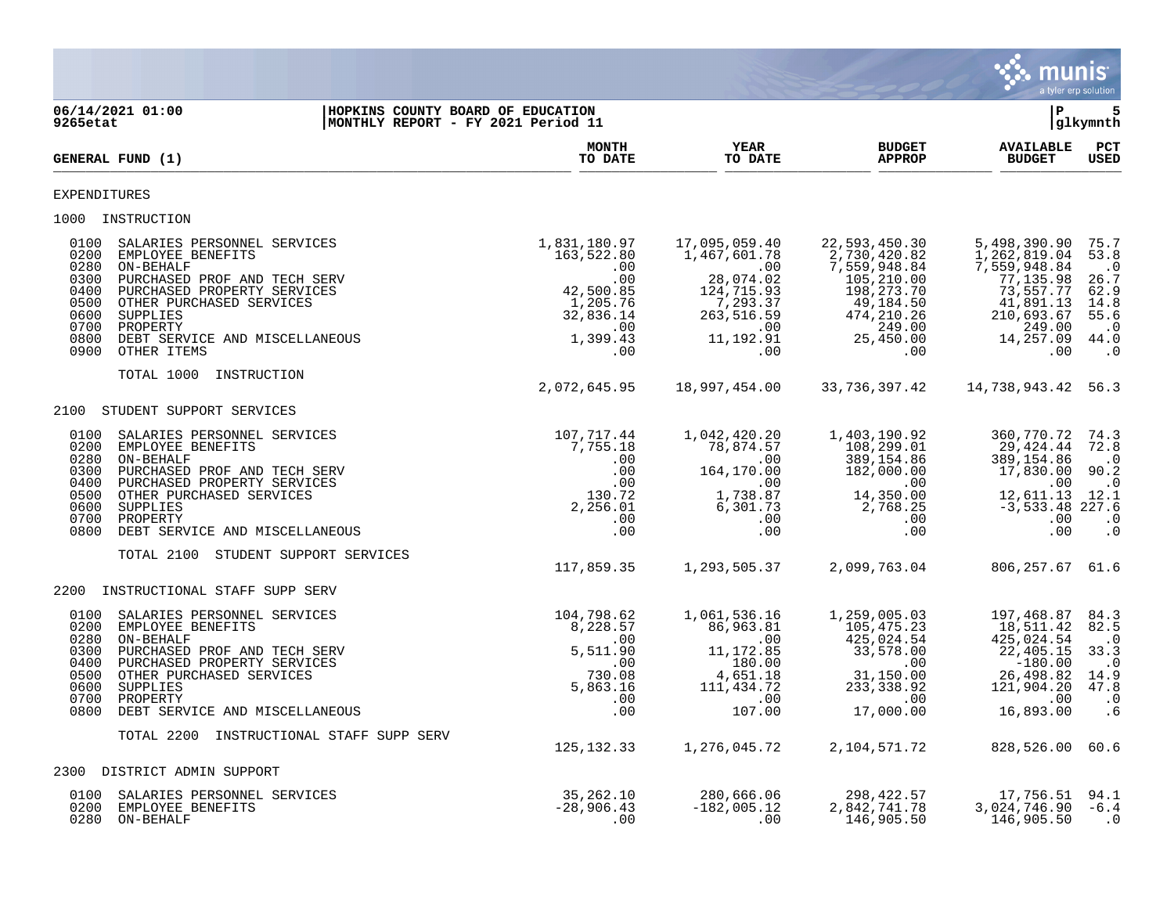

| 06/14/2021 01:00<br>9265etat                                                 | HOPKINS COUNTY BOARD OF EDUCATION<br>MONTHLY REPORT - FY 2021 Period 11                                                                                                                                                           |                                                                                                          |                                                                                                                      |                                                                                                                                      | l P                                                                                                                             | 5<br> glkymnth                                                                              |
|------------------------------------------------------------------------------|-----------------------------------------------------------------------------------------------------------------------------------------------------------------------------------------------------------------------------------|----------------------------------------------------------------------------------------------------------|----------------------------------------------------------------------------------------------------------------------|--------------------------------------------------------------------------------------------------------------------------------------|---------------------------------------------------------------------------------------------------------------------------------|---------------------------------------------------------------------------------------------|
| GENERAL FUND (1)                                                             |                                                                                                                                                                                                                                   | <b>MONTH</b><br>TO DATE                                                                                  | YEAR<br>TO DATE                                                                                                      | <b>BUDGET</b><br><b>APPROP</b>                                                                                                       | <b>AVAILABLE</b><br><b>BUDGET</b>                                                                                               | $_{\rm PCT}$<br><b>USED</b>                                                                 |
| EXPENDITURES                                                                 |                                                                                                                                                                                                                                   |                                                                                                          |                                                                                                                      |                                                                                                                                      |                                                                                                                                 |                                                                                             |
| 1000 INSTRUCTION                                                             |                                                                                                                                                                                                                                   |                                                                                                          |                                                                                                                      |                                                                                                                                      |                                                                                                                                 |                                                                                             |
| 0100<br>0200<br>0280<br>0300<br>0400<br>0500<br>0600<br>0700<br>0800<br>0900 | SALARIES PERSONNEL SERVICES<br>EMPLOYEE BENEFITS<br>ON-BEHALF<br>PURCHASED PROF AND TECH SERV<br>PURCHASED PROPERTY SERVICES<br>OTHER PURCHASED SERVICES<br>SUPPLIES<br>PROPERTY<br>DEBT SERVICE AND MISCELLANEOUS<br>OTHER ITEMS | 1,831,180.97<br>163,522.80<br>.00<br>.00<br>42,500.85<br>1,205.76<br>32,836.14<br>.00<br>1,399.43<br>.00 | 17,095,059.40<br>1,467,601.78<br>.00<br>28,074.02<br>124,715.93<br>7,293.37<br>263,516.59<br>.00<br>11,192.91<br>.00 | 22,593,450.30<br>2,730,420.82<br>7,559,948.84<br>105,210.00<br>198, 273.70<br>49,184.50<br>474, 210.26<br>249.00<br>25,450.00<br>.00 | 5,498,390.90<br>1,262,819.04<br>7,559,948.84<br>77,135.98<br>73,557.77<br>41,891.13<br>210,693.67<br>249.00<br>14,257.09<br>.00 | 75.7<br>53.8<br>$\cdot$ 0<br>26.7<br>62.9<br>14.8<br>55.6<br>$\cdot$ 0<br>44.0<br>$\cdot$ 0 |
|                                                                              | TOTAL 1000<br>INSTRUCTION                                                                                                                                                                                                         |                                                                                                          |                                                                                                                      |                                                                                                                                      |                                                                                                                                 |                                                                                             |
|                                                                              | 2100 STUDENT SUPPORT SERVICES                                                                                                                                                                                                     | 2,072,645.95                                                                                             | 18,997,454.00                                                                                                        | 33,736,397.42                                                                                                                        | 14,738,943.42 56.3                                                                                                              |                                                                                             |
| 0100<br>0200<br>0280<br>0300<br>0400<br>0500<br>0600<br>0700<br>0800         | SALARIES PERSONNEL SERVICES<br>EMPLOYEE BENEFITS<br>ON-BEHALF<br>PURCHASED PROF AND TECH SERV<br>PURCHASED PROPERTY SERVICES<br>OTHER PURCHASED SERVICES<br>SUPPLIES<br>PROPERTY<br>DEBT SERVICE AND MISCELLANEOUS                | 107,717.44<br>7,755.18<br>.00<br>.00<br>.00<br>130.72<br>2,256.01<br>.00<br>.00                          | 1,042,420.20<br>78,874.57<br>.00<br>164,170.00<br>.00<br>1,738.87<br>6,301.73<br>$.00 \,$<br>.00                     | 1,403,190.92<br>108,299.01<br>389, 154.86<br>182,000.00<br>.00<br>14,350.00<br>2,768.25<br>$.00 \,$<br>.00                           | 360,770.72<br>29,424.44<br>389,154.86<br>17,830.00<br>.00<br>12,611.13<br>$-3,533.48$ 227.6<br>.00<br>.00                       | 74.3<br>72.8<br>$\cdot$ 0<br>90.2<br>$\cdot$ . 0<br>12.1<br>$\cdot$ 0<br>$\cdot$ 0          |
|                                                                              | TOTAL 2100<br>STUDENT SUPPORT SERVICES                                                                                                                                                                                            | 117,859.35                                                                                               | 1,293,505.37                                                                                                         | 2,099,763.04                                                                                                                         | 806,257.67                                                                                                                      | 61.6                                                                                        |
| 2200                                                                         | INSTRUCTIONAL STAFF SUPP SERV                                                                                                                                                                                                     |                                                                                                          |                                                                                                                      |                                                                                                                                      |                                                                                                                                 |                                                                                             |
| 0100<br>0200<br>0280<br>0300<br>0400<br>0500<br>0600<br>0700<br>0800         | SALARIES PERSONNEL SERVICES<br>EMPLOYEE BENEFITS<br>ON-BEHALF<br>PURCHASED PROF AND TECH SERV<br>PURCHASED PROPERTY SERVICES<br>OTHER PURCHASED SERVICES<br>SUPPLIES<br>PROPERTY<br>DEBT SERVICE AND MISCELLANEOUS                | 104,798.62<br>8,228.57<br>.00<br>5,511.90<br>.00<br>730.08<br>5,863.16<br>.00<br>.00                     | 1,061,536.16<br>86,963.81<br>.00<br>11, 172.85<br>180.00<br>4,651.18<br>111,434.72<br>.00<br>107.00                  | 1,259,005.03<br>105,475.23<br>425,024.54<br>33,578.00<br>$.00 \,$<br>31,150.00<br>233, 338.92<br>.00<br>17,000.00                    | 197,468.87<br>18,511.42<br>425,024.54<br>22,405.15<br>$-180.00$<br>26,498.82<br>121,904.20<br>.00<br>16,893.00                  | 84.3<br>82.5<br>$\cdot$ 0<br>33.3<br>$\cdot$ 0<br>14.9<br>47.8<br>$\cdot$ 0<br>.6           |
|                                                                              | TOTAL 2200<br>INSTRUCTIONAL STAFF SUPP SERV                                                                                                                                                                                       |                                                                                                          |                                                                                                                      |                                                                                                                                      |                                                                                                                                 |                                                                                             |
|                                                                              | 2300 DISTRICT ADMIN SUPPORT                                                                                                                                                                                                       | 125, 132. 33                                                                                             | 1,276,045.72                                                                                                         | 2,104,571.72                                                                                                                         | 828,526.00                                                                                                                      | 60.6                                                                                        |
| 0100<br>0200<br>0280                                                         | SALARIES PERSONNEL SERVICES<br>EMPLOYEE BENEFITS<br>ON-BEHALF                                                                                                                                                                     | 35, 262. 10<br>$-28,906.43$<br>.00                                                                       | 280,666.06<br>$-182,005.12$<br>.00                                                                                   | 298, 422.57<br>2,842,741.78<br>146,905.50                                                                                            | 17,756.51<br>3,024,746.90<br>146,905.50                                                                                         | 94.1<br>$-6.4$<br>$\cdot$ 0                                                                 |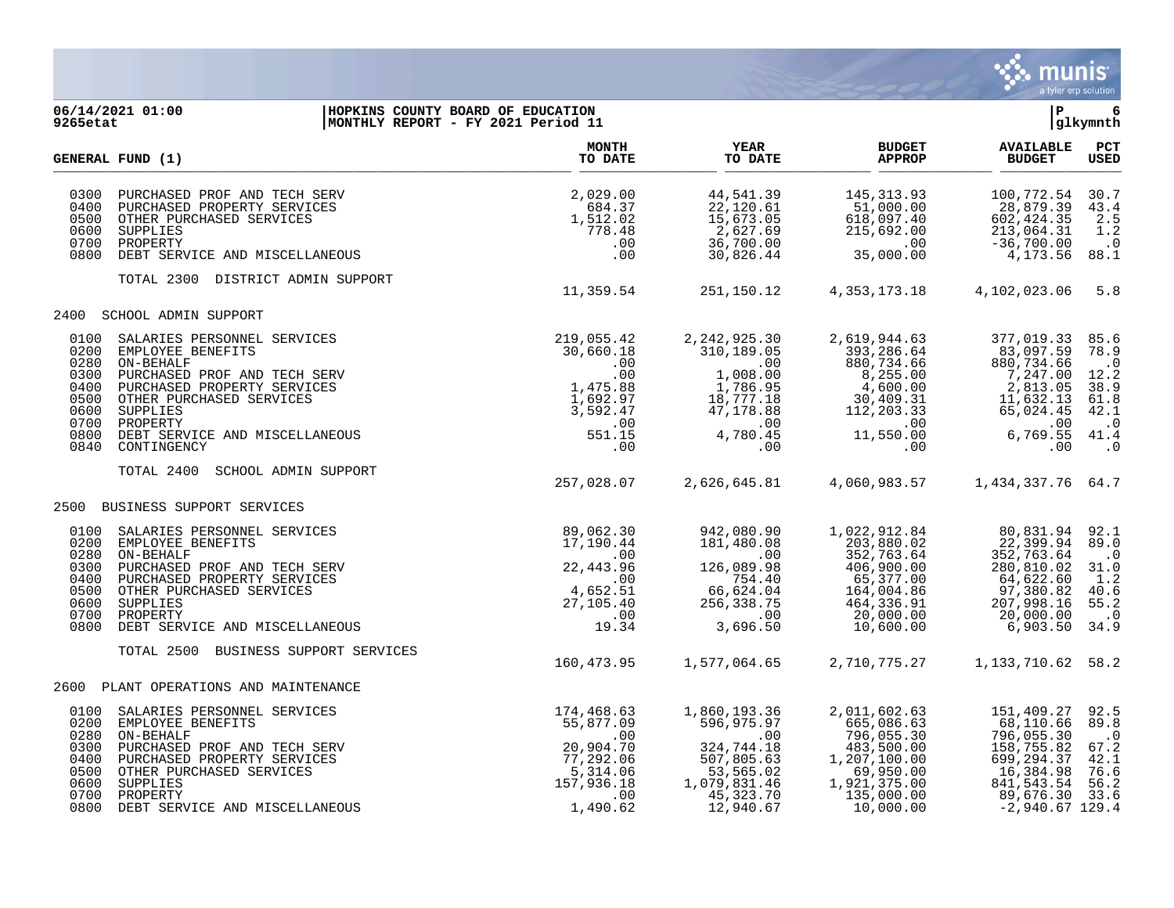

## **06/14/2021 01:00 |HOPKINS COUNTY BOARD OF EDUCATION |P 6 9265etat |MONTHLY REPORT - FY 2021 Period 11 |glkymnth**

|                                      | GENERAL FUND (1)                                                                                                                                                                                                                                           | <b>MONTH</b><br>TO DATE                                                                               | <b>YEAR</b><br>TO DATE                                                                                                          | <b>BUDGET</b><br><b>APPROP</b>                                                                                                 | <b>AVAILABLE</b><br><b>BUDGET</b>                                                                                                   | PCT<br><b>USED</b>                                                                          |
|--------------------------------------|------------------------------------------------------------------------------------------------------------------------------------------------------------------------------------------------------------------------------------------------------------|-------------------------------------------------------------------------------------------------------|---------------------------------------------------------------------------------------------------------------------------------|--------------------------------------------------------------------------------------------------------------------------------|-------------------------------------------------------------------------------------------------------------------------------------|---------------------------------------------------------------------------------------------|
| 0300<br>0400<br>0700<br>0800         | PURCHASED PROF AND TECH SERV<br>PURCHASED PROPERTY SERVICES<br>0500 OTHER PURCHASED SERVICES<br>0600 SUPPLIES<br>PROPERTY<br>DEBT SERVICE AND MISCELLANEOUS                                                                                                | 2,029.00<br>684.37<br>1,512.02<br>778.48<br>.00<br>.00                                                | 44,541.39<br>22,120.61<br>15,673.05<br>2,627.69<br>36,700.00<br>30,826.44                                                       | 145, 313.93<br>51,000.00<br>618,097.40<br>215,692.00<br>.00<br>35,000.00                                                       | 100,772.54<br>28,879.39<br>602, 424.35<br>213,064.31<br>$-36,700.00$<br>4,173.56                                                    | 30.7<br>43.4<br>2.5<br>1.2<br>$\cdot$ 0<br>88.1                                             |
|                                      | TOTAL 2300 DISTRICT ADMIN SUPPORT                                                                                                                                                                                                                          | 11,359.54                                                                                             | 251,150.12                                                                                                                      | 4,353,173.18                                                                                                                   | 4,102,023.06                                                                                                                        | 5.8                                                                                         |
|                                      | 2400 SCHOOL ADMIN SUPPORT                                                                                                                                                                                                                                  |                                                                                                       |                                                                                                                                 |                                                                                                                                |                                                                                                                                     |                                                                                             |
| 0100<br>0200<br>0280<br>0300<br>0400 | SALARIES PERSONNEL SERVICES<br>EMPLOYEE BENEFITS<br>ON-BEHALF<br>PURCHASED PROF AND TECH SERV<br>PURCHASED PROPERTY SERVICES<br>0500 OTHER PURCHASED SERVICES<br>0600 SUPPLIES<br>0700 PROPERTY<br>0800 DEBT SERVICE AND MISCELLANEOUS<br>0840 CONTINGENCY | 219,055.42<br>30,660.18<br>.00<br>.00<br>1,475.88<br>1,692.97<br>3,592.47<br>.00<br>551.15<br>.00     | 2, 242, 925.30<br>310,189.05<br>.00<br>1,008.00<br>1,786.95<br>18,777.18<br>47,178.88<br>.00<br>4,780.45<br>.00                 | 2,619,944.63<br>393,286.64<br>880,734.66<br>8,255.00<br>4,600.00<br>30,409.31<br>112,203.33<br>.00<br>11,550.00<br>$.00 \,$    | 377,019.33<br>83,097.59<br>880,734.66<br>7,247.00<br>2,813.05<br>11,632.13<br>65,024.45<br>.00<br>6,769.55<br>.00                   | 85.6<br>78.9<br>$\cdot$ 0<br>12.2<br>38.9<br>61.8<br>42.1<br>$\cdot$ 0<br>41.4<br>$\cdot$ 0 |
|                                      | TOTAL 2400<br>SCHOOL ADMIN SUPPORT                                                                                                                                                                                                                         | 257,028.07                                                                                            | 2,626,645.81                                                                                                                    | 4,060,983.57                                                                                                                   | 1,434,337.76 64.7                                                                                                                   |                                                                                             |
|                                      | 2500 BUSINESS SUPPORT SERVICES                                                                                                                                                                                                                             |                                                                                                       |                                                                                                                                 |                                                                                                                                |                                                                                                                                     |                                                                                             |
| 0280<br>0300                         | 0100 SALARIES PERSONNEL SERVICES<br>0200 EMPLOYEE BENEFITS<br>ON-BEHALF<br>PURCHASED PROF AND TECH SERV<br>0400 PURCHASED PROPERTY SERVICES<br>0500 OTHER PURCHASED SERVICES<br>0600 SUPPLIES<br>0700 PROPERTY<br>0800 DEBT SERVICE AND MISCELLANEOUS      | 89,062.30<br>17,190.44<br>.00<br>22, 443.96<br>.00<br>4,652.51<br>27,105.40<br>.00<br>19.34           | 942,080.90<br>181.480.08<br>181,480.08<br>$\sim 00$<br>126,089.98<br>754.40<br>66,624.04<br>256,338.75<br>$\sim 00$<br>3,696.50 | 1,022,912.84<br>203,880.02<br>352,763.64<br>406,900.00<br>65,377.00<br>164,004.86<br>464,336.91<br>20,000.00<br>10,600.00      | 80,831.94 92.1<br>22,399.94<br>352,763.64<br>280,810.02<br>64,622.60<br>97,380.82<br>207,998.16<br>20,000.00<br>6,903.50            | 89.0<br>$\cdot$ 0<br>31.0<br>1.2<br>40.6<br>55.2<br>$\ddots$<br>34.9                        |
|                                      | TOTAL 2500 BUSINESS SUPPORT SERVICES                                                                                                                                                                                                                       | 160,473.95                                                                                            | 1,577,064.65                                                                                                                    | 2,710,775.27                                                                                                                   | 1, 133, 710.62 58.2                                                                                                                 |                                                                                             |
|                                      | 2600 PLANT OPERATIONS AND MAINTENANCE                                                                                                                                                                                                                      |                                                                                                       |                                                                                                                                 |                                                                                                                                |                                                                                                                                     |                                                                                             |
| 0280<br>0300                         | 0100 SALARIES PERSONNEL SERVICES<br>0200 EMPLOYEE BENEFITS<br>ON-BEHALF<br>PURCHASED PROF AND TECH SERV<br>0400 PURCHASED PROPERTY SERVICES<br>0500 OTHER PURCHASED SERVICES<br>0600 SUPPLIES<br>0700 PROPERTY<br>0800 DEBT SERVICE AND MISCELLANEOUS      | 174,468.63<br>55,877.09<br>.00<br>20,904.70<br>77,292.06<br>5,314.06<br>157,936.18<br>.00<br>1,490.62 | 1,860,193.36<br>596,975.97<br>$\sim 00$<br>324,744.18<br>507,805.63<br>53,565.02<br>1,079,831.46<br>45,323.70<br>12,940.67      | 2,011,602.63<br>665,086.63<br>796,055.30<br>483,500.00<br>1,207,100.00<br>69,950.00<br>1,921,375.00<br>135,000.00<br>10,000.00 | 151,409.27 92.5<br>68,110.66<br>796,055.30<br>158,755.82<br>699,294.37<br>16,384.98<br>841,543.54<br>89,676.30<br>$-2,940.67$ 129.4 | 89.8<br>$\ldots$ <sup>0</sup><br>67.2<br>42.1<br>76.6<br>56.2<br>33.6                       |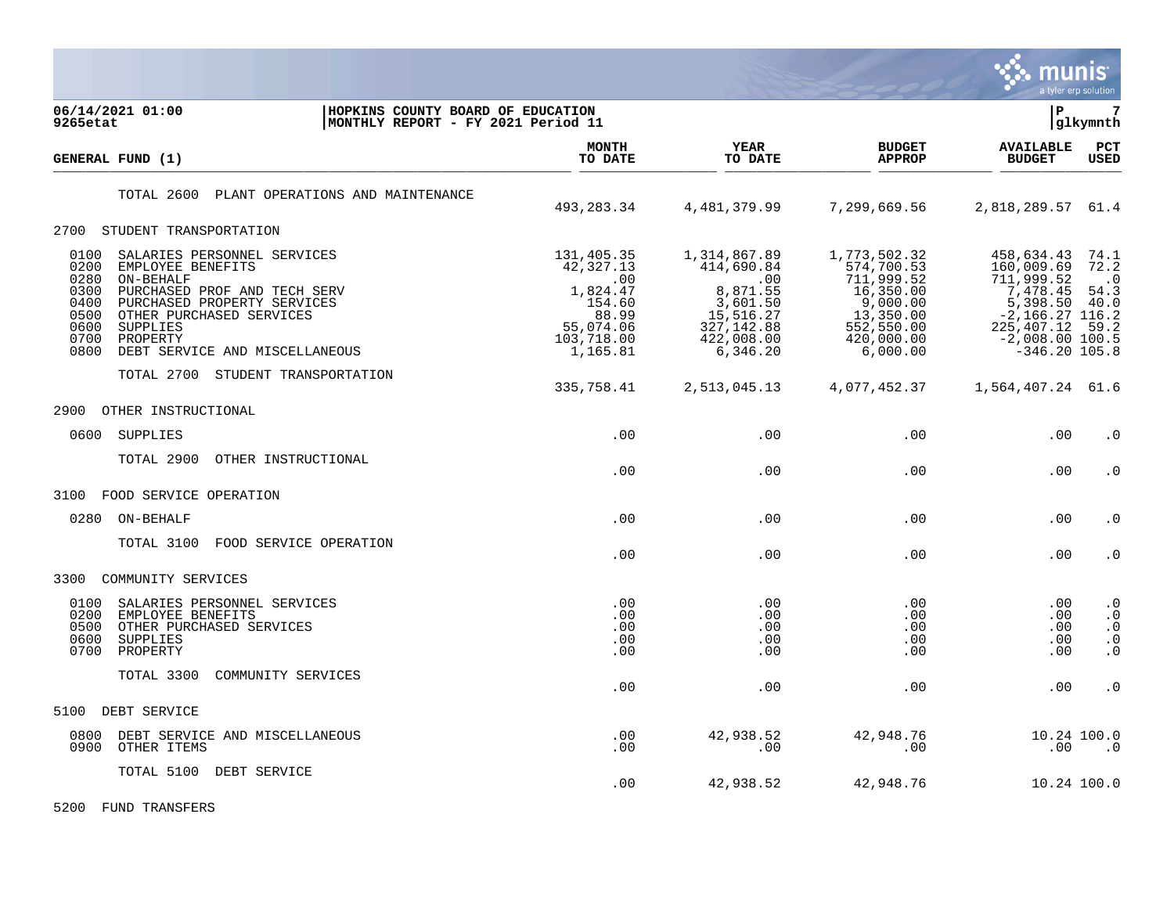

| 06/14/2021 01:00<br>HOPKINS COUNTY BOARD OF EDUCATION<br>MONTHLY REPORT - FY 2021 Period 11<br>9265etat                                                                                                                                                                                                                            |                                                                                                      |                                                                                                                 |                                                                                                                        | lР                                                                                                                                          | 7<br> glkymnth                                                             |
|------------------------------------------------------------------------------------------------------------------------------------------------------------------------------------------------------------------------------------------------------------------------------------------------------------------------------------|------------------------------------------------------------------------------------------------------|-----------------------------------------------------------------------------------------------------------------|------------------------------------------------------------------------------------------------------------------------|---------------------------------------------------------------------------------------------------------------------------------------------|----------------------------------------------------------------------------|
| GENERAL FUND (1)                                                                                                                                                                                                                                                                                                                   | <b>MONTH</b><br>TO DATE                                                                              | <b>YEAR</b><br>TO DATE                                                                                          | <b>BUDGET</b><br><b>APPROP</b>                                                                                         | <b>AVAILABLE</b><br><b>BUDGET</b>                                                                                                           | PCT<br><b>USED</b>                                                         |
| TOTAL 2600<br>PLANT OPERATIONS AND MAINTENANCE                                                                                                                                                                                                                                                                                     | 493, 283. 34                                                                                         | 4,481,379.99                                                                                                    | 7,299,669.56                                                                                                           | 2,818,289.57 61.4                                                                                                                           |                                                                            |
| 2700 STUDENT TRANSPORTATION                                                                                                                                                                                                                                                                                                        |                                                                                                      |                                                                                                                 |                                                                                                                        |                                                                                                                                             |                                                                            |
| 0100<br>SALARIES PERSONNEL SERVICES<br>0200<br>EMPLOYEE BENEFITS<br>0280<br>ON-BEHALF<br>0300<br>PURCHASED PROF AND TECH SERV<br>0400<br>PURCHASED PROPERTY SERVICES<br>0500<br>OTHER PURCHASED SERVICES<br>0600<br>SUPPLIES<br>0700<br>PROPERTY<br>0800<br>DEBT SERVICE AND MISCELLANEOUS<br>TOTAL 2700<br>STUDENT TRANSPORTATION | 131,405.35<br>42,327.13<br>.00<br>1,824.47<br>154.60<br>88.99<br>55,074.06<br>103,718.00<br>1,165.81 | 1,314,867.89<br>414,690.84<br>.00<br>8,871.55<br>3,601.50<br>15,516.27<br>327, 142.88<br>422,008.00<br>6,346.20 | 1,773,502.32<br>574,700.53<br>711,999.52<br>16,350.00<br>9,000.00<br>13,350.00<br>552,550.00<br>420,000.00<br>6,000.00 | 458,634.43<br>160,009.69<br>711,999.52<br>7,478.45<br>5,398.50<br>$-2, 166.27$ 116.2<br>225, 407.12<br>$-2,008.00 100.5$<br>$-346.20$ 105.8 | 74.1<br>72.2<br>$\cdot$ 0<br>54.3<br>40.0<br>59.2                          |
|                                                                                                                                                                                                                                                                                                                                    | 335,758.41                                                                                           | 2,513,045.13                                                                                                    | 4,077,452.37                                                                                                           | 1,564,407.24 61.6                                                                                                                           |                                                                            |
| 2900<br>OTHER INSTRUCTIONAL                                                                                                                                                                                                                                                                                                        |                                                                                                      |                                                                                                                 |                                                                                                                        |                                                                                                                                             |                                                                            |
| SUPPLIES<br>0600                                                                                                                                                                                                                                                                                                                   | .00                                                                                                  | .00                                                                                                             | .00                                                                                                                    | .00                                                                                                                                         | $\cdot$ 0                                                                  |
| TOTAL 2900<br>OTHER INSTRUCTIONAL                                                                                                                                                                                                                                                                                                  | .00                                                                                                  | .00                                                                                                             | .00                                                                                                                    | .00                                                                                                                                         | $\cdot$ 0                                                                  |
| FOOD SERVICE OPERATION<br>3100                                                                                                                                                                                                                                                                                                     |                                                                                                      |                                                                                                                 |                                                                                                                        |                                                                                                                                             |                                                                            |
| 0280<br>ON-BEHALF                                                                                                                                                                                                                                                                                                                  | .00                                                                                                  | .00                                                                                                             | .00                                                                                                                    | .00                                                                                                                                         | $\cdot$ 0                                                                  |
| TOTAL 3100<br>FOOD SERVICE OPERATION                                                                                                                                                                                                                                                                                               | .00                                                                                                  | .00                                                                                                             | .00                                                                                                                    | .00                                                                                                                                         | $\cdot$ 0                                                                  |
| 3300<br>COMMUNITY SERVICES                                                                                                                                                                                                                                                                                                         |                                                                                                      |                                                                                                                 |                                                                                                                        |                                                                                                                                             |                                                                            |
| 0100<br>SALARIES PERSONNEL SERVICES<br>0200<br>EMPLOYEE BENEFITS<br>0500<br>OTHER PURCHASED SERVICES<br>0600<br>SUPPLIES<br>0700<br>PROPERTY                                                                                                                                                                                       | .00<br>.00<br>.00<br>.00<br>.00                                                                      | .00<br>.00<br>.00<br>.00<br>.00                                                                                 | .00<br>.00<br>.00<br>.00<br>.00                                                                                        | .00<br>.00<br>.00<br>.00<br>.00                                                                                                             | $\cdot$ 0<br>$\boldsymbol{\cdot}$ 0<br>$\cdot$ 0<br>$\cdot$ 0<br>$\cdot$ 0 |
| TOTAL 3300<br>COMMUNITY SERVICES                                                                                                                                                                                                                                                                                                   | .00                                                                                                  | .00                                                                                                             | .00                                                                                                                    | .00                                                                                                                                         | $\cdot$ 0                                                                  |
| 5100<br>DEBT SERVICE                                                                                                                                                                                                                                                                                                               |                                                                                                      |                                                                                                                 |                                                                                                                        |                                                                                                                                             |                                                                            |
| 0800<br>DEBT SERVICE AND MISCELLANEOUS<br>0900<br>OTHER ITEMS                                                                                                                                                                                                                                                                      | .00<br>.00                                                                                           | 42,938.52<br>.00                                                                                                | 42,948.76<br>.00                                                                                                       | .00                                                                                                                                         | 10.24 100.0<br>$\cdot$ 0                                                   |
| DEBT SERVICE<br>TOTAL 5100                                                                                                                                                                                                                                                                                                         | .00                                                                                                  | 42,938.52                                                                                                       | 42,948.76                                                                                                              |                                                                                                                                             | 10.24 100.0                                                                |

5200 FUND TRANSFERS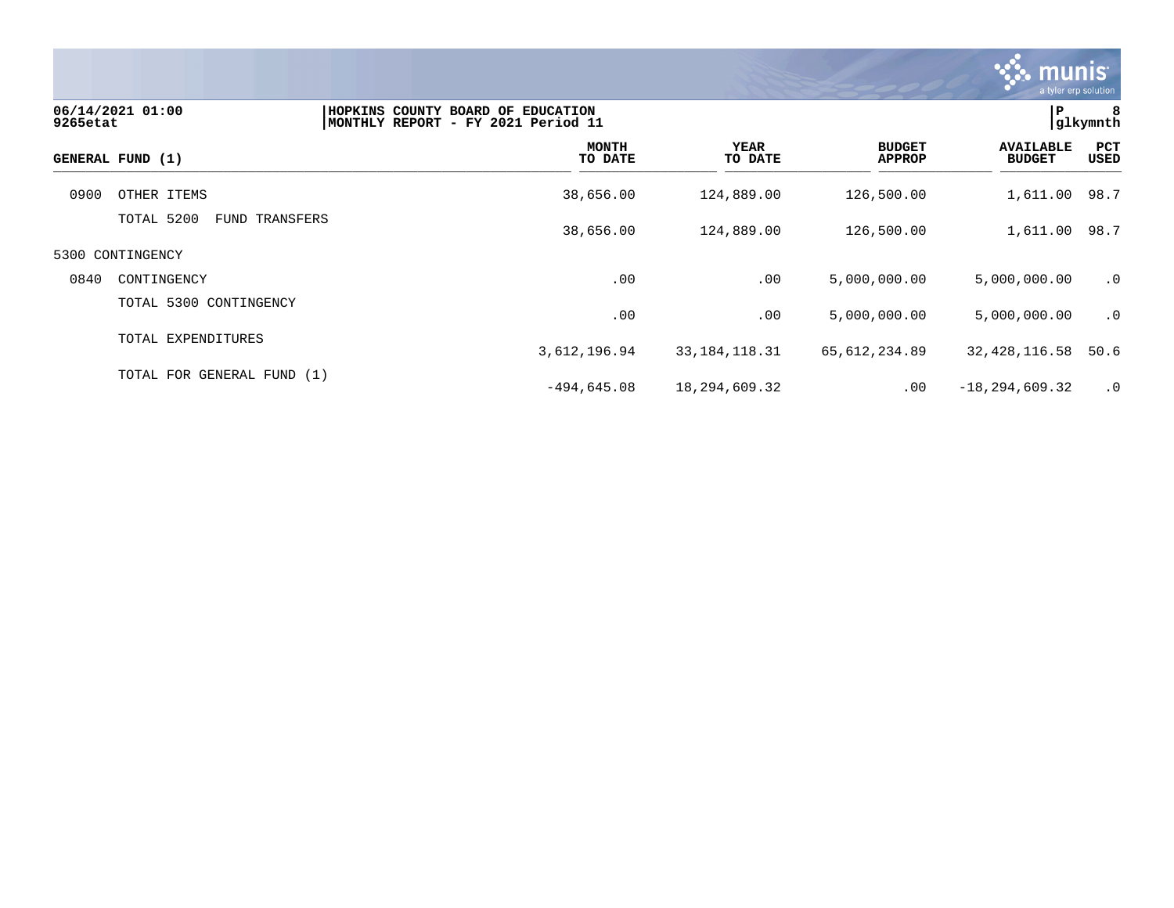

| 9265etat | 06/14/2021 01:00                | HOPKINS COUNTY BOARD OF EDUCATION<br> MONTHLY REPORT - FY 2021 Period 11 |                        |                                | P                                 | 8<br> glkymnth |
|----------|---------------------------------|--------------------------------------------------------------------------|------------------------|--------------------------------|-----------------------------------|----------------|
|          | GENERAL FUND (1)                | <b>MONTH</b><br>TO DATE                                                  | <b>YEAR</b><br>TO DATE | <b>BUDGET</b><br><b>APPROP</b> | <b>AVAILABLE</b><br><b>BUDGET</b> | PCT<br>USED    |
| 0900     | OTHER ITEMS                     | 38,656.00                                                                | 124,889.00             | 126,500.00                     | 1,611.00 98.7                     |                |
|          | TOTAL 5200<br>TRANSFERS<br>FUND | 38,656.00                                                                | 124,889.00             | 126,500.00                     | 1,611.00 98.7                     |                |
|          | 5300 CONTINGENCY                |                                                                          |                        |                                |                                   |                |
| 0840     | CONTINGENCY                     | .00                                                                      | .00                    | 5,000,000.00                   | 5,000,000.00                      | $\cdot$ 0      |
|          | TOTAL 5300 CONTINGENCY          | .00                                                                      | .00                    | 5,000,000.00                   | 5,000,000.00                      | $\cdot$ 0      |
|          | TOTAL EXPENDITURES              | 3,612,196.94                                                             | 33, 184, 118. 31       | 65,612,234.89                  | 32, 428, 116.58                   | 50.6           |
|          | TOTAL FOR GENERAL FUND (1)      | $-494,645.08$                                                            | 18,294,609.32          | .00                            | $-18, 294, 609.32$                | $\cdot$ 0      |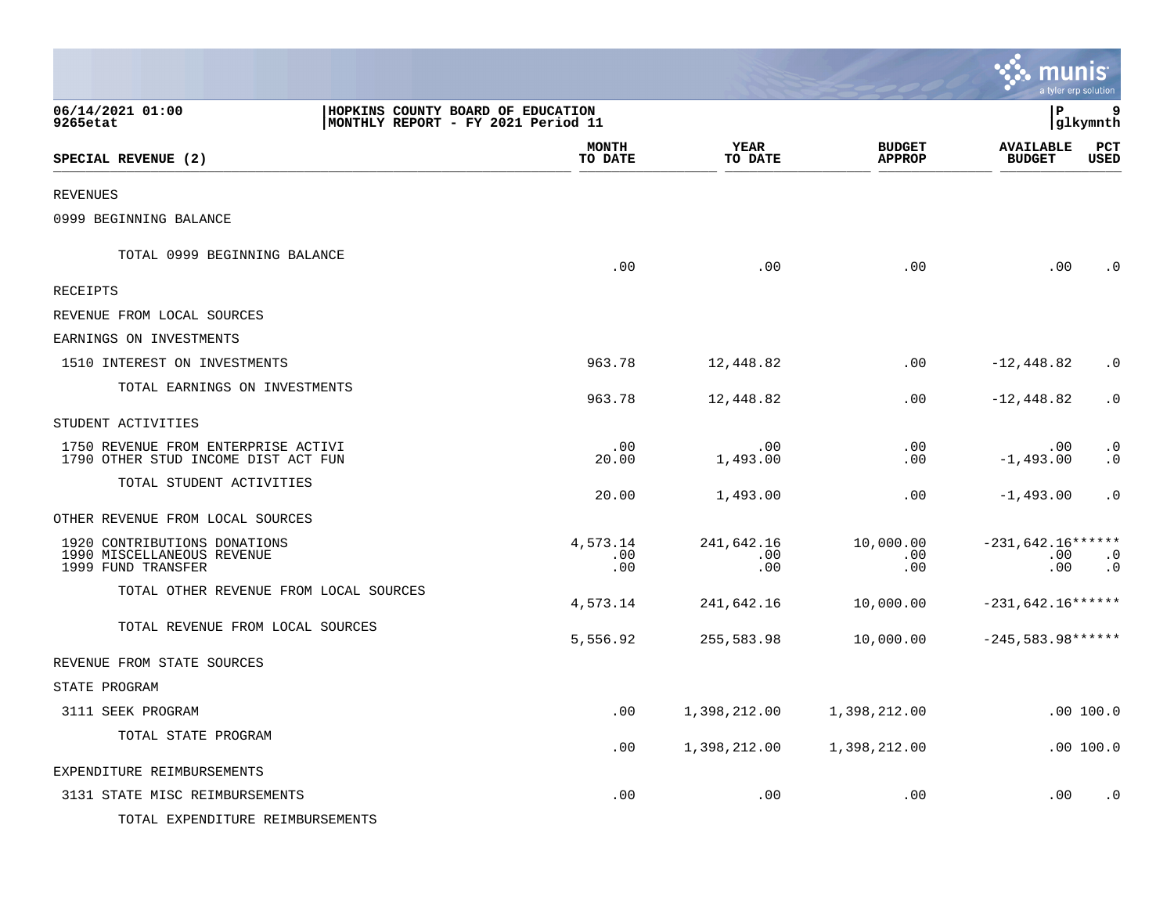|                                                                                                         |                         |                          |                                | munis<br>a tyler erp solution     |                        |
|---------------------------------------------------------------------------------------------------------|-------------------------|--------------------------|--------------------------------|-----------------------------------|------------------------|
| 06/14/2021 01:00<br>HOPKINS COUNTY BOARD OF EDUCATION<br>9265etat<br>MONTHLY REPORT - FY 2021 Period 11 |                         |                          |                                | l P                               | 9<br> glkymnth         |
| SPECIAL REVENUE (2)                                                                                     | <b>MONTH</b><br>TO DATE | <b>YEAR</b><br>TO DATE   | <b>BUDGET</b><br><b>APPROP</b> | <b>AVAILABLE</b><br><b>BUDGET</b> | PCT<br><b>USED</b>     |
| <b>REVENUES</b>                                                                                         |                         |                          |                                |                                   |                        |
| 0999 BEGINNING BALANCE                                                                                  |                         |                          |                                |                                   |                        |
| TOTAL 0999 BEGINNING BALANCE                                                                            | .00                     | .00                      | .00                            | .00                               | $\cdot$ 0              |
| RECEIPTS                                                                                                |                         |                          |                                |                                   |                        |
| REVENUE FROM LOCAL SOURCES                                                                              |                         |                          |                                |                                   |                        |
| EARNINGS ON INVESTMENTS                                                                                 |                         |                          |                                |                                   |                        |
| 1510 INTEREST ON INVESTMENTS                                                                            | 963.78                  | 12,448.82                | .00                            | $-12,448.82$                      | $\cdot$ 0              |
| TOTAL EARNINGS ON INVESTMENTS                                                                           | 963.78                  | 12,448.82                | .00                            | $-12,448.82$                      | $\cdot$ 0              |
| STUDENT ACTIVITIES                                                                                      |                         |                          |                                |                                   |                        |
| 1750 REVENUE FROM ENTERPRISE ACTIVI<br>1790 OTHER STUD INCOME DIST ACT FUN                              | .00<br>20.00            | .00<br>1,493.00          | .00<br>.00                     | .00<br>$-1,493.00$                | $\cdot$ 0<br>$\cdot$ 0 |
| TOTAL STUDENT ACTIVITIES                                                                                | 20.00                   | 1,493.00                 | .00                            | $-1,493.00$                       | $\cdot$ 0              |
| OTHER REVENUE FROM LOCAL SOURCES                                                                        |                         |                          |                                |                                   |                        |
| 1920 CONTRIBUTIONS DONATIONS<br>1990 MISCELLANEOUS REVENUE<br>1999 FUND TRANSFER                        | 4,573.14<br>.00<br>.00  | 241,642.16<br>.00<br>.00 | 10,000.00<br>.00<br>.00        | $-231,642.16*****$<br>.00<br>.00  | $\cdot$ 0<br>$\cdot$ 0 |
| TOTAL OTHER REVENUE FROM LOCAL SOURCES                                                                  | 4,573.14                | 241,642.16               | 10,000.00                      | $-231,642.16******$               |                        |
| TOTAL REVENUE FROM LOCAL SOURCES                                                                        | 5,556.92                | 255,583.98               | 10,000.00                      | $-245,583.98*****$                |                        |
| REVENUE FROM STATE SOURCES                                                                              |                         |                          |                                |                                   |                        |
| STATE PROGRAM                                                                                           |                         |                          |                                |                                   |                        |
| 3111 SEEK PROGRAM                                                                                       | .00                     | 1,398,212.00             | 1,398,212.00                   |                                   | .00 100.0              |
| TOTAL STATE PROGRAM                                                                                     | .00                     | 1,398,212.00             | 1,398,212.00                   |                                   | .00 100.0              |
| EXPENDITURE REIMBURSEMENTS                                                                              |                         |                          |                                |                                   |                        |
| 3131 STATE MISC REIMBURSEMENTS                                                                          | .00                     | .00                      | .00                            | .00                               | $\cdot$ 0              |
| TOTAL EXPENDITURE REIMBURSEMENTS                                                                        |                         |                          |                                |                                   |                        |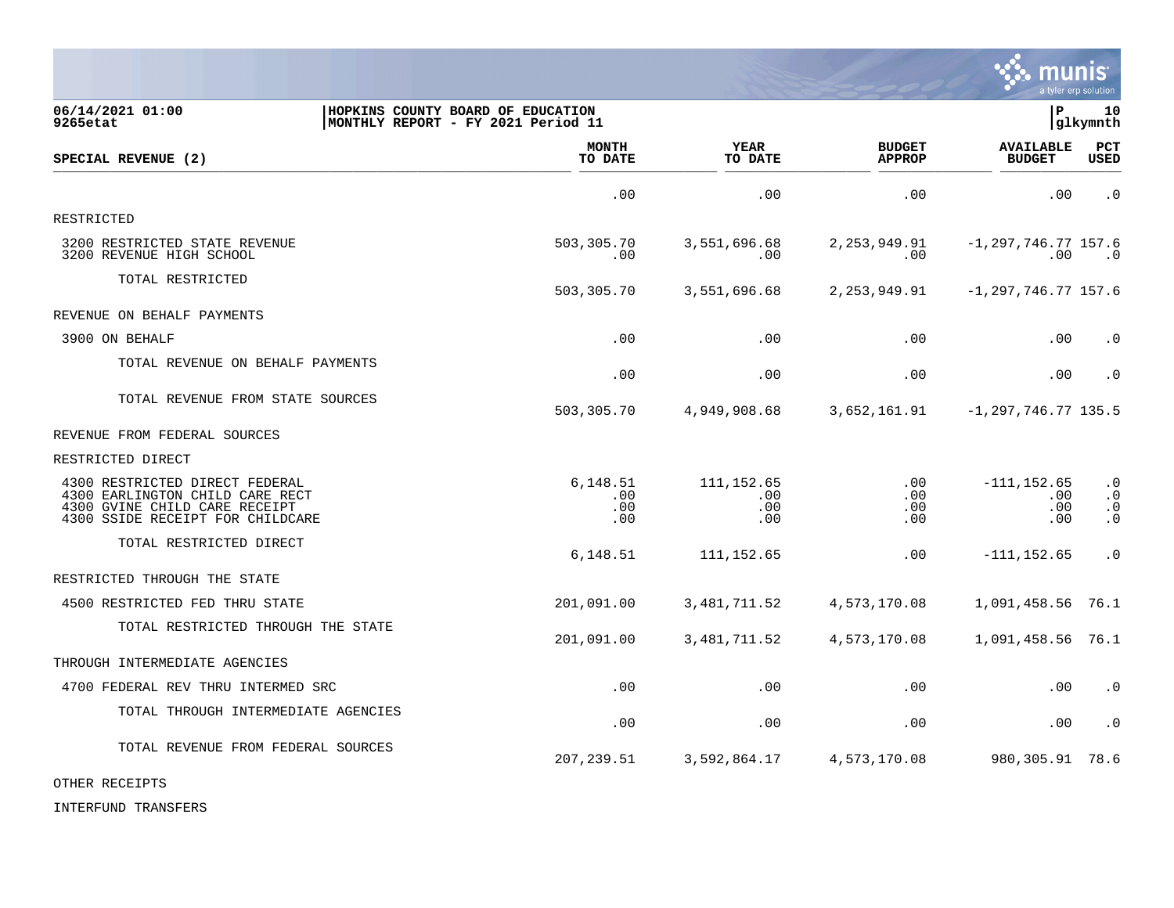

| 06/14/2021 01:00<br>9265etat                                                                                                           | HOPKINS COUNTY BOARD OF EDUCATION<br> MONTHLY REPORT - FY 2021 Period 11 |                                  |                                | ∣P                                  | 10<br> glkymnth                                  |
|----------------------------------------------------------------------------------------------------------------------------------------|--------------------------------------------------------------------------|----------------------------------|--------------------------------|-------------------------------------|--------------------------------------------------|
| SPECIAL REVENUE (2)                                                                                                                    | <b>MONTH</b><br>TO DATE                                                  | <b>YEAR</b><br>TO DATE           | <b>BUDGET</b><br><b>APPROP</b> | <b>AVAILABLE</b><br><b>BUDGET</b>   | <b>PCT</b><br><b>USED</b>                        |
|                                                                                                                                        | .00                                                                      | .00                              | .00                            | .00                                 | $\cdot$ 0                                        |
| RESTRICTED                                                                                                                             |                                                                          |                                  |                                |                                     |                                                  |
| 3200 RESTRICTED STATE REVENUE<br>3200 REVENUE HIGH SCHOOL                                                                              | 503,305.70<br>.00                                                        | 3,551,696.68<br>.00              | 2,253,949.91<br>.00            | $-1, 297, 746, 77, 157.6$<br>.00    | $\overline{\phantom{0}}$ .0                      |
| TOTAL RESTRICTED                                                                                                                       | 503,305.70                                                               | 3,551,696.68                     | 2, 253, 949.91                 | $-1, 297, 746.77$ 157.6             |                                                  |
| REVENUE ON BEHALF PAYMENTS                                                                                                             |                                                                          |                                  |                                |                                     |                                                  |
| 3900 ON BEHALF                                                                                                                         | .00                                                                      | .00                              | .00                            | .00                                 | $\cdot$ 0                                        |
| TOTAL REVENUE ON BEHALF PAYMENTS                                                                                                       | .00                                                                      | .00                              | .00                            | .00                                 | $\cdot$ 0                                        |
| TOTAL REVENUE FROM STATE SOURCES                                                                                                       | 503,305.70                                                               | 4,949,908.68                     | 3,652,161.91                   | $-1, 297, 746, 77$ 135.5            |                                                  |
| REVENUE FROM FEDERAL SOURCES                                                                                                           |                                                                          |                                  |                                |                                     |                                                  |
| RESTRICTED DIRECT                                                                                                                      |                                                                          |                                  |                                |                                     |                                                  |
| 4300 RESTRICTED DIRECT FEDERAL<br>4300 EARLINGTON CHILD CARE RECT<br>4300 GVINE CHILD CARE RECEIPT<br>4300 SSIDE RECEIPT FOR CHILDCARE | 6,148.51<br>$.00 \,$<br>.00<br>.00                                       | 111, 152.65<br>.00<br>.00<br>.00 | .00<br>.00<br>.00<br>.00       | $-111, 152.65$<br>.00<br>.00<br>.00 | $\cdot$ 0<br>$\cdot$ 0<br>$\cdot$ 0<br>$\cdot$ 0 |
| TOTAL RESTRICTED DIRECT                                                                                                                | 6,148.51                                                                 | 111, 152.65                      | .00                            | $-111, 152.65$                      | $\cdot$ 0                                        |
| RESTRICTED THROUGH THE STATE                                                                                                           |                                                                          |                                  |                                |                                     |                                                  |
| 4500 RESTRICTED FED THRU STATE                                                                                                         | 201,091.00                                                               | 3, 481, 711.52                   | 4,573,170.08                   | 1,091,458.56                        | 76.1                                             |
| TOTAL RESTRICTED THROUGH THE STATE                                                                                                     | 201,091.00                                                               | 3, 481, 711.52                   | 4,573,170.08                   | 1,091,458.56 76.1                   |                                                  |
| THROUGH INTERMEDIATE AGENCIES                                                                                                          |                                                                          |                                  |                                |                                     |                                                  |
| 4700 FEDERAL REV THRU INTERMED SRC                                                                                                     | .00                                                                      | .00                              | .00                            | .00                                 | $\cdot$ 0                                        |
| TOTAL THROUGH INTERMEDIATE AGENCIES                                                                                                    | .00                                                                      | .00                              | .00                            | .00                                 | $\cdot$ 0                                        |
| TOTAL REVENUE FROM FEDERAL SOURCES                                                                                                     | 207, 239.51                                                              | 3,592,864.17                     | 4,573,170.08                   | 980, 305. 91 78. 6                  |                                                  |

OTHER RECEIPTS

INTERFUND TRANSFERS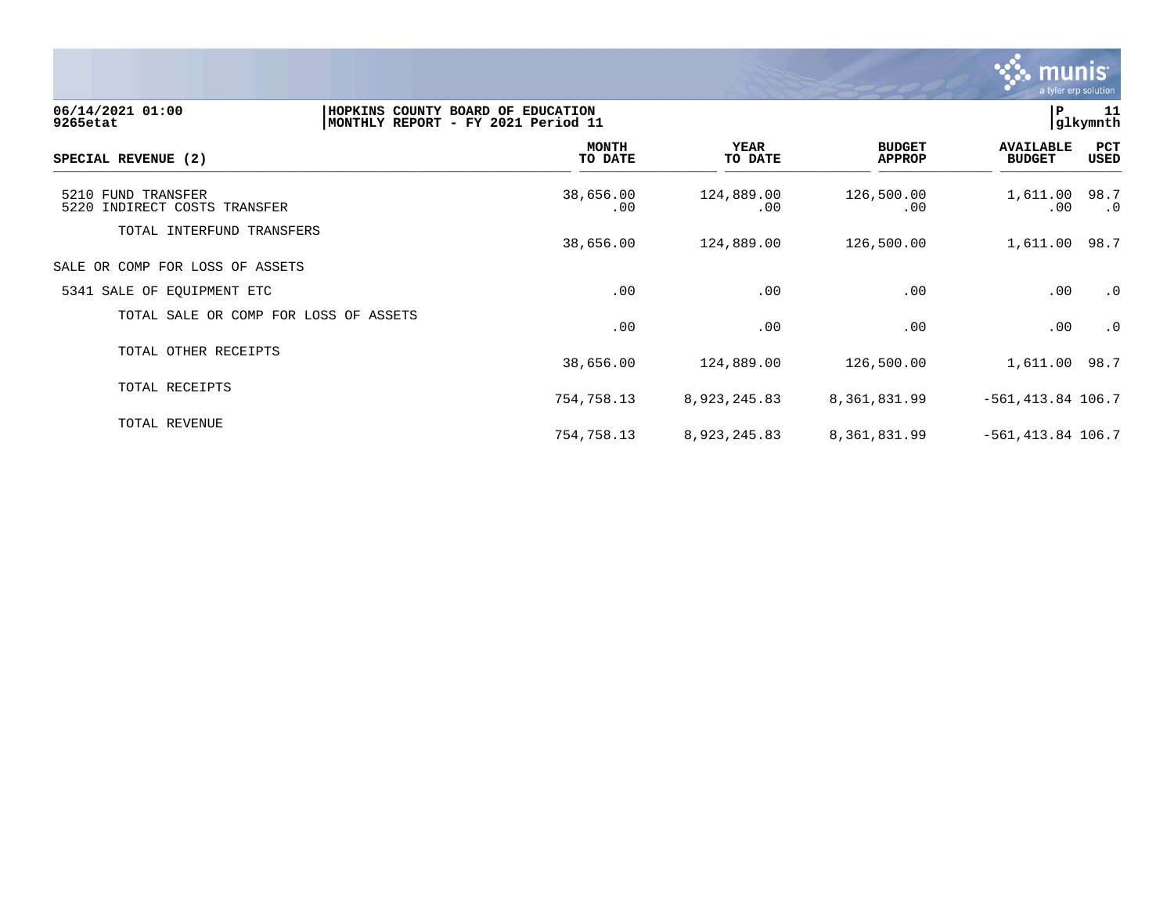

| 06/14/2021 01:00<br>9265etat                       | HOPKINS COUNTY BOARD OF EDUCATION<br>MONTHLY REPORT - FY 2021 Period 11 |                        |                                | í₽.                               | 11<br>glkymnth |
|----------------------------------------------------|-------------------------------------------------------------------------|------------------------|--------------------------------|-----------------------------------|----------------|
| SPECIAL REVENUE (2)                                | <b>MONTH</b><br>TO DATE                                                 | <b>YEAR</b><br>TO DATE | <b>BUDGET</b><br><b>APPROP</b> | <b>AVAILABLE</b><br><b>BUDGET</b> | PCT<br>USED    |
| 5210 FUND TRANSFER<br>5220 INDIRECT COSTS TRANSFER | 38,656.00<br>.00                                                        | 124,889.00<br>.00      | 126,500.00<br>.00              | 1,611.00 98.7<br>$.00 \,$         | $\cdot$ 0      |
| TOTAL INTERFUND TRANSFERS                          | 38,656.00                                                               | 124,889.00             | 126,500.00                     | 1,611.00 98.7                     |                |
| SALE OR COMP FOR LOSS OF ASSETS                    |                                                                         |                        |                                |                                   |                |
| 5341 SALE OF EQUIPMENT ETC                         | .00                                                                     | .00                    | .00                            | .00                               | $\cdot$ 0      |
| TOTAL SALE OR COMP FOR LOSS OF ASSETS              | .00                                                                     | .00                    | .00                            | .00                               | $\cdot$ 0      |
| TOTAL OTHER RECEIPTS                               | 38,656.00                                                               | 124,889.00             | 126,500.00                     | 1,611.00 98.7                     |                |
| TOTAL RECEIPTS                                     | 754,758.13                                                              | 8,923,245.83           | 8,361,831.99                   | $-561, 413.84$ 106.7              |                |
| TOTAL REVENUE                                      | 754,758.13                                                              | 8,923,245.83           | 8,361,831.99                   | $-561, 413.84$ 106.7              |                |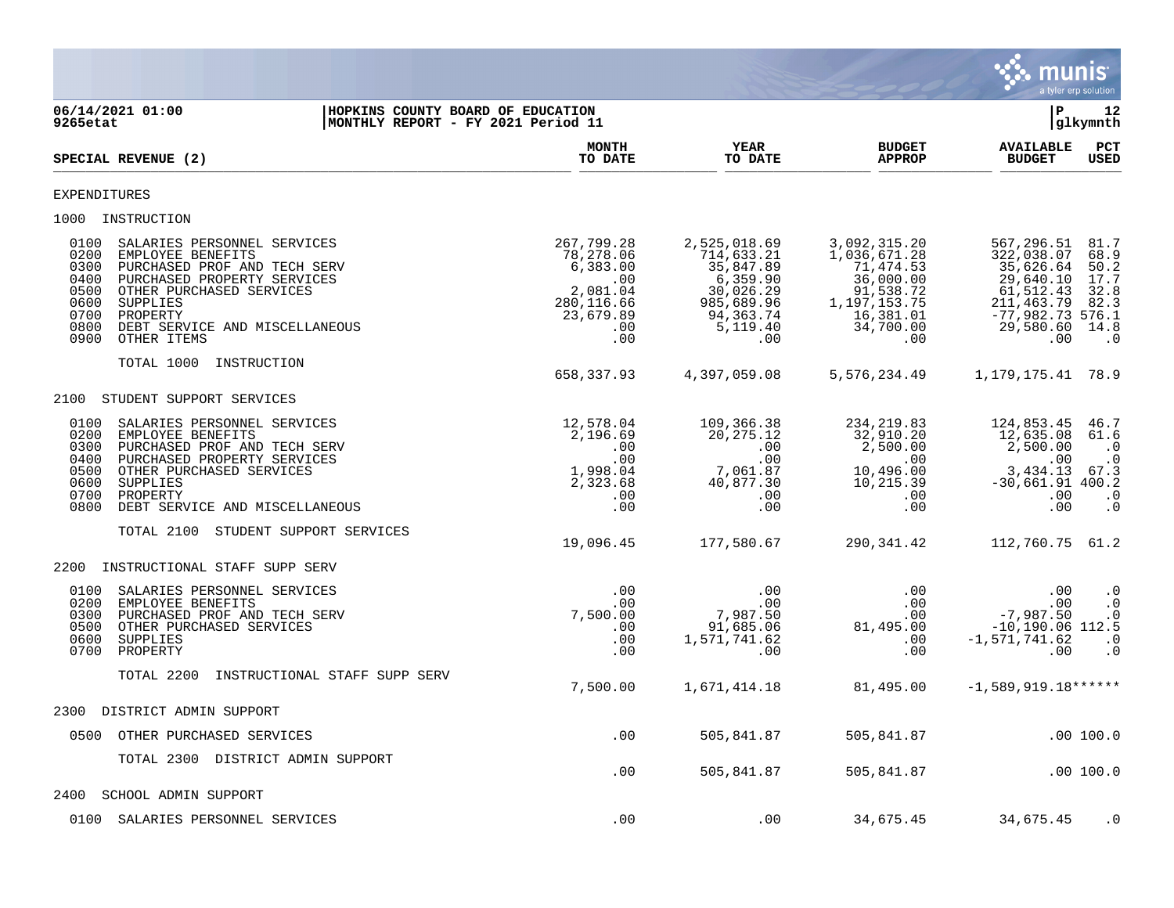

**06/14/2021 01:00 |HOPKINS COUNTY BOARD OF EDUCATION |P 12 9265etat |MONTHLY REPORT - FY 2021 Period 11 |glkymnth MONTH YEAR BUDGET AVAILABLE PCT** SPECIAL REVENUE (2)  $\frac{10 \text{ B}}{10 \text{ B}}$   $\frac{10 \text{ B}}{10 \text{ B}}$   $\frac{10 \text{ B}}{10 \text{ B}}$   $\frac{10 \text{ B}}{10 \text{ B}}$   $\frac{10 \text{ B}}{10 \text{ B}}$   $\frac{10 \text{ B}}{10 \text{ B}}$   $\frac{10 \text{ B}}{10 \text{ B}}$ EXPENDITURES 1000 INSTRUCTION 0100 SALARIES PERSONNEL SERVICES 267,799.28 2,525,018.69 3,092,315.20 567,296.51 81.7 0200 EMPLOYEE BENEFITS 78,278.06 714,633.21 1,036,671.28 322,038.07 68.9 0300 PURCHASED PROF AND TECH SERV 6,383.00 6,383.00 35,847.89 71,474.53 35,626.64 50.2<br>0400 PURCHASED PROPERTY SERVICES 6.35 (000 35,847.89 36,000.00 35,626.64 50.2<br>0500 OTHER PURCHASED SERVICES 2.081.04 30,026.29 91,538.7 0400 PURCHASED PROPERTY SERVICES .00 6,359.90 36,000.00 29,640.10 17.7 0500 OTHER PURCHASED SERVICES 2,081.04 30,026.29 91,538.72 61,512.43 32.8 0600 SUPPLIES 280,116.66 985,689.96 1,197,153.75 211,463.79 82.3 0700 PROPERTY 23,679.89 94,363.74 16,381.01 -77,982.73 576.1 0800 DEBT SERVICE AND MISCELLANEOUS .00 5,119.40 34,700.00 29,580.60 14.8 0900 OTHER ITEMS .00 .00 .00 .00 .0 TOTAL 1000 INSTRUCTION 658,337.93 4,397,059.08 5,576,234.49 1,179,175.41 78.9 2100 STUDENT SUPPORT SERVICES 0100 SALARIES PERSONNEL SERVICES 12,578.04 109,366.38 234,219.83 124,853.45 46.7<br>0200 EMPLOYEE BENEFITS 2,196.69 20,275.12 32.910.20 1 0200 EMPLOYEE BENEFITS<br>0300 PURCHASED PROF AND TECH SERV 1.6 (1.6 ) 2,196.69 20,275.12 12,500.00 2,500.00 1,00<br>0. 2,500.00 2,500.00 2,500.00 1.00 0300 PURCHASED PROF AND TECH SERV .00 .00 2,500.00 2,500.00 .0 0400 PURCHASED PROPERTY SERVICES .00 .00 .00 .00 .0 0500 OTHER PURCHASED SERVICES 1,998.04 7,061.87<br>0600 SUPPLIES 40,877.30 0600 SUPPLIES 2,323.68 40,877.30 10,215.39 -30,661.91 400.2 0700 PROPERTY .00 .00 .00 .00 .0 0800 DEBT SERVICE AND MISCELLANEOUS TOTAL 2100 STUDENT SUPPORT SERVICES 19,096.45 177,580.67 290,341.42 112,760.75 61.2 2200 INSTRUCTIONAL STAFF SUPP SERV 0100 SALARIES PERSONNEL SERVICES .00 .00 .00 .00 .0 0200 EMPLOYEE BENEFITS .00 .00 .00 .00 .0 0300 PURCHASED PROF AND TECH SERV 7,500.00 7,987.50 .00 -7,987.50 .0 0500 OTHER PURCHASED SERVICES .00 91,685.06 81,495.00 -10,190.06 112.5 0600 SUPPLIES .00 1,571,741.62 .00 -1,571,741.62 .0 0700 PROPERTY .00 .00 .00 .00 .0 TOTAL 2200 INSTRUCTIONAL STAFF SUPP SERV 7,500.00 1,671,414.18 81,495.00 -1,589,919.18\*\*\*\*\*\* 2300 DISTRICT ADMIN SUPPORT 0500 OTHER PURCHASED SERVICES .00 505,841.87 505,841.87 .00 100.0 TOTAL 2300 DISTRICT ADMIN SUPPORT .00 505,841.87 505,841.87 .00 100.0 2400 SCHOOL ADMIN SUPPORT 0100 SALARIES PERSONNEL SERVICES .00 .00 .00 .00 .00 34,675.45 34,675.45 .00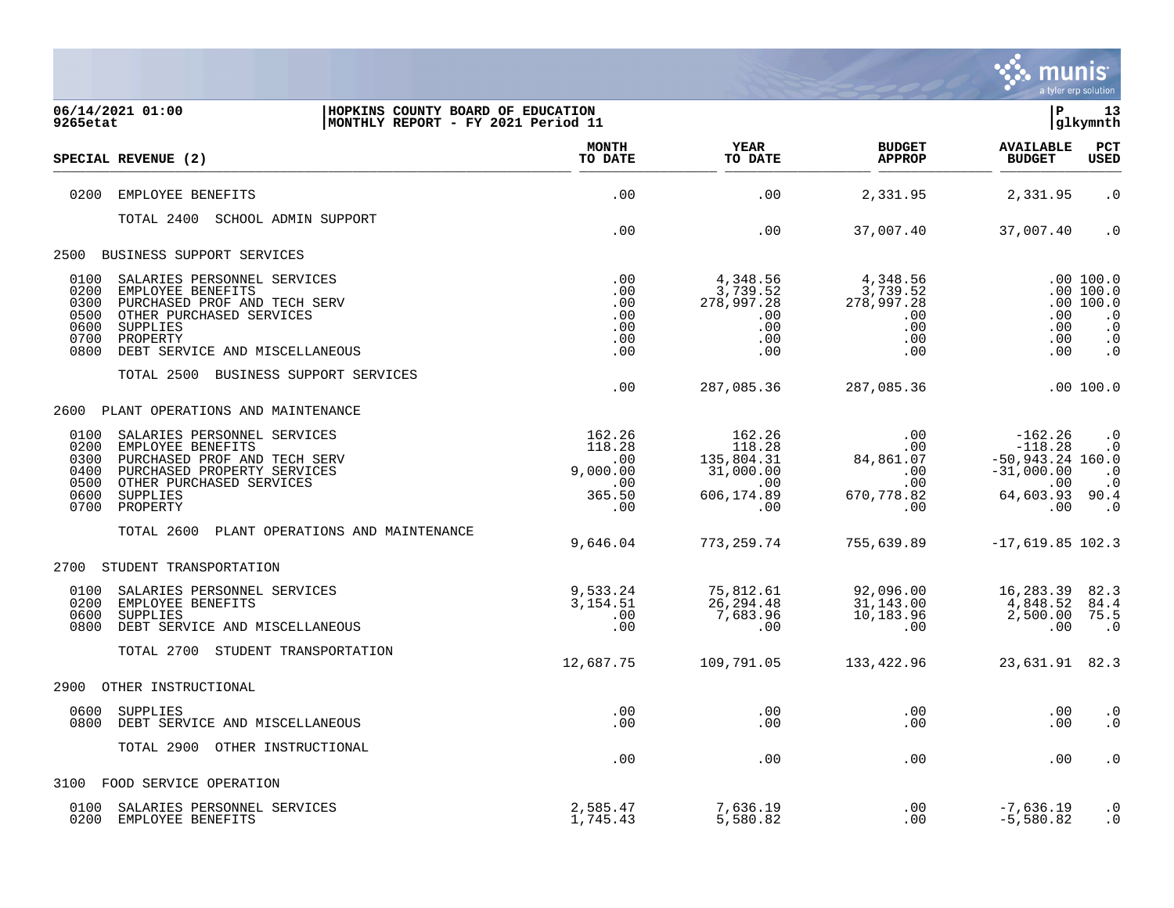

| 06/14/2021 01:00<br>HOPKINS COUNTY BOARD OF EDUCATION<br>9265etat<br>MONTHLY REPORT - FY 2021 Period 11 |                         |                         |                                | l P                                | 13<br>glkymnth         |
|---------------------------------------------------------------------------------------------------------|-------------------------|-------------------------|--------------------------------|------------------------------------|------------------------|
| SPECIAL REVENUE (2)                                                                                     | <b>MONTH</b><br>TO DATE | <b>YEAR</b><br>TO DATE  | <b>BUDGET</b><br><b>APPROP</b> | <b>AVAILABLE</b><br><b>BUDGET</b>  | PCT<br><b>USED</b>     |
| 0200<br>EMPLOYEE BENEFITS                                                                               | .00                     | .00                     | 2,331.95                       | 2,331.95                           | $\cdot$ 0              |
| TOTAL 2400 SCHOOL ADMIN SUPPORT                                                                         | .00                     | .00                     | 37,007.40                      | 37,007.40                          | $\cdot$ 0              |
| BUSINESS SUPPORT SERVICES<br>2500                                                                       |                         |                         |                                |                                    |                        |
| 0100<br>SALARIES PERSONNEL SERVICES                                                                     | .00                     | 4,348.56                | 4,348.56                       |                                    | .00100.0               |
| 0200<br>EMPLOYEE BENEFITS                                                                               | .00                     | 3,739.52                | 3,739.52                       |                                    | .00100.0               |
| 0300<br>PURCHASED PROF AND TECH SERV<br>OTHER PURCHASED SERVICES                                        | .00                     | 278,997.28              | 278,997.28                     |                                    | .00 100.0              |
| 0500<br>0600<br>SUPPLIES                                                                                | .00<br>.00              | $.00 \,$<br>.00         | $.00 \,$<br>.00                | .00<br>.00                         | $\cdot$ 0<br>$\cdot$ 0 |
| 0700<br>PROPERTY                                                                                        | .00                     | .00                     | .00                            | .00                                | $\cdot$ 0              |
| 0800<br>DEBT SERVICE AND MISCELLANEOUS                                                                  | .00                     | .00                     | .00                            | .00                                | $\cdot$ 0              |
| TOTAL 2500 BUSINESS SUPPORT SERVICES                                                                    | .00                     | 287,085.36              | 287,085.36                     |                                    | .00 100.0              |
| PLANT OPERATIONS AND MAINTENANCE<br>2600                                                                |                         |                         |                                |                                    |                        |
| 0100<br>SALARIES PERSONNEL SERVICES                                                                     | 162.26                  | 162.26                  | .00                            | $-162.26$                          | $\cdot$ 0              |
| 0200<br>EMPLOYEE BENEFITS                                                                               | 118.28                  | 118.28                  | .00                            | $-118.28$                          | $\cdot$ 0              |
| 0300<br>PURCHASED PROF AND TECH SERV<br>PURCHASED PROPERTY SERVICES<br>0400                             | .00<br>9,000.00         | 135,804.31<br>31,000.00 | 84,861.07<br>$.00 \,$          | $-50,943.24$ 160.0<br>$-31,000.00$ | $\cdot$ 0              |
| 0500<br>OTHER PURCHASED SERVICES                                                                        | .00                     | .00                     | .00                            | .00                                | $\cdot$ 0              |
| 0600<br>SUPPLIES<br>0700<br>PROPERTY                                                                    | 365.50<br>.00           | 606,174.89<br>.00       | 670,778.82<br>.00              | 64,603.93 90.4<br>.00              | $\cdot$ 0              |
|                                                                                                         |                         |                         |                                |                                    |                        |
| TOTAL 2600<br>PLANT OPERATIONS AND MAINTENANCE                                                          |                         |                         |                                |                                    |                        |
|                                                                                                         | 9,646.04                | 773,259.74              | 755,639.89                     | $-17,619.85$ 102.3                 |                        |
| 2700<br>STUDENT TRANSPORTATION                                                                          |                         |                         |                                |                                    |                        |
| 0100<br>SALARIES PERSONNEL SERVICES                                                                     | 9,533.24                | 75,812.61               | 92,096.00                      | 16,283.39                          | 82.3                   |
| 0200<br>EMPLOYEE BENEFITS<br>0600<br>SUPPLIES                                                           | 3, 154.51<br>.00        | 26, 294.48<br>7,683.96  | 31,143.00<br>10,183.96         | 4,848.52<br>2,500.00               | 84.4<br>75.5           |
| 0800<br>DEBT SERVICE AND MISCELLANEOUS                                                                  | .00                     | .00                     | .00                            | .00                                | $\cdot$ 0              |
| TOTAL 2700 STUDENT TRANSPORTATION                                                                       |                         |                         |                                |                                    |                        |
|                                                                                                         | 12,687.75               | 109,791.05              | 133,422.96                     | 23,631.91                          | 82.3                   |
| 2900<br>OTHER INSTRUCTIONAL                                                                             |                         |                         |                                |                                    |                        |
| 0600<br>SUPPLIES<br>0800<br>DEBT SERVICE AND MISCELLANEOUS                                              | .00<br>.00              | .00<br>.00              | .00<br>.00                     | .00<br>.00                         | $\cdot$ 0<br>$\cdot$ 0 |
|                                                                                                         |                         |                         |                                |                                    |                        |
| TOTAL 2900 OTHER INSTRUCTIONAL                                                                          | .00                     | .00                     | .00                            | .00                                | $\cdot$ 0              |
| FOOD SERVICE OPERATION<br>3100                                                                          |                         |                         |                                |                                    |                        |
| 0100<br>SALARIES PERSONNEL SERVICES                                                                     | 2,585.47                | 7,636.19                | .00                            | $-7,636.19$                        | $\cdot$ 0              |
| 0200<br>EMPLOYEE BENEFITS                                                                               | 1,745.43                | 5,580.82                | .00                            | $-5,580.82$                        | $\cdot$ 0              |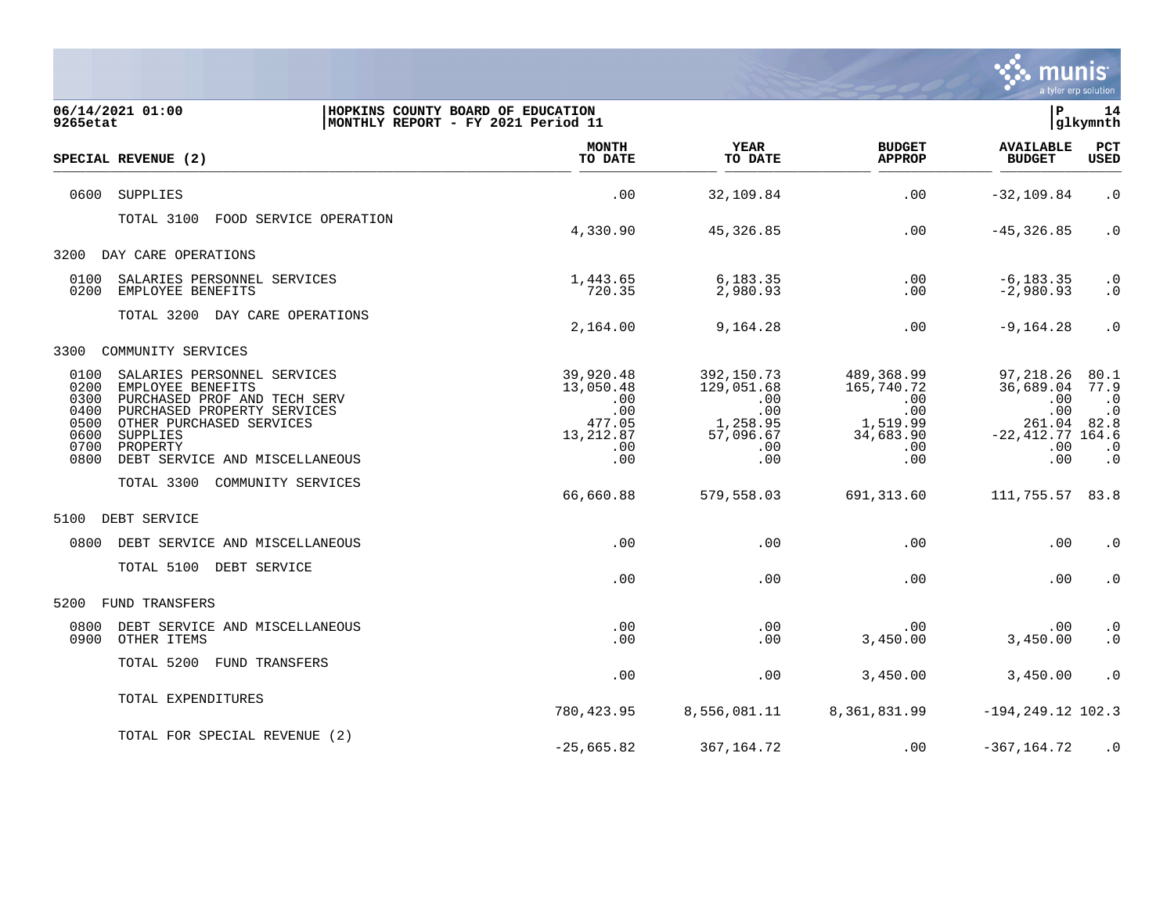

| 9265etat                                                     | 06/14/2021 01:00<br>HOPKINS COUNTY BOARD OF EDUCATION<br>MONTHLY REPORT - FY 2021 Period 11                                                                                                           |                                                                            |                                                                               |                                                                               | l P                                                                           | 14<br>glkymnth                                                                    |
|--------------------------------------------------------------|-------------------------------------------------------------------------------------------------------------------------------------------------------------------------------------------------------|----------------------------------------------------------------------------|-------------------------------------------------------------------------------|-------------------------------------------------------------------------------|-------------------------------------------------------------------------------|-----------------------------------------------------------------------------------|
|                                                              | SPECIAL REVENUE (2)                                                                                                                                                                                   | <b>MONTH</b><br>TO DATE                                                    | <b>YEAR</b><br>TO DATE                                                        | <b>BUDGET</b><br><b>APPROP</b>                                                | <b>AVAILABLE</b><br><b>BUDGET</b>                                             | PCT<br>USED                                                                       |
| 0600                                                         | <b>SUPPLIES</b>                                                                                                                                                                                       | .00                                                                        | 32,109.84                                                                     | .00                                                                           | $-32, 109.84$                                                                 | $\cdot$ 0                                                                         |
|                                                              | TOTAL 3100<br>FOOD SERVICE OPERATION                                                                                                                                                                  | 4,330.90                                                                   | 45, 326.85                                                                    | .00                                                                           | $-45, 326.85$                                                                 | $\cdot$ 0                                                                         |
| 3200                                                         | DAY CARE OPERATIONS                                                                                                                                                                                   |                                                                            |                                                                               |                                                                               |                                                                               |                                                                                   |
| 0100<br>0200                                                 | SALARIES PERSONNEL SERVICES<br>EMPLOYEE BENEFITS                                                                                                                                                      | 1,443.65<br>720.35                                                         | 6,183.35<br>2,980.93                                                          | .00<br>.00                                                                    | $-6, 183.35$<br>$-2,980.93$                                                   | $\cdot$ 0<br>$\cdot$ 0                                                            |
|                                                              | TOTAL 3200 DAY CARE OPERATIONS                                                                                                                                                                        | 2,164.00                                                                   | 9,164.28                                                                      | .00                                                                           | $-9,164.28$                                                                   | $\cdot$ 0                                                                         |
| 3300                                                         | COMMUNITY SERVICES                                                                                                                                                                                    |                                                                            |                                                                               |                                                                               |                                                                               |                                                                                   |
| 0100<br>0200<br>0300<br>0400<br>0500<br>0600<br>0700<br>0800 | SALARIES PERSONNEL SERVICES<br>EMPLOYEE BENEFITS<br>PURCHASED PROF AND TECH SERV<br>PURCHASED PROPERTY SERVICES<br>OTHER PURCHASED SERVICES<br>SUPPLIES<br>PROPERTY<br>DEBT SERVICE AND MISCELLANEOUS | 39,920.48<br>13,050.48<br>.00<br>.00<br>477.05<br>13, 212.87<br>.00<br>.00 | 392,150.73<br>129,051.68<br>.00<br>.00<br>1,258.95<br>57,096.67<br>.00<br>.00 | 489,368.99<br>165,740.72<br>.00<br>.00<br>1,519.99<br>34,683.90<br>.00<br>.00 | 97,218.26<br>36,689.04<br>.00<br>.00<br>261.04<br>$-22, 412.77$<br>.00<br>.00 | 80.1<br>77.9<br>$\cdot$ 0<br>$\cdot$ 0<br>82.8<br>164.6<br>$\cdot$ 0<br>$\cdot$ 0 |
|                                                              | TOTAL 3300<br>COMMUNITY SERVICES                                                                                                                                                                      | 66,660.88                                                                  | 579,558.03                                                                    | 691, 313.60                                                                   | 111,755.57 83.8                                                               |                                                                                   |
| 5100                                                         | DEBT SERVICE                                                                                                                                                                                          |                                                                            |                                                                               |                                                                               |                                                                               |                                                                                   |
| 0800                                                         | DEBT SERVICE AND MISCELLANEOUS                                                                                                                                                                        | .00                                                                        | .00                                                                           | .00                                                                           | .00                                                                           | $\cdot$ 0                                                                         |
|                                                              | TOTAL 5100 DEBT SERVICE                                                                                                                                                                               | .00                                                                        | .00                                                                           | .00                                                                           | .00                                                                           | $\cdot$ 0                                                                         |
| 5200                                                         | FUND TRANSFERS                                                                                                                                                                                        |                                                                            |                                                                               |                                                                               |                                                                               |                                                                                   |
| 0800<br>0900                                                 | DEBT SERVICE AND MISCELLANEOUS<br>OTHER ITEMS                                                                                                                                                         | .00<br>.00                                                                 | .00<br>.00                                                                    | .00<br>3,450.00                                                               | .00<br>3,450.00                                                               | $\cdot$ 0<br>$\cdot$ 0                                                            |
|                                                              | TOTAL 5200<br>FUND TRANSFERS                                                                                                                                                                          | .00                                                                        | .00                                                                           | 3,450.00                                                                      | 3,450.00                                                                      | $\cdot$ 0                                                                         |
|                                                              | TOTAL EXPENDITURES                                                                                                                                                                                    | 780,423.95                                                                 | 8,556,081.11                                                                  | 8,361,831.99                                                                  | $-194, 249.12$ 102.3                                                          |                                                                                   |
|                                                              | TOTAL FOR SPECIAL REVENUE (2)                                                                                                                                                                         | $-25,665.82$                                                               | 367,164.72                                                                    | .00                                                                           | $-367, 164.72$                                                                | $\cdot$ 0                                                                         |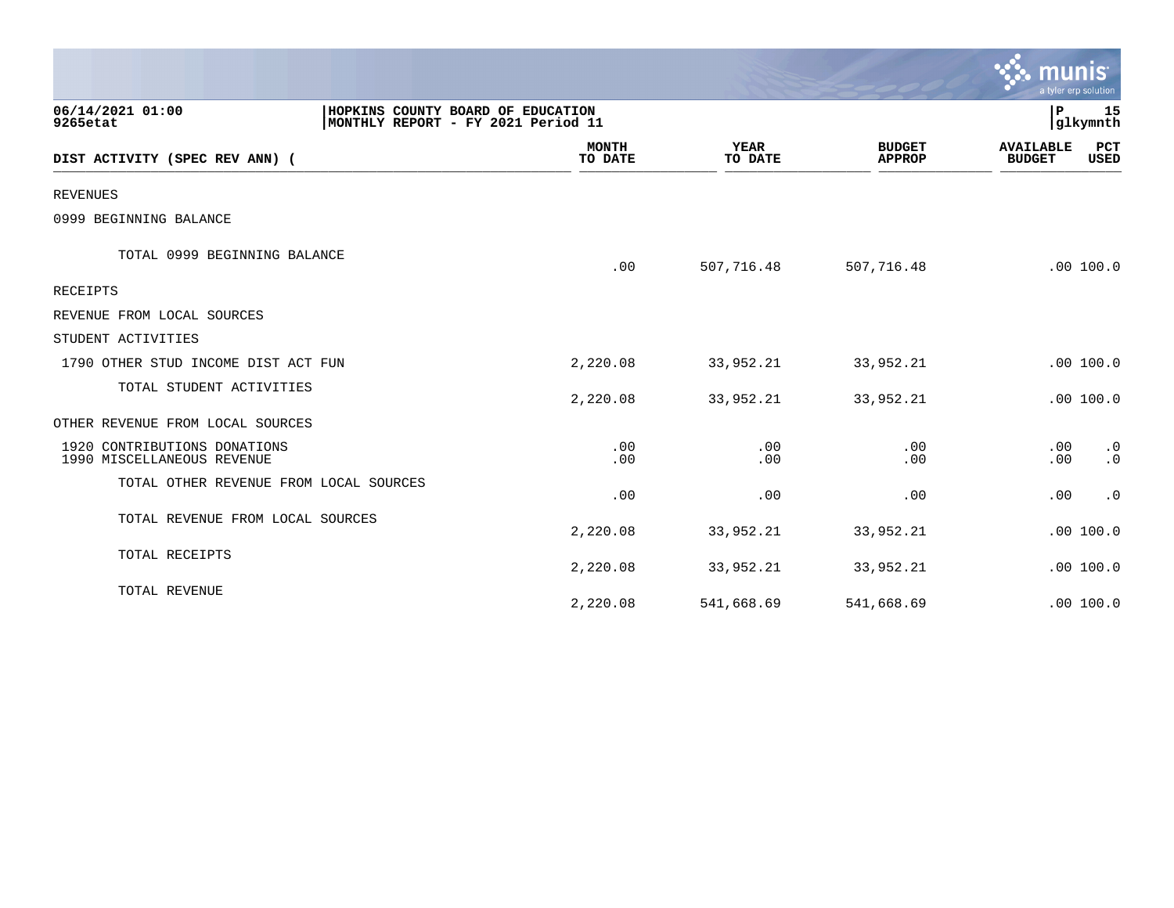|                                                            |                                                                         |                         |                        |                                | $\mathbb{C}$ . munist<br>a tyler erp solution |                 |
|------------------------------------------------------------|-------------------------------------------------------------------------|-------------------------|------------------------|--------------------------------|-----------------------------------------------|-----------------|
| 06/14/2021 01:00<br>9265etat                               | HOPKINS COUNTY BOARD OF EDUCATION<br>MONTHLY REPORT - FY 2021 Period 11 |                         |                        |                                | P                                             | 15<br> glkymnth |
| DIST ACTIVITY (SPEC REV ANN) (                             |                                                                         | <b>MONTH</b><br>TO DATE | <b>YEAR</b><br>TO DATE | <b>BUDGET</b><br><b>APPROP</b> | <b>AVAILABLE</b><br><b>BUDGET</b>             | PCT<br>USED     |
| <b>REVENUES</b>                                            |                                                                         |                         |                        |                                |                                               |                 |
| 0999 BEGINNING BALANCE                                     |                                                                         |                         |                        |                                |                                               |                 |
| TOTAL 0999 BEGINNING BALANCE                               |                                                                         | .00                     | 507,716.48             | 507,716.48                     |                                               | .00 100.0       |
| <b>RECEIPTS</b>                                            |                                                                         |                         |                        |                                |                                               |                 |
| REVENUE FROM LOCAL SOURCES                                 |                                                                         |                         |                        |                                |                                               |                 |
| STUDENT ACTIVITIES                                         |                                                                         |                         |                        |                                |                                               |                 |
| 1790 OTHER STUD INCOME DIST ACT FUN                        |                                                                         | 2,220.08                | 33,952.21              | 33,952.21                      |                                               | .00 100.0       |
| TOTAL STUDENT ACTIVITIES                                   |                                                                         | 2,220.08                | 33,952.21              | 33,952.21                      |                                               | .00 100.0       |
| OTHER REVENUE FROM LOCAL SOURCES                           |                                                                         |                         |                        |                                |                                               |                 |
| 1920 CONTRIBUTIONS DONATIONS<br>1990 MISCELLANEOUS REVENUE |                                                                         | .00<br>.00              | .00<br>.00             | .00<br>.00                     | .00<br>.00                                    | $\cdot$ 0<br>.0 |
| TOTAL OTHER REVENUE FROM LOCAL SOURCES                     |                                                                         | .00                     | .00                    | .00                            | .00                                           | $\cdot$ 0       |
| TOTAL REVENUE FROM LOCAL SOURCES                           |                                                                         | 2,220.08                | 33,952.21              | 33,952.21                      |                                               | .00 100.0       |
| TOTAL RECEIPTS                                             |                                                                         | 2,220.08                | 33,952.21              | 33,952.21                      |                                               | .00 100.0       |
| TOTAL REVENUE                                              |                                                                         | 2,220.08                | 541,668.69             | 541,668.69                     |                                               | .00 100.0       |

and the contract of the contract of the contract of the contract of the contract of the contract of the contract of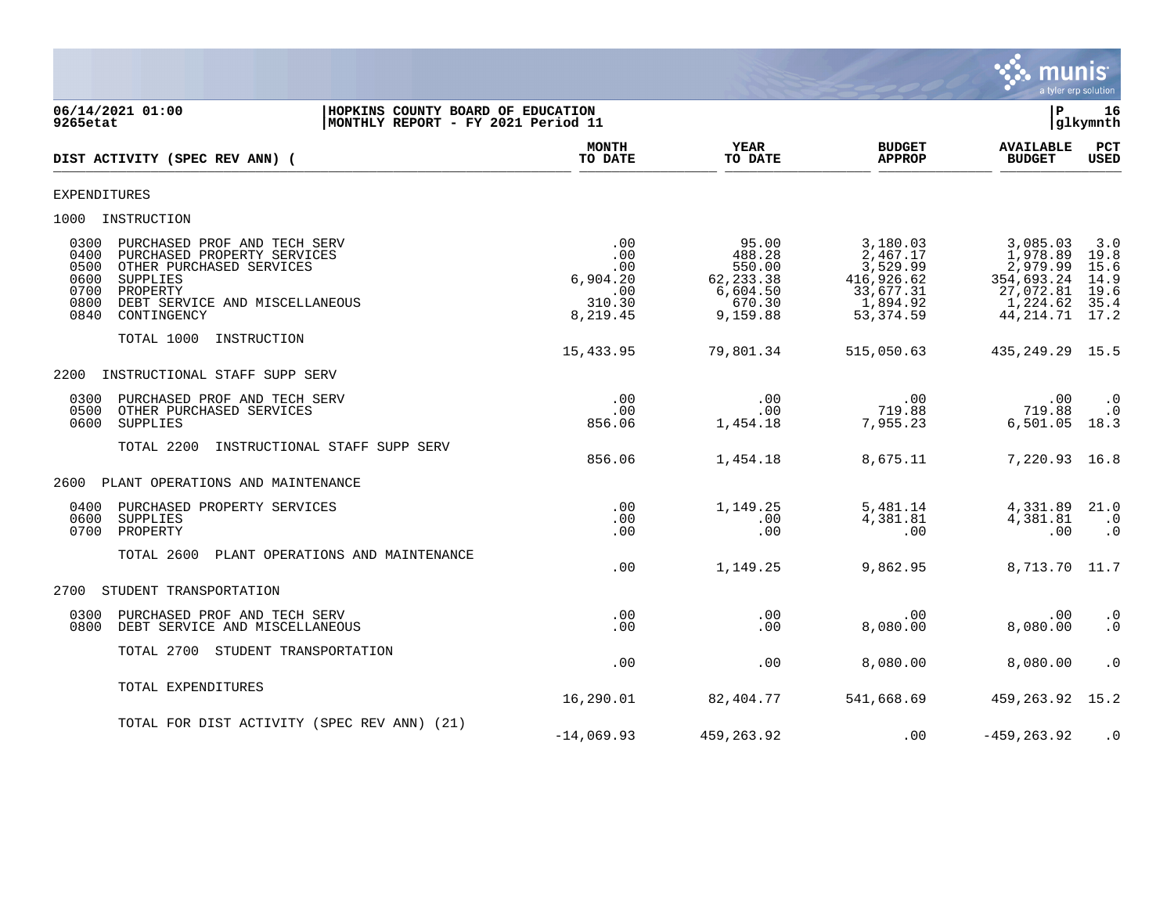

**06/14/2021 01:00 |HOPKINS COUNTY BOARD OF EDUCATION |P 16 MONTHLY REPORT - FY 2021 Period 11 MONTH YEAR BUDGET AVAILABLE PCT**<br>TO DATE TO DATE APPROP BUDGET USED **DIST ACTIVITY (SPEC REV ANN) (**  $\frac{10 \text{ Bhe}}{10 \text{ Bhe}}$   $\frac{10 \text{ Bhe}}{10 \text{ Bhe}}$   $\frac{10 \text{ Bhe}}{10 \text{ Bhe}}$   $\frac{10 \text{ Bhe}}{10 \text{ Bhe}}$   $\frac{10 \text{ Bhe}}{10 \text{ Bhe}}$   $\frac{10 \text{ Bhe}}{10 \text{ Bhe}}$   $\frac{10 \text{ Bhe}}{10 \text{ Bhe}}$ EXPENDITURES 1000 INSTRUCTION 0300 PURCHASED PROF AND TECH SERV .00 95.00 3,180.03 3,085.03 3.0 0400 PURCHASED PROPERTY SERVICES .00 488.28 2,467.17 1,978.89 19.8 0500 OTHER PURCHASED SERVICES .00 550.00 550.00 3,529.99 .00<br>6600 0600 5529.926.62 550.00 50PPLIES .000 50PPLIES 0600 SUPPLIES 6,904.20 62,233.38 416,926.62 354,693.24 14.9  $\begin{array}{ccccccccc}\n 0.00 & & & & & 6,604.50 & & & & & 33,677.31 & & & & 27,072.81 & 19.6 \\
310.30 & & & & & & 6,604.50 & & & & 1,894.92 & & & 1,224.62 & 35.4\n\end{array}$ 0800 DEBT SERVICE AND MISCELLANEOUS (8.219.45 670.30 1,894.92 1,224.62 35.4 )<br>0840 CONTINGENCY (8.219.45 9.159.88 53.374.59 44.214.71 17.2 0840 CONTINGENCY 8,219.45 9,159.88 53,374.59 44,214.71 17.2 TOTAL 1000 INSTRUCTION 15,433.95 79,801.34 515,050.63 435,249.29 15.5 2200 INSTRUCTIONAL STAFF SUPP SERV 0300 PURCHASED PROF AND TECH SERV .00 .00 .00 .00 .0 0500 OTHER PURCHASED SERVICES .00 .00 719.88 719.88 .0 0600 SUPPLIES 856.06 1,454.18 7,955.23 6,501.05 18.3 TOTAL 2200 INSTRUCTIONAL STAFF SUPP SERV 856.06 1,454.18 8,675.11 7,220.93 16.8 2600 PLANT OPERATIONS AND MAINTENANCE 0400 PURCHASED PROPERTY SERVICES .00 1,149.25 5,481.14 4,331.89 21.0 0600 SUPPLIES .00 .00 4,381.81 4,381.81 .0 0700 PROPERTY .00 .00 .00 .00 .0 TOTAL 2600 PLANT OPERATIONS AND MAINTENANCE .00 1,149.25 9,862.95 8,713.70 11.7 2700 STUDENT TRANSPORTATION 0300 PURCHASED PROF AND TECH SERV .00 .00 .00 .00 .0 0800 DEBT SERVICE AND MISCELLANEOUS TOTAL 2700 STUDENT TRANSPORTATION .00 .00 8,080.00 8,080.00 .0 TOTAL EXPENDITURES 16,290.01 82,404.77 541,668.69 459,263.92 15.2 TOTAL FOR DIST ACTIVITY (SPEC REV ANN) (21)  $-14,069,93$   $459,263,92$   $0$   $-459,263,92$   $0$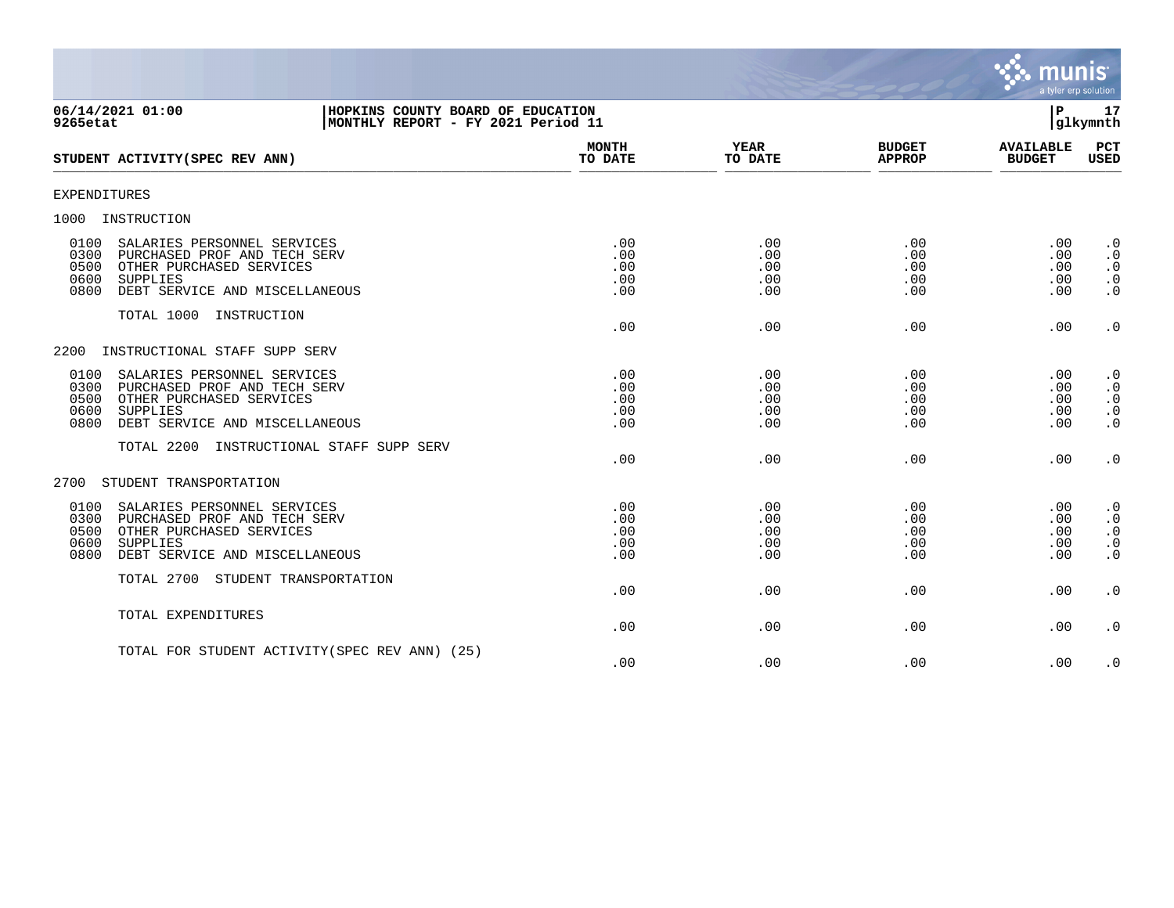

| 06/14/2021 01:00<br>HOPKINS COUNTY BOARD OF EDUCATION<br>9265etat<br>MONTHLY REPORT - FY 2021 Period 11                                                                              |                                 |                                 |                                 | P.                                        | 17<br>glkymnth                                                |
|--------------------------------------------------------------------------------------------------------------------------------------------------------------------------------------|---------------------------------|---------------------------------|---------------------------------|-------------------------------------------|---------------------------------------------------------------|
| STUDENT ACTIVITY (SPEC REV ANN)                                                                                                                                                      | <b>MONTH</b><br>TO DATE         | YEAR<br>TO DATE                 | <b>BUDGET</b><br><b>APPROP</b>  | <b>AVAILABLE</b><br><b>BUDGET</b>         | PCT<br>USED                                                   |
| <b>EXPENDITURES</b>                                                                                                                                                                  |                                 |                                 |                                 |                                           |                                                               |
| 1000<br>INSTRUCTION                                                                                                                                                                  |                                 |                                 |                                 |                                           |                                                               |
| SALARIES PERSONNEL SERVICES<br>0100<br>0300<br>PURCHASED PROF AND TECH SERV<br>0500<br>OTHER PURCHASED SERVICES<br>0600<br>SUPPLIES<br>0800<br>DEBT SERVICE AND MISCELLANEOUS        | .00<br>.00<br>.00<br>.00<br>.00 | .00<br>.00<br>.00<br>.00<br>.00 | .00<br>.00<br>.00<br>.00<br>.00 | .00<br>.00<br>.00<br>.00<br>.00           | $\cdot$ 0<br>$\cdot$ 0<br>$\cdot$ 0<br>$\cdot$ 0<br>$\cdot$ 0 |
| TOTAL 1000 INSTRUCTION                                                                                                                                                               | .00                             | .00                             | .00                             | .00                                       | $\cdot$ 0                                                     |
| INSTRUCTIONAL STAFF SUPP SERV<br>2200                                                                                                                                                |                                 |                                 |                                 |                                           |                                                               |
| SALARIES PERSONNEL SERVICES<br>0100<br>0300<br>PURCHASED PROF AND TECH SERV<br>0500<br>OTHER PURCHASED SERVICES<br><b>SUPPLIES</b><br>0600<br>0800<br>DEBT SERVICE AND MISCELLANEOUS | .00<br>.00<br>.00<br>.00<br>.00 | .00<br>.00<br>.00<br>.00<br>.00 | .00<br>.00<br>.00<br>.00<br>.00 | .00<br>.00<br>.00<br>.00<br>.00           | $\cdot$ 0<br>$\cdot$ 0<br>$\cdot$ 0<br>$\cdot$ 0<br>$\cdot$ 0 |
| TOTAL 2200<br>INSTRUCTIONAL STAFF SUPP SERV                                                                                                                                          | .00                             | .00                             | .00                             | .00                                       | $\cdot$ 0                                                     |
| STUDENT TRANSPORTATION<br>2700                                                                                                                                                       |                                 |                                 |                                 |                                           |                                                               |
| 0100<br>SALARIES PERSONNEL SERVICES<br>0300<br>PURCHASED PROF AND TECH SERV<br>0500<br>OTHER PURCHASED SERVICES<br>0600<br>SUPPLIES<br>0800<br>DEBT SERVICE AND MISCELLANEOUS        | .00<br>.00<br>.00<br>.00<br>.00 | .00<br>.00<br>.00<br>.00<br>.00 | .00<br>.00<br>.00<br>.00<br>.00 | .00<br>$.00 \,$<br>.00<br>$.00 \,$<br>.00 | $\cdot$ 0<br>$\cdot$ 0<br>$\cdot$ 0<br>$\cdot$ 0<br>$\cdot$ 0 |
| TOTAL 2700 STUDENT TRANSPORTATION                                                                                                                                                    | .00                             | .00                             | .00                             | .00                                       | $\cdot$ 0                                                     |
| TOTAL EXPENDITURES                                                                                                                                                                   | .00                             | .00                             | .00                             | .00                                       | $\cdot$ 0                                                     |
| TOTAL FOR STUDENT ACTIVITY (SPEC REV ANN) (25)                                                                                                                                       | .00                             | .00                             | .00                             | .00                                       | $\cdot$ 0                                                     |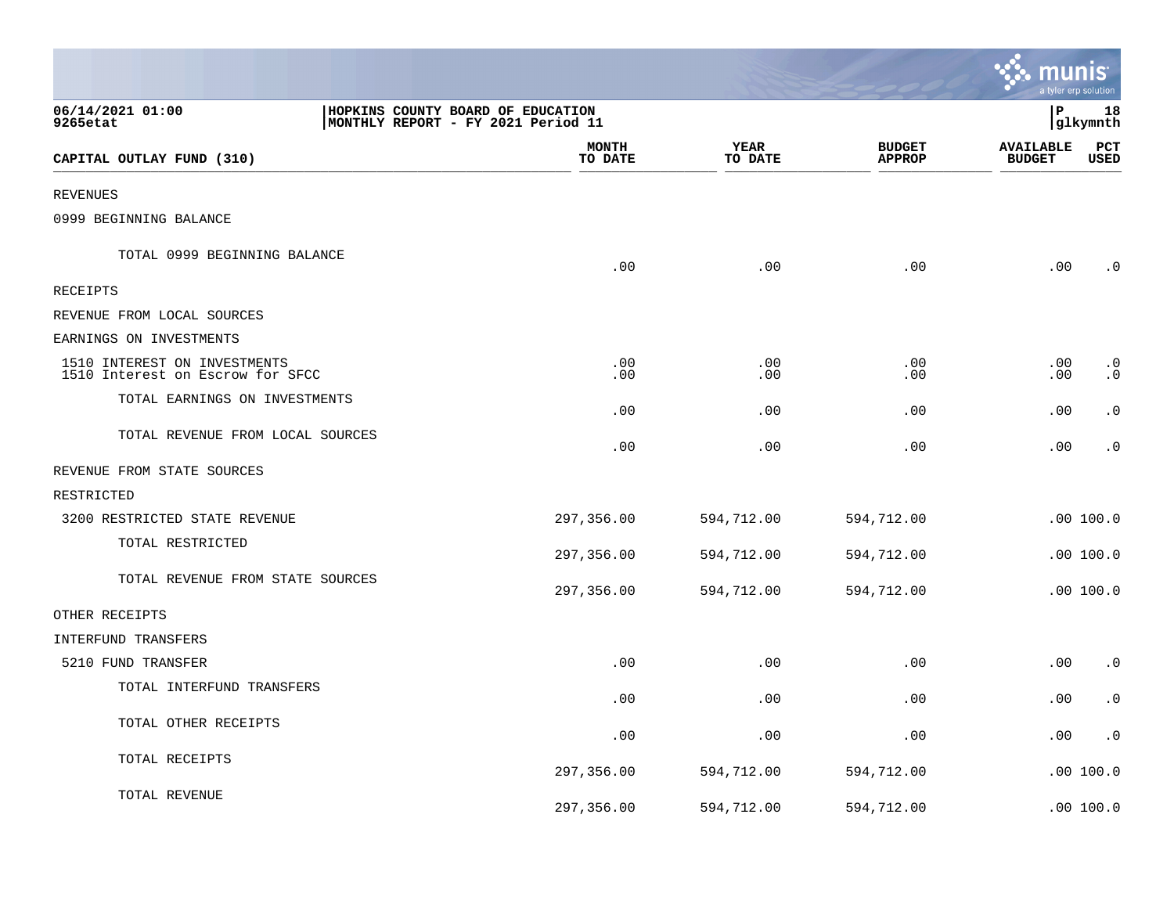|                                                                  |                                                                         |                        |                                | munis                             | a tyler erp solution   |
|------------------------------------------------------------------|-------------------------------------------------------------------------|------------------------|--------------------------------|-----------------------------------|------------------------|
| 06/14/2021 01:00<br>9265etat                                     | HOPKINS COUNTY BOARD OF EDUCATION<br>MONTHLY REPORT - FY 2021 Period 11 |                        |                                | P                                 | 18<br>glkymnth         |
| CAPITAL OUTLAY FUND (310)                                        | <b>MONTH</b><br>TO DATE                                                 | <b>YEAR</b><br>TO DATE | <b>BUDGET</b><br><b>APPROP</b> | <b>AVAILABLE</b><br><b>BUDGET</b> | PCT<br>USED            |
| <b>REVENUES</b>                                                  |                                                                         |                        |                                |                                   |                        |
| 0999 BEGINNING BALANCE                                           |                                                                         |                        |                                |                                   |                        |
| TOTAL 0999 BEGINNING BALANCE                                     | .00                                                                     | .00                    | .00                            | .00                               | $\cdot$ 0              |
| RECEIPTS                                                         |                                                                         |                        |                                |                                   |                        |
| REVENUE FROM LOCAL SOURCES                                       |                                                                         |                        |                                |                                   |                        |
| EARNINGS ON INVESTMENTS                                          |                                                                         |                        |                                |                                   |                        |
| 1510 INTEREST ON INVESTMENTS<br>1510 Interest on Escrow for SFCC | .00<br>.00                                                              | .00<br>.00             | .00<br>.00                     | .00<br>.00                        | $\cdot$ 0<br>$\cdot$ 0 |
| TOTAL EARNINGS ON INVESTMENTS                                    | .00                                                                     | .00                    | .00                            | .00                               | $\cdot$ 0              |
| TOTAL REVENUE FROM LOCAL SOURCES                                 | .00                                                                     | .00                    | .00                            | .00                               | $\cdot$ 0              |
| REVENUE FROM STATE SOURCES                                       |                                                                         |                        |                                |                                   |                        |
| RESTRICTED                                                       |                                                                         |                        |                                |                                   |                        |
| 3200 RESTRICTED STATE REVENUE                                    | 297,356.00                                                              | 594,712.00             | 594,712.00                     |                                   | .00 100.0              |
| TOTAL RESTRICTED                                                 | 297,356.00                                                              | 594,712.00             | 594,712.00                     |                                   | .00 100.0              |
| TOTAL REVENUE FROM STATE SOURCES                                 | 297,356.00                                                              | 594,712.00             | 594,712.00                     |                                   | .00 100.0              |
| OTHER RECEIPTS                                                   |                                                                         |                        |                                |                                   |                        |
| INTERFUND TRANSFERS                                              |                                                                         |                        |                                |                                   |                        |
| 5210 FUND TRANSFER                                               | .00                                                                     | .00                    | .00                            | .00                               | . 0                    |
| TOTAL INTERFUND TRANSFERS                                        | .00                                                                     | .00                    | .00                            | .00                               | $\cdot$ 0              |
| TOTAL OTHER RECEIPTS                                             | .00                                                                     | .00                    | .00                            | .00                               | $\cdot$ 0              |
| TOTAL RECEIPTS                                                   | 297,356.00                                                              | 594,712.00             | 594,712.00                     |                                   | .00 100.0              |
| TOTAL REVENUE                                                    | 297,356.00                                                              | 594,712.00             | 594,712.00                     |                                   | .00 100.0              |

**The State**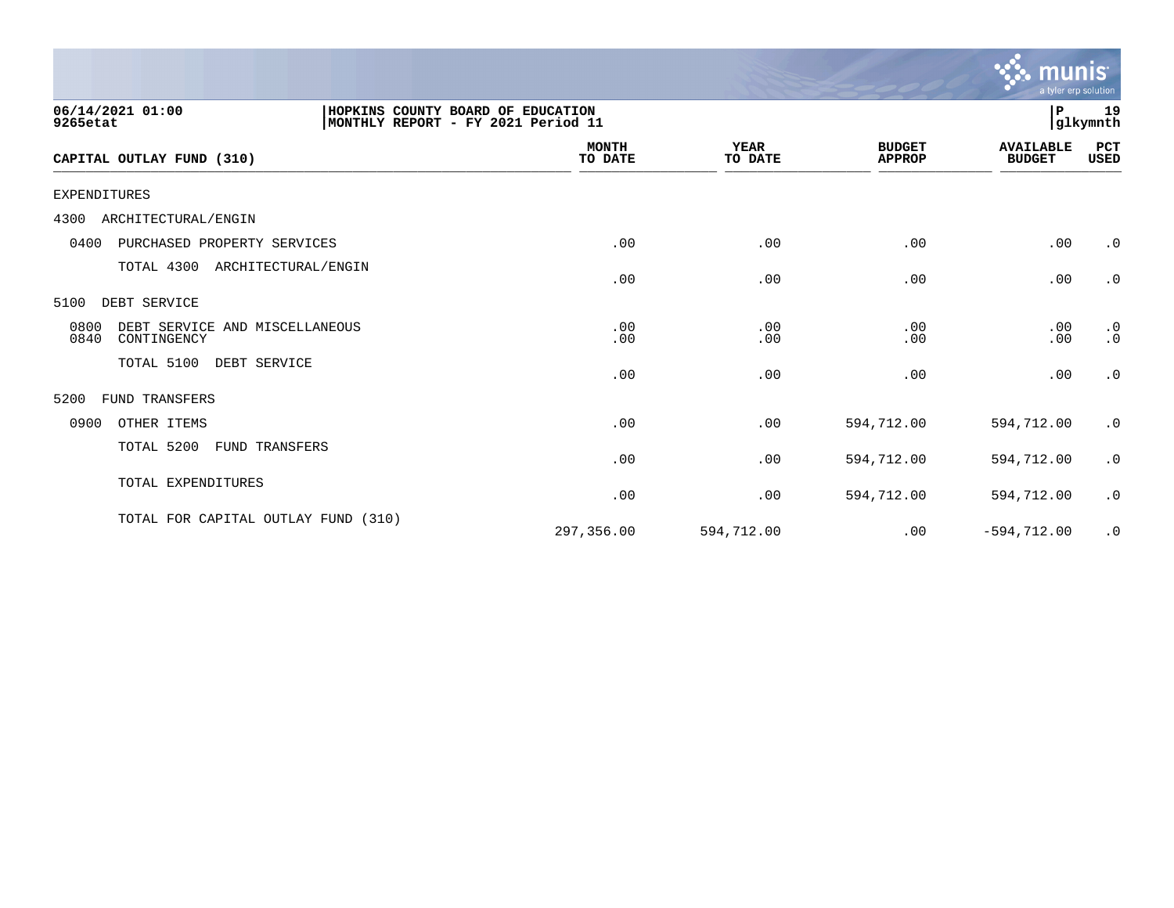|                                                                                                         |                         |                        |                                | <b>munis</b><br>a tyler erp solution |                        |
|---------------------------------------------------------------------------------------------------------|-------------------------|------------------------|--------------------------------|--------------------------------------|------------------------|
| 06/14/2021 01:00<br>HOPKINS COUNTY BOARD OF EDUCATION<br>MONTHLY REPORT - FY 2021 Period 11<br>9265etat |                         |                        |                                | P                                    | 19<br> glkymnth        |
| CAPITAL OUTLAY FUND (310)                                                                               | <b>MONTH</b><br>TO DATE | <b>YEAR</b><br>TO DATE | <b>BUDGET</b><br><b>APPROP</b> | <b>AVAILABLE</b><br><b>BUDGET</b>    | PCT<br><b>USED</b>     |
| <b>EXPENDITURES</b>                                                                                     |                         |                        |                                |                                      |                        |
| ARCHITECTURAL/ENGIN<br>4300                                                                             |                         |                        |                                |                                      |                        |
| 0400<br>PURCHASED PROPERTY SERVICES                                                                     | .00                     | .00                    | .00                            | .00                                  | $\cdot$ 0              |
| TOTAL 4300 ARCHITECTURAL/ENGIN                                                                          | .00                     | .00                    | .00                            | .00                                  | $\cdot$ 0              |
| DEBT SERVICE<br>5100                                                                                    |                         |                        |                                |                                      |                        |
| DEBT SERVICE AND MISCELLANEOUS<br>0800<br>0840<br>CONTINGENCY                                           | .00<br>.00              | .00<br>.00             | .00<br>.00                     | .00<br>.00                           | $\cdot$ 0<br>$\cdot$ 0 |
| TOTAL 5100<br>DEBT SERVICE                                                                              | .00                     | .00                    | .00                            | .00                                  | $\cdot$ 0              |
| 5200<br>FUND TRANSFERS                                                                                  |                         |                        |                                |                                      |                        |
| 0900<br>OTHER ITEMS                                                                                     | .00                     | .00                    | 594,712.00                     | 594,712.00                           | $\cdot$ 0              |
| TOTAL 5200<br><b>FUND TRANSFERS</b>                                                                     | .00                     | .00                    | 594,712.00                     | 594,712.00                           | $\cdot$ 0              |
| TOTAL EXPENDITURES                                                                                      | .00                     | .00                    | 594,712.00                     | 594,712.00                           | $\cdot$ 0              |
| TOTAL FOR CAPITAL OUTLAY FUND (310)                                                                     | 297,356.00              | 594,712.00             | .00                            | $-594, 712.00$                       | $\cdot$ 0              |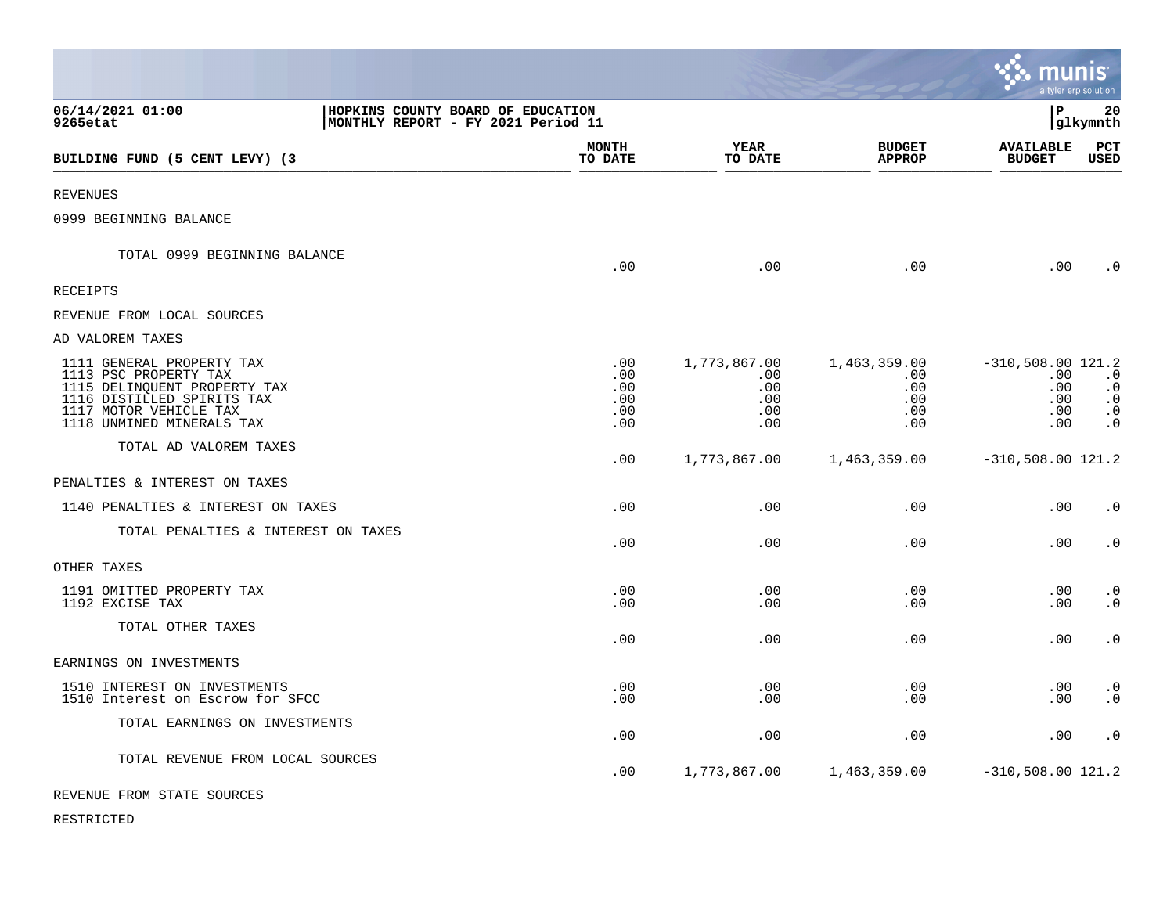|                                                                                                                                                                         |                                                                         |                                             |                                                 |                                                 |                                                        | munıs<br>a tyler erp solution                                 |
|-------------------------------------------------------------------------------------------------------------------------------------------------------------------------|-------------------------------------------------------------------------|---------------------------------------------|-------------------------------------------------|-------------------------------------------------|--------------------------------------------------------|---------------------------------------------------------------|
| 06/14/2021 01:00<br>9265etat                                                                                                                                            | HOPKINS COUNTY BOARD OF EDUCATION<br>MONTHLY REPORT - FY 2021 Period 11 |                                             |                                                 |                                                 | lР                                                     | 20<br> glkymnth                                               |
| BUILDING FUND (5 CENT LEVY) (3                                                                                                                                          |                                                                         | <b>MONTH</b><br>TO DATE                     | YEAR<br>TO DATE                                 | <b>BUDGET</b><br><b>APPROP</b>                  | <b>AVAILABLE</b><br><b>BUDGET</b>                      | PCT<br>USED                                                   |
| <b>REVENUES</b>                                                                                                                                                         |                                                                         |                                             |                                                 |                                                 |                                                        |                                                               |
| 0999 BEGINNING BALANCE                                                                                                                                                  |                                                                         |                                             |                                                 |                                                 |                                                        |                                                               |
| TOTAL 0999 BEGINNING BALANCE                                                                                                                                            |                                                                         | .00                                         | .00                                             | .00                                             | .00                                                    | $\cdot$ 0                                                     |
| <b>RECEIPTS</b>                                                                                                                                                         |                                                                         |                                             |                                                 |                                                 |                                                        |                                                               |
| REVENUE FROM LOCAL SOURCES                                                                                                                                              |                                                                         |                                             |                                                 |                                                 |                                                        |                                                               |
| AD VALOREM TAXES                                                                                                                                                        |                                                                         |                                             |                                                 |                                                 |                                                        |                                                               |
| 1111 GENERAL PROPERTY TAX<br>1113 PSC PROPERTY TAX<br>1115 DELINQUENT PROPERTY TAX<br>1116 DISTILLED SPIRITS TAX<br>1117 MOTOR VEHICLE TAX<br>1118 UNMINED MINERALS TAX |                                                                         | $.00 \,$<br>.00<br>.00<br>.00<br>.00<br>.00 | 1,773,867.00<br>.00<br>.00<br>.00<br>.00<br>.00 | 1,463,359.00<br>.00<br>.00<br>.00<br>.00<br>.00 | $-310,508.00$ 121.2<br>.00<br>.00<br>.00<br>.00<br>.00 | $\cdot$ 0<br>$\cdot$ 0<br>$\cdot$ 0<br>$\cdot$ 0<br>$\cdot$ 0 |
| TOTAL AD VALOREM TAXES                                                                                                                                                  |                                                                         | .00                                         | 1,773,867.00                                    | 1,463,359.00                                    | $-310,508.00$ 121.2                                    |                                                               |
| PENALTIES & INTEREST ON TAXES                                                                                                                                           |                                                                         |                                             |                                                 |                                                 |                                                        |                                                               |
| 1140 PENALTIES & INTEREST ON TAXES                                                                                                                                      |                                                                         | .00                                         | .00                                             | .00                                             | .00                                                    | $\cdot$ 0                                                     |
| TOTAL PENALTIES & INTEREST ON TAXES                                                                                                                                     |                                                                         | .00                                         | .00                                             | .00                                             | .00                                                    | $\cdot$ 0                                                     |
| OTHER TAXES                                                                                                                                                             |                                                                         |                                             |                                                 |                                                 |                                                        |                                                               |
| 1191 OMITTED PROPERTY TAX<br>1192 EXCISE TAX                                                                                                                            |                                                                         | .00<br>.00                                  | .00<br>.00                                      | .00<br>.00                                      | .00<br>.00                                             | $\cdot$ 0<br>$\cdot$ 0                                        |
| TOTAL OTHER TAXES                                                                                                                                                       |                                                                         | .00                                         | .00                                             | .00                                             | .00                                                    | $\cdot$ 0                                                     |
| EARNINGS ON INVESTMENTS                                                                                                                                                 |                                                                         |                                             |                                                 |                                                 |                                                        |                                                               |
| 1510 INTEREST ON INVESTMENTS<br>1510 Interest on Escrow for SFCC                                                                                                        |                                                                         | .00<br>.00                                  | .00<br>.00                                      | .00<br>.00                                      | .00<br>.00                                             | $\cdot$ 0<br>$\cdot$ 0                                        |
| TOTAL EARNINGS ON INVESTMENTS                                                                                                                                           |                                                                         | .00                                         | .00                                             | .00                                             | .00                                                    | $\cdot$ 0                                                     |
| TOTAL REVENUE FROM LOCAL SOURCES                                                                                                                                        |                                                                         | .00                                         | 1,773,867.00                                    | 1,463,359.00                                    | $-310,508.00$ 121.2                                    |                                                               |
| REVENUE FROM STATE SOURCES                                                                                                                                              |                                                                         |                                             |                                                 |                                                 |                                                        |                                                               |

RESTRICTED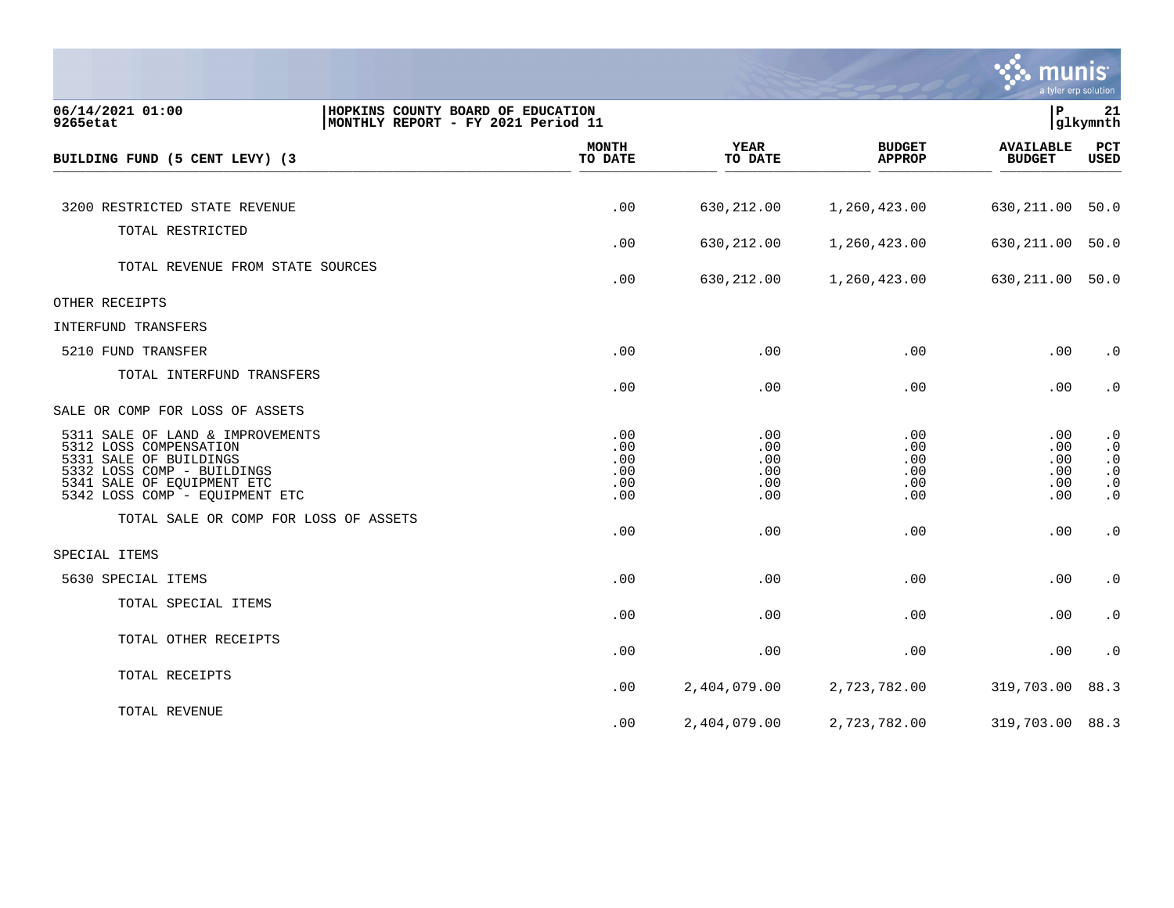

| 06/14/2021 01:00<br>9265etat                                                                                                                                                       | HOPKINS COUNTY BOARD OF EDUCATION<br>MONTHLY REPORT - FY 2021 Period 11 |                                        |                                                  |                                         | lР                                          | 21<br> glkymnth                                                            |
|------------------------------------------------------------------------------------------------------------------------------------------------------------------------------------|-------------------------------------------------------------------------|----------------------------------------|--------------------------------------------------|-----------------------------------------|---------------------------------------------|----------------------------------------------------------------------------|
| BUILDING FUND (5 CENT LEVY) (3                                                                                                                                                     |                                                                         | <b>MONTH</b><br>TO DATE                | <b>YEAR</b><br>TO DATE                           | <b>BUDGET</b><br><b>APPROP</b>          | <b>AVAILABLE</b><br><b>BUDGET</b>           | PCT<br><b>USED</b>                                                         |
|                                                                                                                                                                                    |                                                                         |                                        |                                                  |                                         |                                             |                                                                            |
| 3200 RESTRICTED STATE REVENUE                                                                                                                                                      |                                                                         | .00                                    | 630,212.00                                       | 1,260,423.00                            | 630,211.00                                  | 50.0                                                                       |
| TOTAL RESTRICTED                                                                                                                                                                   |                                                                         |                                        |                                                  |                                         |                                             |                                                                            |
|                                                                                                                                                                                    |                                                                         | .00                                    | 630,212.00                                       | 1,260,423.00                            | 630,211.00                                  | 50.0                                                                       |
| TOTAL REVENUE FROM STATE SOURCES                                                                                                                                                   |                                                                         | .00                                    | 630,212.00                                       | 1,260,423.00                            | 630,211.00                                  | 50.0                                                                       |
| OTHER RECEIPTS                                                                                                                                                                     |                                                                         |                                        |                                                  |                                         |                                             |                                                                            |
| INTERFUND TRANSFERS                                                                                                                                                                |                                                                         |                                        |                                                  |                                         |                                             |                                                                            |
| 5210 FUND TRANSFER                                                                                                                                                                 |                                                                         | .00                                    | .00                                              | .00                                     | .00                                         | $\cdot$ 0                                                                  |
| TOTAL INTERFUND TRANSFERS                                                                                                                                                          |                                                                         | .00                                    | .00                                              | .00                                     | .00                                         | $\boldsymbol{\cdot}$ 0                                                     |
| SALE OR COMP FOR LOSS OF ASSETS                                                                                                                                                    |                                                                         |                                        |                                                  |                                         |                                             |                                                                            |
| 5311 SALE OF LAND & IMPROVEMENTS<br>5312 LOSS COMPENSATION<br>5331 SALE OF BUILDINGS<br>5332 LOSS COMP - BUILDINGS<br>5341 SALE OF EQUIPMENT ETC<br>5342 LOSS COMP - EQUIPMENT ETC |                                                                         | .00<br>.00<br>.00<br>.00<br>.00<br>.00 | .00<br>$.00 \,$<br>.00<br>.00<br>.00<br>$.00 \,$ | .00<br>.00.<br>.00<br>.00<br>.00<br>.00 | .00<br>$.00 \,$<br>.00<br>.00<br>.00<br>.00 | $\cdot$ 0<br>$\cdot$ 0<br>$\cdot$ 0<br>$\cdot$ 0<br>$\cdot$ 0<br>$\cdot$ 0 |
| TOTAL SALE OR COMP FOR LOSS OF ASSETS                                                                                                                                              |                                                                         | .00                                    | .00                                              | .00                                     | .00                                         | $\boldsymbol{\cdot}$ 0                                                     |
| SPECIAL ITEMS                                                                                                                                                                      |                                                                         |                                        |                                                  |                                         |                                             |                                                                            |
| 5630 SPECIAL ITEMS                                                                                                                                                                 |                                                                         | .00                                    | .00                                              | .00                                     | .00                                         | $\cdot$ 0                                                                  |
| TOTAL SPECIAL ITEMS                                                                                                                                                                |                                                                         | .00                                    | .00                                              | .00                                     | .00                                         | $\cdot$ 0                                                                  |
| TOTAL OTHER RECEIPTS                                                                                                                                                               |                                                                         | .00                                    | .00                                              | .00                                     | .00                                         | $\boldsymbol{\cdot}$ 0                                                     |
| TOTAL RECEIPTS                                                                                                                                                                     |                                                                         | .00                                    | 2,404,079.00                                     | 2,723,782.00                            | 319,703.00                                  | 88.3                                                                       |
| TOTAL REVENUE                                                                                                                                                                      |                                                                         | .00                                    | 2,404,079.00                                     | 2,723,782.00                            | 319,703.00 88.3                             |                                                                            |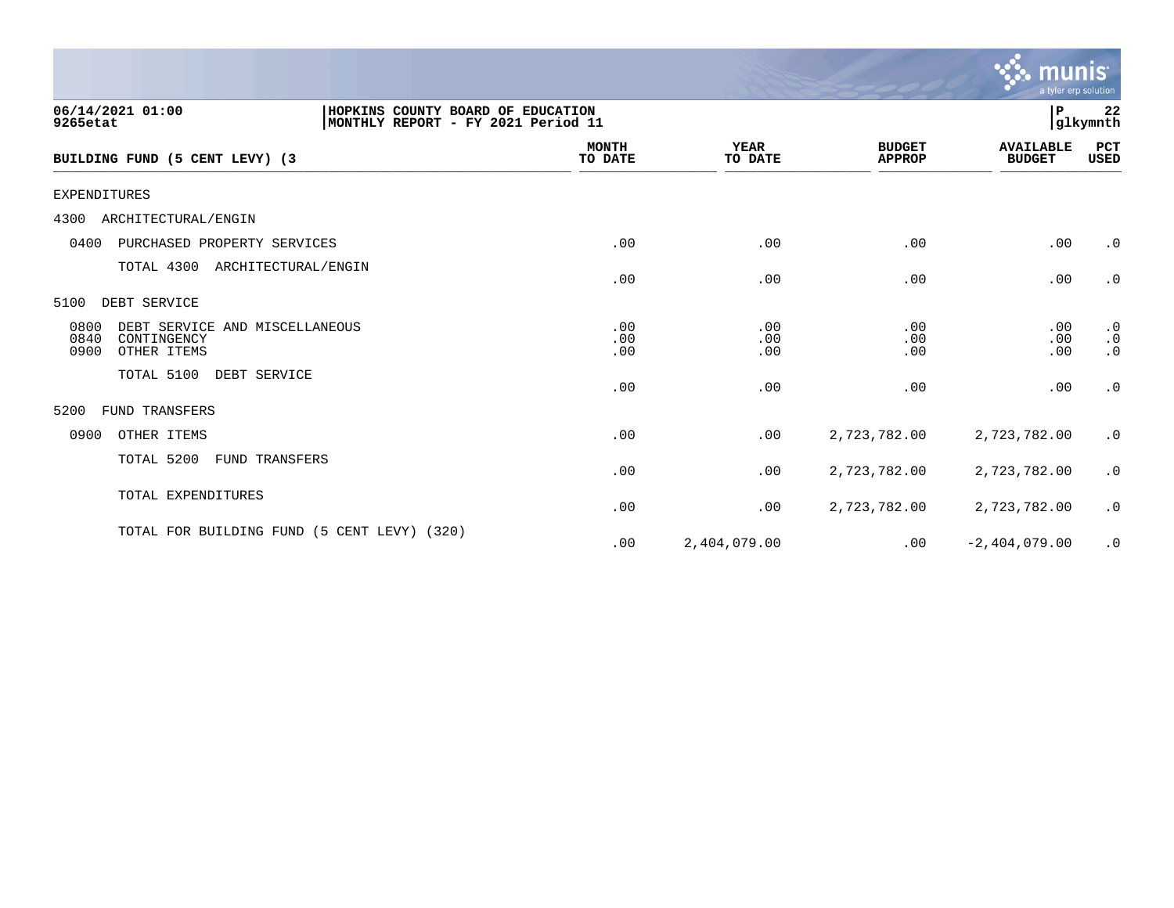|                                                                                                         |                         |                        |                                | munis<br>a tyler erp solution     |                                     |
|---------------------------------------------------------------------------------------------------------|-------------------------|------------------------|--------------------------------|-----------------------------------|-------------------------------------|
| 06/14/2021 01:00<br>HOPKINS COUNTY BOARD OF EDUCATION<br>9265etat<br>MONTHLY REPORT - FY 2021 Period 11 |                         |                        |                                | P                                 | 22<br>glkymnth                      |
| BUILDING FUND (5 CENT LEVY) (3                                                                          | <b>MONTH</b><br>TO DATE | <b>YEAR</b><br>TO DATE | <b>BUDGET</b><br><b>APPROP</b> | <b>AVAILABLE</b><br><b>BUDGET</b> | PCT<br>USED                         |
| <b>EXPENDITURES</b>                                                                                     |                         |                        |                                |                                   |                                     |
| 4300<br>ARCHITECTURAL/ENGIN                                                                             |                         |                        |                                |                                   |                                     |
| 0400<br>PURCHASED PROPERTY SERVICES                                                                     | .00                     | .00                    | .00                            | .00                               | $\cdot$ 0                           |
| TOTAL 4300<br>ARCHITECTURAL/ENGIN                                                                       | .00                     | .00                    | .00                            | .00                               | $\cdot$ 0                           |
| DEBT SERVICE<br>5100                                                                                    |                         |                        |                                |                                   |                                     |
| 0800<br>DEBT SERVICE AND MISCELLANEOUS<br>0840<br>CONTINGENCY<br>0900<br>OTHER ITEMS                    | .00<br>.00<br>.00       | .00<br>.00<br>.00      | .00<br>.00<br>.00              | .00<br>.00<br>.00                 | $\cdot$ 0<br>$\cdot$ 0<br>$\cdot$ 0 |
| TOTAL 5100<br>DEBT SERVICE                                                                              | .00                     | .00                    | .00                            | .00                               | $\cdot$ 0                           |
| <b>FUND TRANSFERS</b><br>5200                                                                           |                         |                        |                                |                                   |                                     |
| 0900<br>OTHER ITEMS                                                                                     | .00                     | .00                    | 2,723,782.00                   | 2,723,782.00                      | $\cdot$ 0                           |
| TOTAL 5200<br>FUND TRANSFERS                                                                            | .00                     | .00                    | 2,723,782.00                   | 2,723,782.00                      | $\cdot$ 0                           |
| TOTAL EXPENDITURES                                                                                      | .00                     | .00                    | 2,723,782.00                   | 2,723,782.00                      | $\cdot$ 0                           |
| TOTAL FOR BUILDING FUND (5 CENT LEVY) (320)                                                             | .00                     | 2,404,079.00           | .00                            | $-2,404,079.00$                   | $\cdot$ 0                           |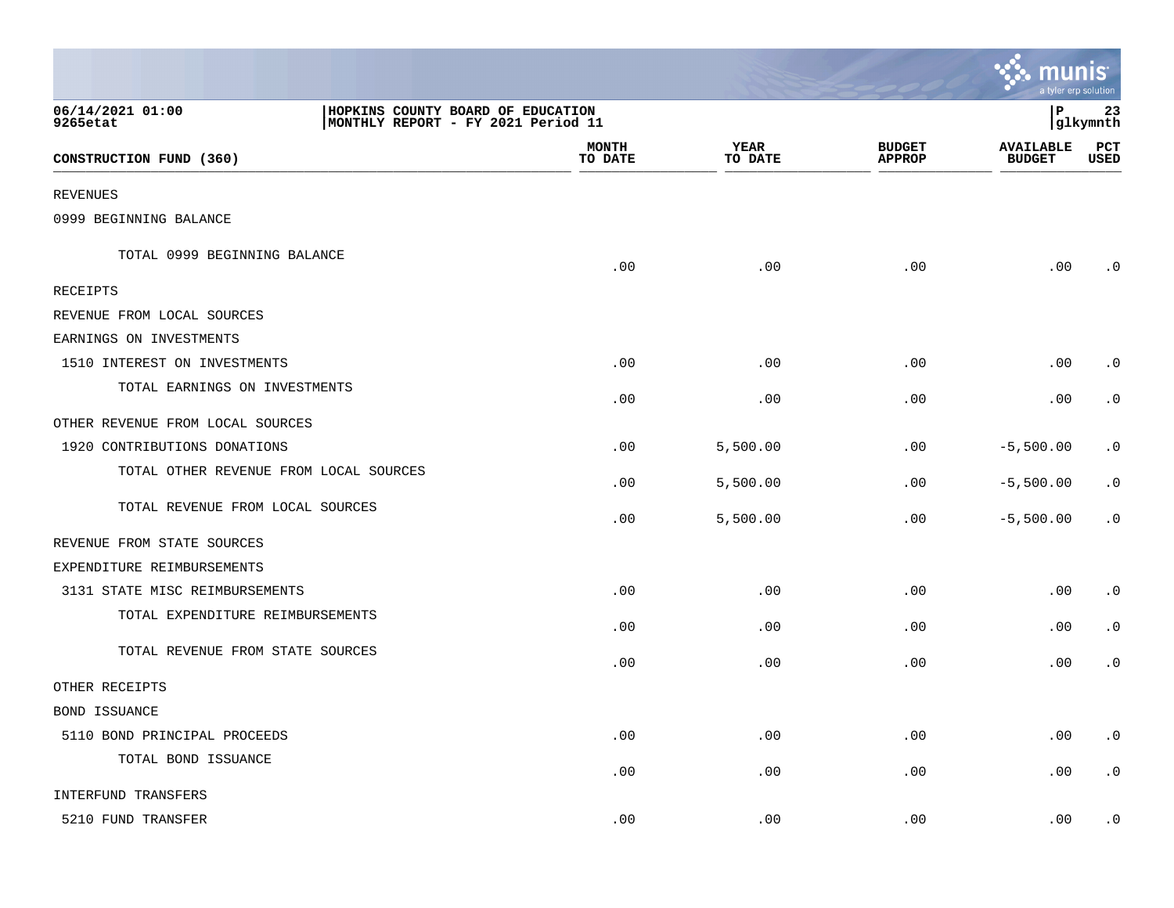|                                        |                                                                         |                        |                                | <u>: : munis</u>                  | a tyler erp solution |
|----------------------------------------|-------------------------------------------------------------------------|------------------------|--------------------------------|-----------------------------------|----------------------|
| 06/14/2021 01:00<br>9265etat           | HOPKINS COUNTY BOARD OF EDUCATION<br>MONTHLY REPORT - FY 2021 Period 11 |                        |                                | l P                               | 23<br> glkymnth      |
| CONSTRUCTION FUND (360)                | <b>MONTH</b><br>TO DATE                                                 | <b>YEAR</b><br>TO DATE | <b>BUDGET</b><br><b>APPROP</b> | <b>AVAILABLE</b><br><b>BUDGET</b> | PCT<br><b>USED</b>   |
| <b>REVENUES</b>                        |                                                                         |                        |                                |                                   |                      |
| 0999 BEGINNING BALANCE                 |                                                                         |                        |                                |                                   |                      |
| TOTAL 0999 BEGINNING BALANCE           | .00                                                                     | .00                    | .00                            | .00                               | $\cdot$ 0            |
| RECEIPTS                               |                                                                         |                        |                                |                                   |                      |
| REVENUE FROM LOCAL SOURCES             |                                                                         |                        |                                |                                   |                      |
| EARNINGS ON INVESTMENTS                |                                                                         |                        |                                |                                   |                      |
| 1510 INTEREST ON INVESTMENTS           | .00                                                                     | .00                    | .00                            | .00                               | $\cdot$ 0            |
| TOTAL EARNINGS ON INVESTMENTS          | .00                                                                     | .00                    | .00                            | .00                               | $\cdot$ 0            |
| OTHER REVENUE FROM LOCAL SOURCES       |                                                                         |                        |                                |                                   |                      |
| 1920 CONTRIBUTIONS DONATIONS           | .00                                                                     | 5,500.00               | .00                            | $-5,500.00$                       | $\cdot$ 0            |
| TOTAL OTHER REVENUE FROM LOCAL SOURCES | .00                                                                     | 5,500.00               | .00                            | $-5,500.00$                       | $\cdot$ 0            |
| TOTAL REVENUE FROM LOCAL SOURCES       | .00                                                                     | 5,500.00               | .00                            | $-5,500.00$                       | $\cdot$ 0            |
| REVENUE FROM STATE SOURCES             |                                                                         |                        |                                |                                   |                      |
| EXPENDITURE REIMBURSEMENTS             |                                                                         |                        |                                |                                   |                      |
| 3131 STATE MISC REIMBURSEMENTS         | .00                                                                     | .00                    | .00                            | .00                               | $\cdot$ 0            |
| TOTAL EXPENDITURE REIMBURSEMENTS       | .00                                                                     | .00                    | .00                            | .00                               | $\cdot$ 0            |
| TOTAL REVENUE FROM STATE SOURCES       | .00                                                                     | .00                    | .00                            | .00                               | $\cdot$ 0            |
| OTHER RECEIPTS                         |                                                                         |                        |                                |                                   |                      |
| BOND ISSUANCE                          |                                                                         |                        |                                |                                   |                      |
| 5110 BOND PRINCIPAL PROCEEDS           | .00                                                                     | .00                    | .00                            | .00                               | $\cdot$ 0            |
| TOTAL BOND ISSUANCE                    | .00                                                                     | .00                    | .00                            | .00                               | $\cdot$ 0            |
| INTERFUND TRANSFERS                    |                                                                         |                        |                                |                                   |                      |
| 5210 FUND TRANSFER                     | .00                                                                     | .00                    | .00                            | .00                               | $\cdot$ 0            |

and the contract of the contract of the contract of the contract of the contract of the contract of the contract of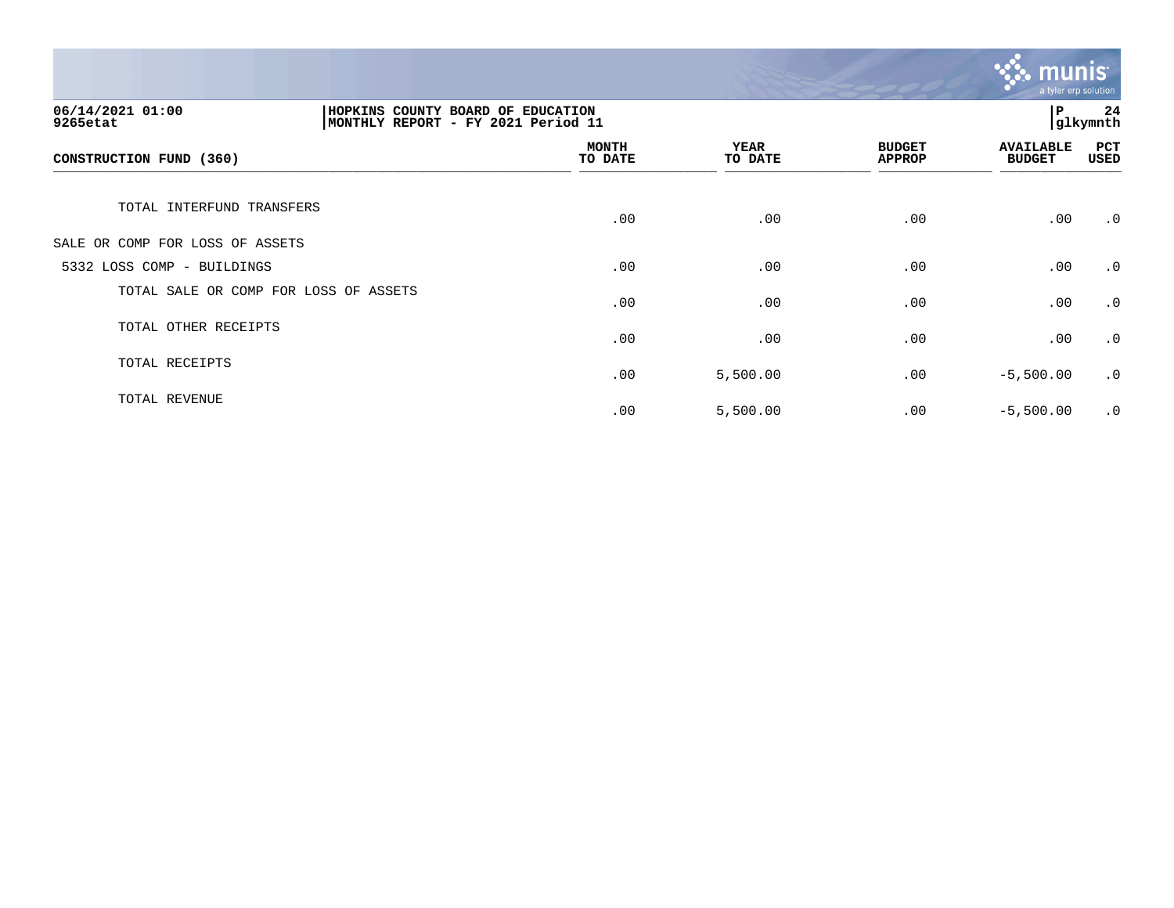

| 06/14/2021 01:00<br>HOPKINS COUNTY BOARD OF EDUCATION<br>MONTHLY REPORT - FY 2021 Period 11<br>9265etat |  |                         |                        |                                | P                                 | 24<br>glkymnth     |
|---------------------------------------------------------------------------------------------------------|--|-------------------------|------------------------|--------------------------------|-----------------------------------|--------------------|
| CONSTRUCTION FUND (360)                                                                                 |  | <b>MONTH</b><br>TO DATE | <b>YEAR</b><br>TO DATE | <b>BUDGET</b><br><b>APPROP</b> | <b>AVAILABLE</b><br><b>BUDGET</b> | PCT<br><b>USED</b> |
| TOTAL INTERFUND TRANSFERS                                                                               |  | .00                     | .00                    | .00                            | .00                               | $\cdot$ 0          |
| SALE OR COMP FOR LOSS OF ASSETS                                                                         |  |                         |                        |                                |                                   |                    |
| 5332 LOSS COMP - BUILDINGS                                                                              |  | .00                     | .00                    | .00                            | .00                               | $\cdot$ 0          |
| TOTAL SALE OR COMP FOR LOSS OF ASSETS                                                                   |  | .00                     | .00                    | .00                            | .00                               | $\cdot$ 0          |
| TOTAL OTHER RECEIPTS                                                                                    |  | .00                     | .00                    | .00                            | .00                               | $\cdot$ 0          |
| TOTAL RECEIPTS                                                                                          |  | .00                     | 5,500.00               | .00                            | $-5,500.00$                       | $\cdot$ 0          |
| TOTAL REVENUE                                                                                           |  | .00                     | 5,500.00               | .00                            | $-5,500.00$                       | $\cdot$ 0          |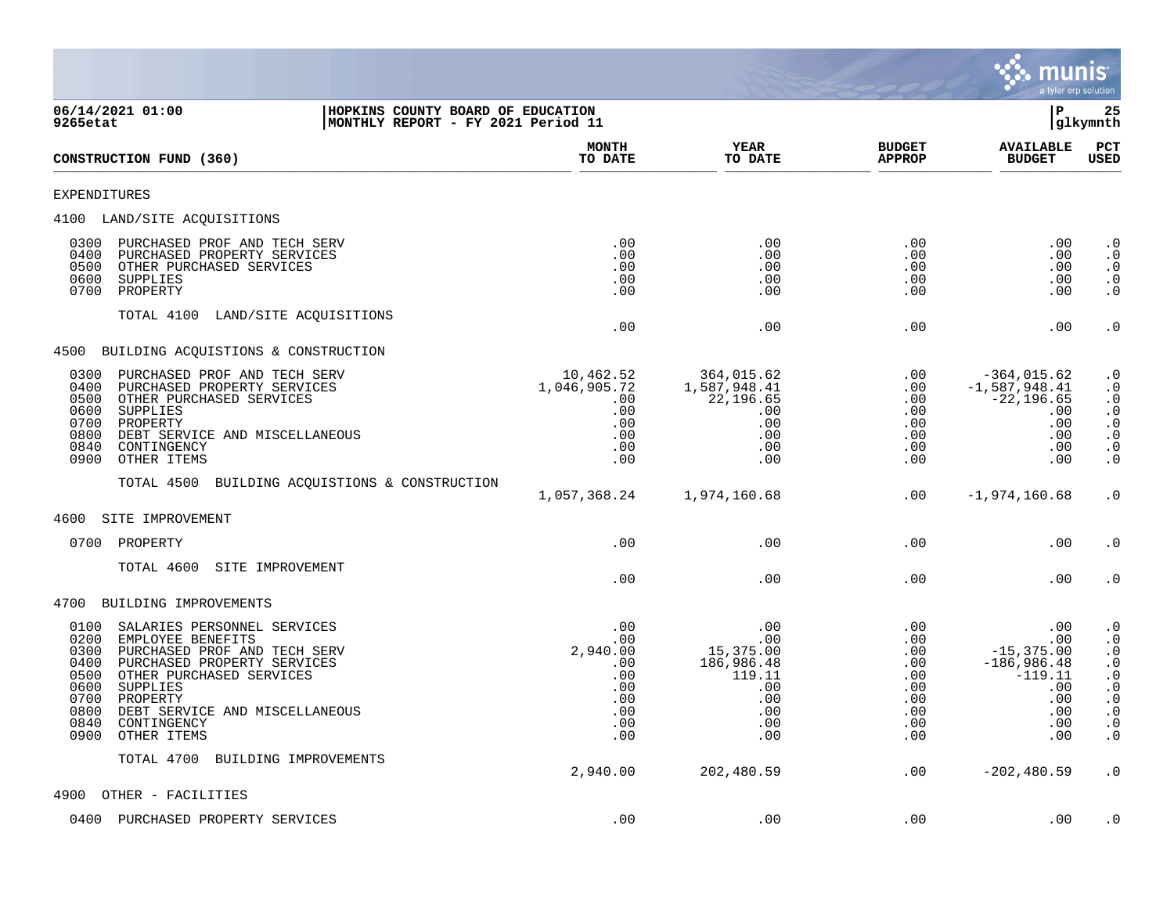

| 06/14/2021 01:00<br>HOPKINS COUNTY BOARD OF EDUCATION<br>MONTHLY REPORT - FY 2021 Period 11<br>9265etat                                                                                                                                                                                                             |                                                                          |                                                                                    | ΙP                                                                 |                                                                                              | 25<br> glkymnth                                                                                                                                                     |  |
|---------------------------------------------------------------------------------------------------------------------------------------------------------------------------------------------------------------------------------------------------------------------------------------------------------------------|--------------------------------------------------------------------------|------------------------------------------------------------------------------------|--------------------------------------------------------------------|----------------------------------------------------------------------------------------------|---------------------------------------------------------------------------------------------------------------------------------------------------------------------|--|
| CONSTRUCTION FUND (360)                                                                                                                                                                                                                                                                                             | <b>MONTH</b><br>TO DATE                                                  | <b>YEAR</b><br>TO DATE                                                             | <b>BUDGET</b><br><b>APPROP</b>                                     | <b>AVAILABLE</b><br><b>BUDGET</b>                                                            | PCT<br><b>USED</b>                                                                                                                                                  |  |
| <b>EXPENDITURES</b>                                                                                                                                                                                                                                                                                                 |                                                                          |                                                                                    |                                                                    |                                                                                              |                                                                                                                                                                     |  |
| 4100 LAND/SITE ACQUISITIONS                                                                                                                                                                                                                                                                                         |                                                                          |                                                                                    |                                                                    |                                                                                              |                                                                                                                                                                     |  |
| 0300<br>PURCHASED PROF AND TECH SERV<br>0400<br>PURCHASED PROPERTY SERVICES<br>0500<br>OTHER PURCHASED SERVICES<br>0600<br>SUPPLIES<br>0700<br>PROPERTY                                                                                                                                                             | .00<br>.00<br>.00<br>.00<br>.00                                          | $.00 \ \rm$<br>.00<br>.00<br>.00<br>.00                                            | .00<br>.00<br>.00<br>.00<br>.00                                    | $.00 \,$<br>.00<br>$.00 \,$<br>.00<br>.00                                                    | $\cdot$ 0<br>$\cdot$ 0<br>$\cdot$ 0<br>$\begin{smallmatrix} 0.1 \\ 0.1 \end{smallmatrix}$                                                                           |  |
| TOTAL 4100 LAND/SITE ACQUISITIONS                                                                                                                                                                                                                                                                                   | .00                                                                      | .00                                                                                | .00                                                                | .00                                                                                          | $\cdot$ 0                                                                                                                                                           |  |
| 4500 BUILDING ACQUISTIONS & CONSTRUCTION                                                                                                                                                                                                                                                                            |                                                                          |                                                                                    |                                                                    |                                                                                              |                                                                                                                                                                     |  |
| 0300<br>PURCHASED PROF AND TECH SERV<br>0400<br>PURCHASED PROPERTY SERVICES<br>0500<br>OTHER PURCHASED SERVICES<br>0600<br>SUPPLIES<br>0700<br>PROPERTY<br>0800<br>DEBT SERVICE AND MISCELLANEOUS<br>0840<br>CONTINGENCY<br>0900<br>OTHER ITEMS                                                                     | 10,462.52<br>1,046,905.72<br>$.00 \,$<br>.00<br>.00<br>.00<br>.00<br>.00 | 364,015.62<br>1,587,948.41<br>22,196.65<br>$.00 \ \rm$<br>.00<br>.00<br>.00<br>.00 | .00<br>.00<br>.00<br>.00<br>.00<br>.00<br>.00<br>.00               | $-364,015.62$<br>$-1,587,948.41$<br>$-22, 196.65$<br>.00<br>.00<br>.00<br>.00<br>.00         | $\cdot$ 0<br>$\cdot$ 0<br>$\begin{array}{c} . & 0 \\ . & 0 \end{array}$<br>$\begin{array}{c} 0.0 \\ 0.0 \\ 0.0 \end{array}$<br>$\cdot$ 0                            |  |
| TOTAL 4500 BUILDING ACQUISTIONS & CONSTRUCTION                                                                                                                                                                                                                                                                      | 1,057,368.24                                                             | 1,974,160.68                                                                       | .00                                                                | $-1,974,160.68$                                                                              | $\cdot$ 0                                                                                                                                                           |  |
| 4600<br>SITE IMPROVEMENT                                                                                                                                                                                                                                                                                            |                                                                          |                                                                                    |                                                                    |                                                                                              |                                                                                                                                                                     |  |
| 0700 PROPERTY                                                                                                                                                                                                                                                                                                       | .00                                                                      | .00                                                                                | .00                                                                | .00                                                                                          | $\cdot$ 0                                                                                                                                                           |  |
| TOTAL 4600<br>SITE IMPROVEMENT                                                                                                                                                                                                                                                                                      | .00                                                                      | .00                                                                                | .00                                                                | .00                                                                                          | $\cdot$ 0                                                                                                                                                           |  |
| 4700 BUILDING IMPROVEMENTS                                                                                                                                                                                                                                                                                          |                                                                          |                                                                                    |                                                                    |                                                                                              |                                                                                                                                                                     |  |
| 0100<br>SALARIES PERSONNEL SERVICES<br>0200<br>EMPLOYEE BENEFITS<br>0300<br>PURCHASED PROF AND TECH SERV<br>0400<br>PURCHASED PROPERTY SERVICES<br>0500<br>OTHER PURCHASED SERVICES<br>0600<br>SUPPLIES<br>0700<br>PROPERTY<br>0800<br>DEBT SERVICE AND MISCELLANEOUS<br>0840<br>CONTINGENCY<br>0900<br>OTHER ITEMS | .00<br>.00<br>2,940.00<br>.00<br>.00<br>.00<br>.00<br>.00<br>.00<br>.00  | .00<br>.00<br>15,375.00<br>186,986.48<br>119.11<br>.00<br>.00<br>.00<br>.00<br>.00 | .00<br>.00<br>.00<br>.00<br>.00<br>.00<br>.00<br>.00<br>.00<br>.00 | .00<br>.00<br>$-15, 375.00$<br>$-186,986.48$<br>$-119.11$<br>.00<br>.00<br>.00<br>.00<br>.00 | $\cdot$ 0<br>$\begin{smallmatrix} 0.1 \\ 0.1 \end{smallmatrix}$<br>$\begin{array}{c} 0 \\ 0 \\ 0 \\ 0 \\ 0 \\ 0 \end{array}$<br>$\cdot$ 0<br>$\cdot$ 0<br>$\cdot$ 0 |  |
| TOTAL 4700<br>BUILDING IMPROVEMENTS                                                                                                                                                                                                                                                                                 | 2,940.00                                                                 | 202,480.59                                                                         | .00                                                                | $-202, 480.59$                                                                               | $\cdot$ 0                                                                                                                                                           |  |
| 4900<br>OTHER - FACILITIES                                                                                                                                                                                                                                                                                          |                                                                          |                                                                                    |                                                                    |                                                                                              |                                                                                                                                                                     |  |
| 0400<br>PURCHASED PROPERTY SERVICES                                                                                                                                                                                                                                                                                 | .00                                                                      | .00                                                                                | .00                                                                | .00                                                                                          | $\cdot$ 0                                                                                                                                                           |  |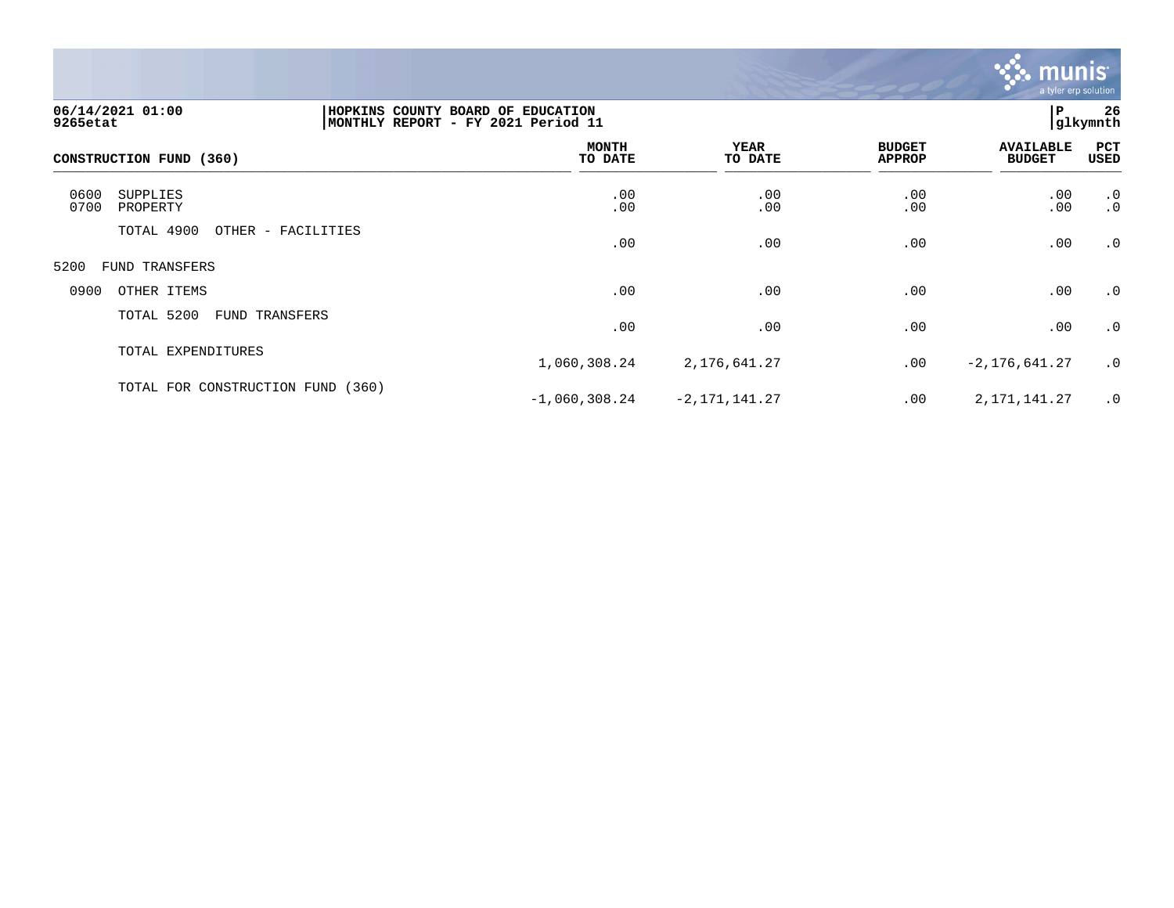

| 06/14/2021 01:00<br>9265etat         |                    | 26<br>HOPKINS COUNTY BOARD OF EDUCATION<br>P<br>glkymnth <br> MONTHLY REPORT - FY 2021 Period 11 |                    |                                |                                   |                        |  |
|--------------------------------------|--------------------|--------------------------------------------------------------------------------------------------|--------------------|--------------------------------|-----------------------------------|------------------------|--|
| CONSTRUCTION FUND (360)              |                    | <b>MONTH</b><br>TO DATE                                                                          | YEAR<br>TO DATE    | <b>BUDGET</b><br><b>APPROP</b> | <b>AVAILABLE</b><br><b>BUDGET</b> | PCT<br>USED            |  |
| 0600<br>SUPPLIES<br>0700<br>PROPERTY |                    | .00<br>.00                                                                                       | .00<br>.00         | .00.00                         | .00.00                            | $\cdot$ 0<br>$\cdot$ 0 |  |
| TOTAL 4900                           | OTHER - FACILITIES | .00                                                                                              | .00                | .00                            | .00                               | .0                     |  |
| 5200<br>FUND TRANSFERS               |                    |                                                                                                  |                    |                                |                                   |                        |  |
| 0900<br>OTHER ITEMS                  |                    | .00                                                                                              | .00                | .00                            | .00                               | $\cdot$ 0              |  |
| TOTAL 5200<br><b>FUND TRANSFERS</b>  |                    | .00                                                                                              | .00                | .00                            | .00                               | .0                     |  |
| TOTAL EXPENDITURES                   |                    | 1,060,308.24                                                                                     | 2,176,641.27       | .00                            | $-2, 176, 641.27$                 | .0                     |  |
| TOTAL FOR CONSTRUCTION FUND          | (360)              | $-1,060,308.24$                                                                                  | $-2, 171, 141, 27$ | .00                            | 2,171,141.27                      | $\cdot$ 0              |  |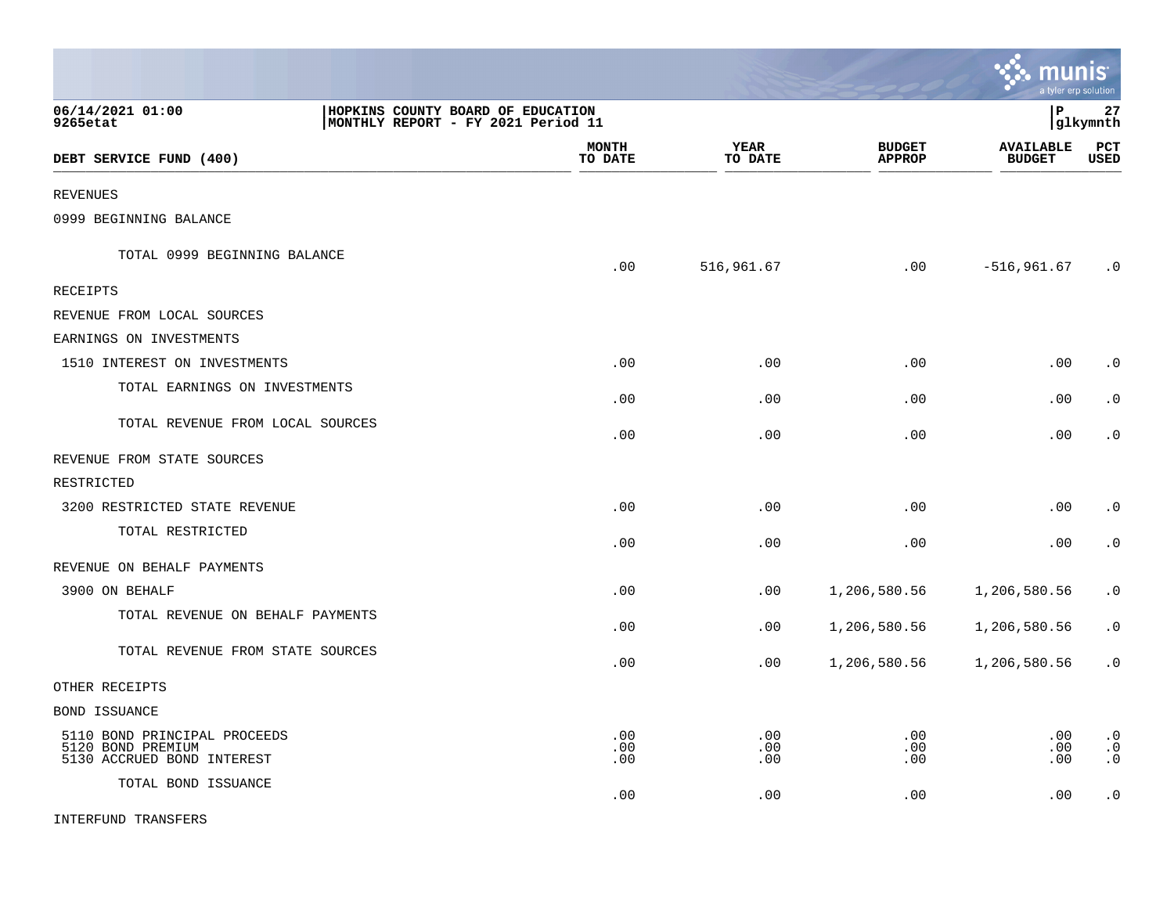|                                                                                                         |                         |                        |                                | <b>munis</b><br>a tyler erp solution |                                     |
|---------------------------------------------------------------------------------------------------------|-------------------------|------------------------|--------------------------------|--------------------------------------|-------------------------------------|
| 06/14/2021 01:00<br>HOPKINS COUNTY BOARD OF EDUCATION<br>9265etat<br>MONTHLY REPORT - FY 2021 Period 11 |                         |                        |                                | l P                                  | 27<br> glkymnth                     |
| DEBT SERVICE FUND (400)                                                                                 | <b>MONTH</b><br>TO DATE | <b>YEAR</b><br>TO DATE | <b>BUDGET</b><br><b>APPROP</b> | <b>AVAILABLE</b><br><b>BUDGET</b>    | PCT<br><b>USED</b>                  |
| <b>REVENUES</b>                                                                                         |                         |                        |                                |                                      |                                     |
| 0999 BEGINNING BALANCE                                                                                  |                         |                        |                                |                                      |                                     |
| TOTAL 0999 BEGINNING BALANCE                                                                            | .00                     | 516,961.67             | .00                            | $-516, 961.67$                       | $\cdot$ 0                           |
| <b>RECEIPTS</b>                                                                                         |                         |                        |                                |                                      |                                     |
| REVENUE FROM LOCAL SOURCES                                                                              |                         |                        |                                |                                      |                                     |
| EARNINGS ON INVESTMENTS                                                                                 |                         |                        |                                |                                      |                                     |
| 1510 INTEREST ON INVESTMENTS                                                                            | .00                     | .00                    | .00                            | .00                                  | $\cdot$ 0                           |
| TOTAL EARNINGS ON INVESTMENTS                                                                           | .00                     | .00                    | .00                            | .00                                  | $\cdot$ 0                           |
| TOTAL REVENUE FROM LOCAL SOURCES                                                                        | .00                     | .00                    | .00                            | .00                                  | $\cdot$ 0                           |
| REVENUE FROM STATE SOURCES                                                                              |                         |                        |                                |                                      |                                     |
| RESTRICTED                                                                                              |                         |                        |                                |                                      |                                     |
| 3200 RESTRICTED STATE REVENUE                                                                           | .00                     | .00                    | .00                            | .00                                  | $\cdot$ 0                           |
| TOTAL RESTRICTED                                                                                        | .00                     | .00                    | .00                            | .00                                  | $\cdot$ 0                           |
| REVENUE ON BEHALF PAYMENTS                                                                              |                         |                        |                                |                                      |                                     |
| 3900 ON BEHALF                                                                                          | .00                     | .00                    | 1,206,580.56                   | 1,206,580.56                         | $\cdot$ 0                           |
| TOTAL REVENUE ON BEHALF PAYMENTS                                                                        | .00                     | .00                    | 1,206,580.56                   | 1,206,580.56                         | $\cdot$ 0                           |
| TOTAL REVENUE FROM STATE SOURCES                                                                        | .00                     | .00                    | 1,206,580.56                   | 1,206,580.56                         | $\cdot$ 0                           |
| OTHER RECEIPTS                                                                                          |                         |                        |                                |                                      |                                     |
| <b>BOND ISSUANCE</b>                                                                                    |                         |                        |                                |                                      |                                     |
| 5110 BOND PRINCIPAL PROCEEDS<br>5120 BOND PREMIUM<br>5130 ACCRUED BOND INTEREST                         | .00<br>.00<br>.00       | .00<br>.00<br>.00      | .00<br>.00<br>.00              | .00<br>.00<br>.00                    | $\cdot$ 0<br>$\cdot$ 0<br>$\cdot$ 0 |
| TOTAL BOND ISSUANCE                                                                                     | .00                     | .00                    | .00                            | .00                                  | $\cdot$ 0                           |

 $\bullet$ 

INTERFUND TRANSFERS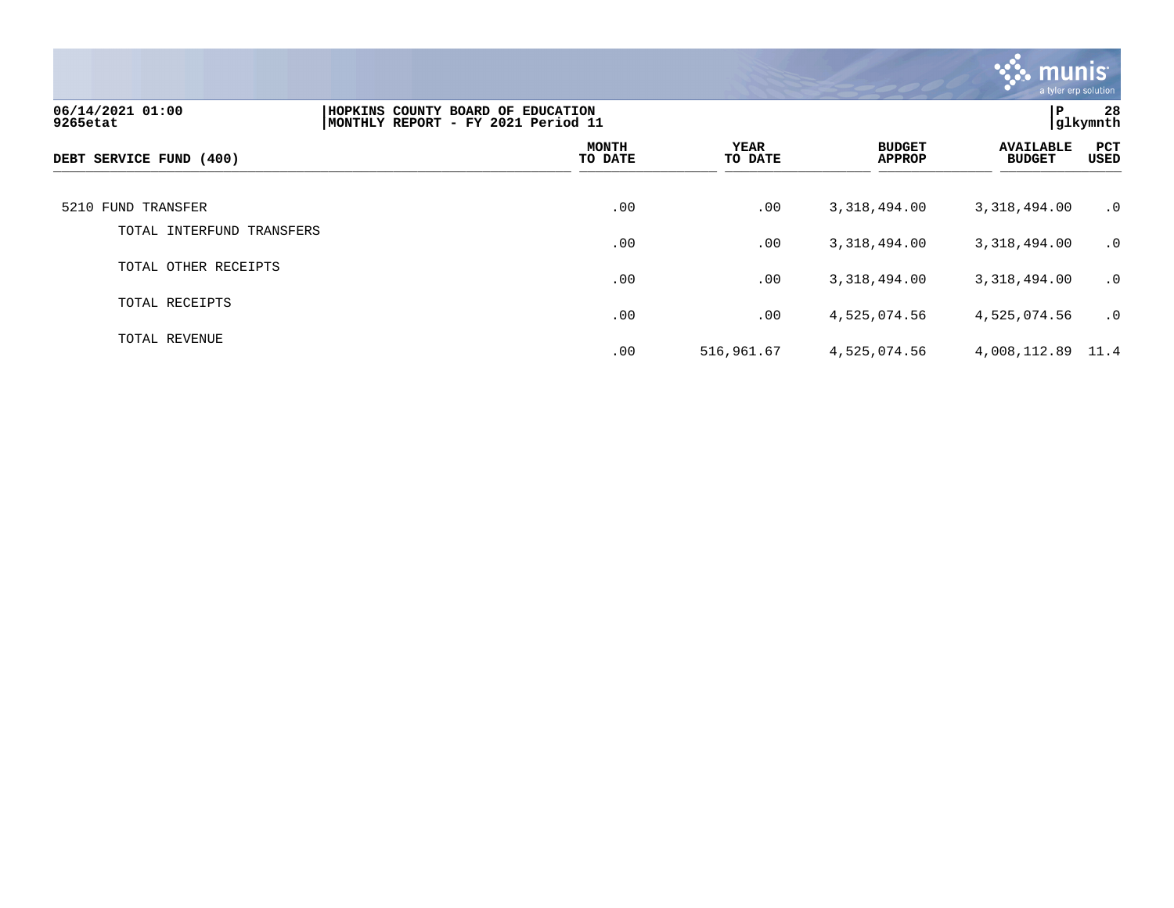

| 06/14/2021 01:00<br>9265etat | P<br>HOPKINS COUNTY BOARD OF EDUCATION<br>glkymnth<br>MONTHLY REPORT - FY 2021 Period 11 |                         |                        |                                |                                   |                    |
|------------------------------|------------------------------------------------------------------------------------------|-------------------------|------------------------|--------------------------------|-----------------------------------|--------------------|
| DEBT SERVICE FUND (400)      |                                                                                          | <b>MONTH</b><br>TO DATE | <b>YEAR</b><br>TO DATE | <b>BUDGET</b><br><b>APPROP</b> | <b>AVAILABLE</b><br><b>BUDGET</b> | <b>PCT</b><br>USED |
| 5210 FUND TRANSFER           |                                                                                          | .00                     | .00                    | 3,318,494.00                   | 3,318,494.00                      | $\cdot$ 0          |
| TOTAL INTERFUND TRANSFERS    |                                                                                          | .00                     | .00                    | 3,318,494.00                   | 3,318,494.00                      | $\cdot$ 0          |
| TOTAL OTHER RECEIPTS         |                                                                                          | .00                     | .00                    | 3,318,494.00                   | 3,318,494.00                      | $\cdot$ 0          |
| TOTAL RECEIPTS               |                                                                                          | .00                     | .00                    | 4,525,074.56                   | 4,525,074.56                      | $\cdot$ 0          |
| TOTAL REVENUE                |                                                                                          | .00                     | 516,961.67             | 4,525,074.56                   | 4,008,112.89 11.4                 |                    |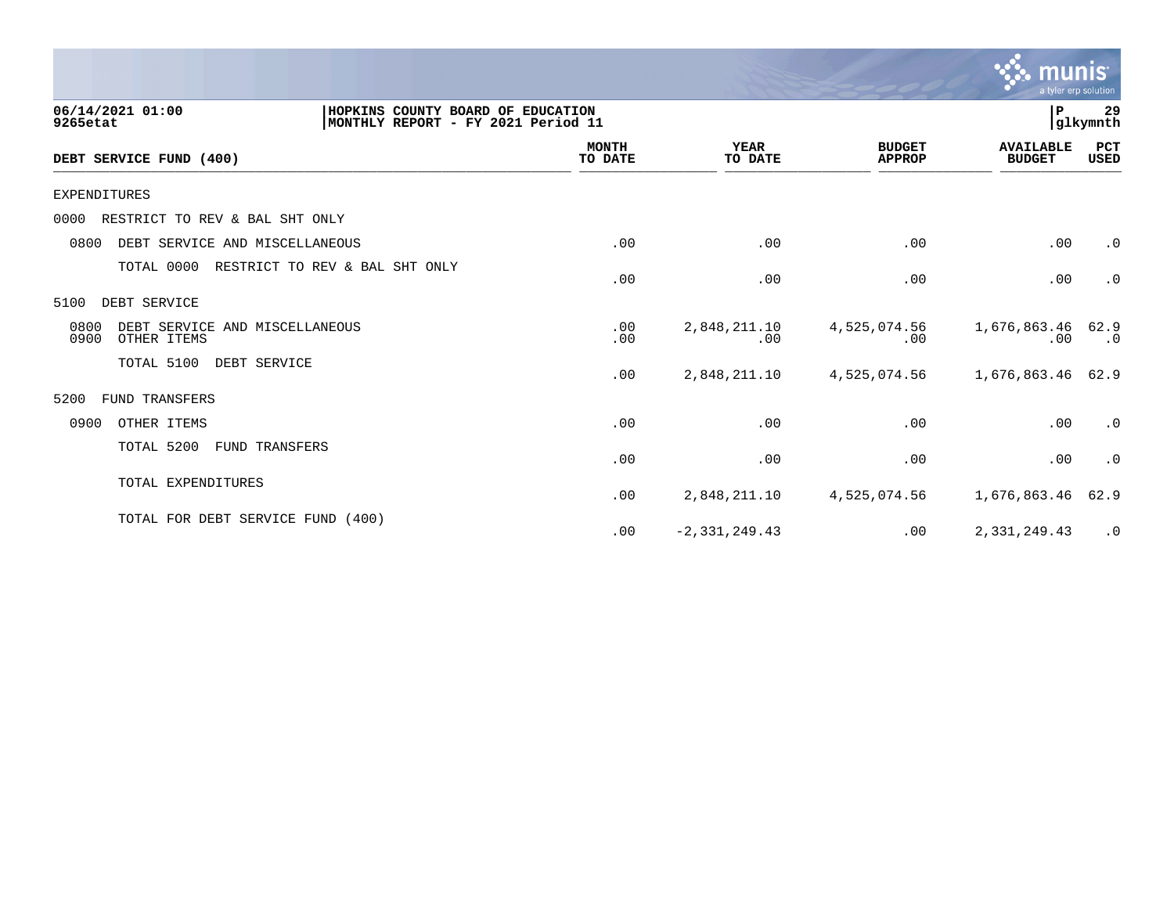|                                                                                                         |                         |                        |                                | munis<br>a tyler erp solution     |                   |
|---------------------------------------------------------------------------------------------------------|-------------------------|------------------------|--------------------------------|-----------------------------------|-------------------|
| 06/14/2021 01:00<br>HOPKINS COUNTY BOARD OF EDUCATION<br>MONTHLY REPORT - FY 2021 Period 11<br>9265etat |                         |                        |                                | P.                                | 29<br>glkymnth    |
| DEBT SERVICE FUND (400)                                                                                 | <b>MONTH</b><br>TO DATE | <b>YEAR</b><br>TO DATE | <b>BUDGET</b><br><b>APPROP</b> | <b>AVAILABLE</b><br><b>BUDGET</b> | PCT<br>USED       |
| <b>EXPENDITURES</b>                                                                                     |                         |                        |                                |                                   |                   |
| RESTRICT TO REV & BAL SHT ONLY<br>0000                                                                  |                         |                        |                                |                                   |                   |
| 0800<br>DEBT SERVICE AND MISCELLANEOUS                                                                  | .00                     | .00                    | .00                            | .00                               | $\cdot$ 0         |
| TOTAL 0000<br>RESTRICT TO REV & BAL SHT ONLY                                                            | .00                     | .00                    | .00                            | .00                               | $\cdot$ 0         |
| DEBT SERVICE<br>5100                                                                                    |                         |                        |                                |                                   |                   |
| 0800<br>DEBT SERVICE AND MISCELLANEOUS<br>0900<br>OTHER ITEMS                                           | .00<br>.00              | 2,848,211.10<br>.00    | 4,525,074.56<br>.00            | 1,676,863.46<br>.00               | 62.9<br>$\cdot$ 0 |
| TOTAL 5100<br>DEBT SERVICE                                                                              | .00                     | 2,848,211.10           | 4,525,074.56                   | 1,676,863.46                      | 62.9              |
| FUND TRANSFERS<br>5200                                                                                  |                         |                        |                                |                                   |                   |
| 0900<br>OTHER ITEMS                                                                                     | .00                     | .00                    | .00                            | .00                               | $\cdot$ 0         |
| TOTAL 5200<br>FUND TRANSFERS                                                                            | .00                     | .00                    | .00                            | .00                               | $\cdot$ 0         |
| TOTAL EXPENDITURES                                                                                      | .00                     | 2,848,211.10           | 4,525,074.56                   | 1,676,863.46                      | 62.9              |
| TOTAL FOR DEBT SERVICE FUND (400)                                                                       | .00                     | $-2, 331, 249.43$      | .00                            | 2,331,249.43                      | $\cdot$ 0         |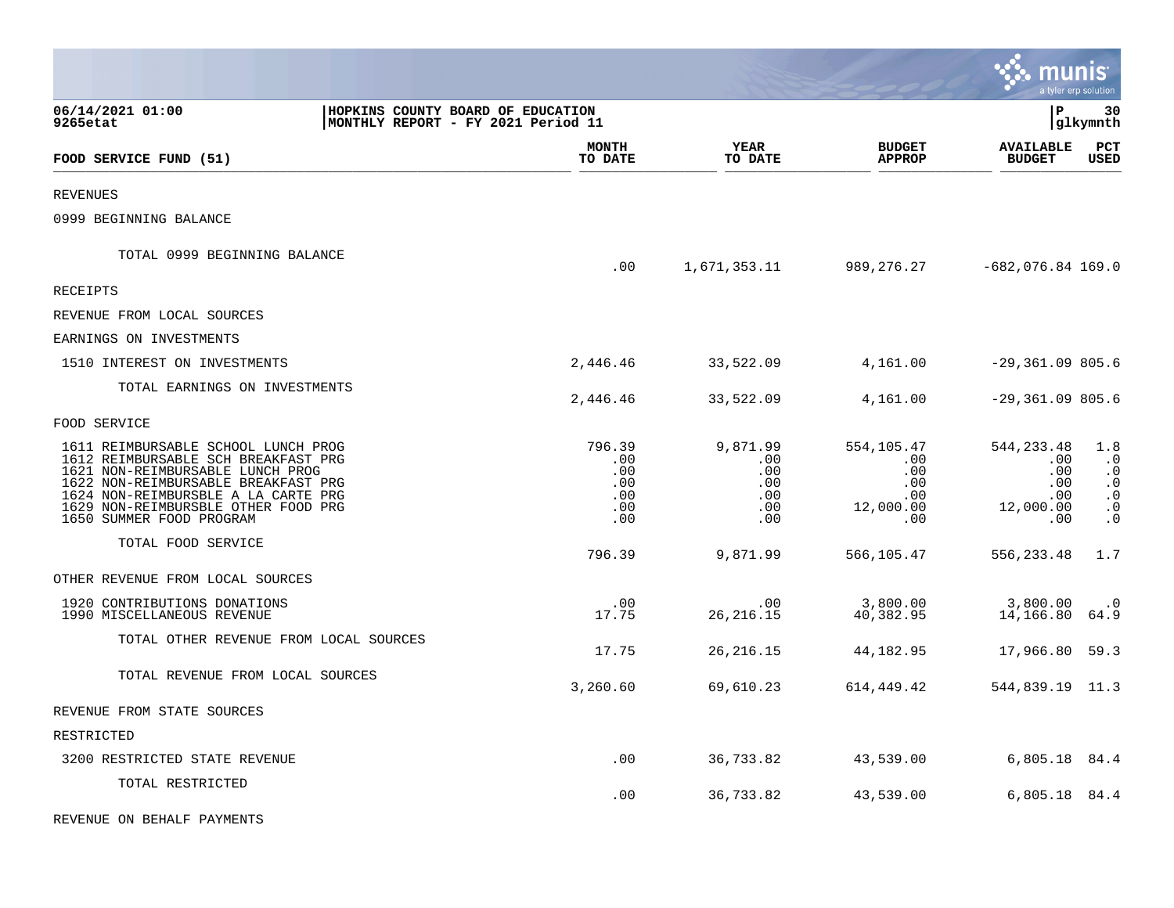|                                                                                                                                                                                                                                                                 |                                                                         |                                                  |                                                         |                                                                           | munis                                                                | a tyler erp solution                                                              |
|-----------------------------------------------------------------------------------------------------------------------------------------------------------------------------------------------------------------------------------------------------------------|-------------------------------------------------------------------------|--------------------------------------------------|---------------------------------------------------------|---------------------------------------------------------------------------|----------------------------------------------------------------------|-----------------------------------------------------------------------------------|
| 06/14/2021 01:00<br>9265etat                                                                                                                                                                                                                                    | HOPKINS COUNTY BOARD OF EDUCATION<br>MONTHLY REPORT - FY 2021 Period 11 |                                                  |                                                         |                                                                           | l P                                                                  | 30<br>glkymnth                                                                    |
| FOOD SERVICE FUND (51)                                                                                                                                                                                                                                          |                                                                         | MONTH<br>TO DATE                                 | <b>YEAR</b><br>TO DATE                                  | <b>BUDGET</b><br><b>APPROP</b>                                            | <b>AVAILABLE</b><br><b>BUDGET</b>                                    | PCT<br><b>USED</b>                                                                |
| <b>REVENUES</b>                                                                                                                                                                                                                                                 |                                                                         |                                                  |                                                         |                                                                           |                                                                      |                                                                                   |
| 0999 BEGINNING BALANCE                                                                                                                                                                                                                                          |                                                                         |                                                  |                                                         |                                                                           |                                                                      |                                                                                   |
| TOTAL 0999 BEGINNING BALANCE                                                                                                                                                                                                                                    |                                                                         | .00                                              | 1,671,353.11                                            |                                                                           | 989,276.27 -682,076.84 169.0                                         |                                                                                   |
| RECEIPTS                                                                                                                                                                                                                                                        |                                                                         |                                                  |                                                         |                                                                           |                                                                      |                                                                                   |
| REVENUE FROM LOCAL SOURCES                                                                                                                                                                                                                                      |                                                                         |                                                  |                                                         |                                                                           |                                                                      |                                                                                   |
| EARNINGS ON INVESTMENTS                                                                                                                                                                                                                                         |                                                                         |                                                  |                                                         |                                                                           |                                                                      |                                                                                   |
| 1510 INTEREST ON INVESTMENTS                                                                                                                                                                                                                                    |                                                                         | 2,446.46                                         | 33,522.09                                               | 4,161.00                                                                  | $-29,361.09805.6$                                                    |                                                                                   |
| TOTAL EARNINGS ON INVESTMENTS                                                                                                                                                                                                                                   |                                                                         | 2,446.46                                         | 33,522.09                                               | 4,161.00                                                                  | $-29,361.09805.6$                                                    |                                                                                   |
| FOOD SERVICE                                                                                                                                                                                                                                                    |                                                                         |                                                  |                                                         |                                                                           |                                                                      |                                                                                   |
| 1611 REIMBURSABLE SCHOOL LUNCH PROG<br>1612 REIMBURSABLE SCH BREAKFAST PRG<br>1621 NON-REIMBURSABLE LUNCH PROG<br>1622 NON-REIMBURSABLE BREAKFAST PRG<br>1624 NON-REIMBURSBLE A LA CARTE PRG<br>1629 NON-REIMBURSBLE OTHER FOOD PRG<br>1650 SUMMER FOOD PROGRAM |                                                                         | 796.39<br>.00<br>.00<br>.00<br>.00<br>.00<br>.00 | 9,871.99<br>$.00 \,$<br>.00<br>.00<br>.00<br>.00<br>.00 | 554,105.47<br>.00<br>$.00 \,$<br>$.00 \,$<br>$.00 \,$<br>12,000.00<br>.00 | 544,233.48<br>$.00 \,$<br>.00<br>.00<br>.00<br>12,000.00<br>$.00 \,$ | 1.8<br>$\cdot$ 0<br>$\cdot$ 0<br>$\cdot$ 0<br>$\cdot$ 0<br>$\cdot$ 0<br>$\cdot$ 0 |
| TOTAL FOOD SERVICE                                                                                                                                                                                                                                              |                                                                         | 796.39                                           | 9,871.99                                                | 566,105.47                                                                | 556,233.48                                                           | 1.7                                                                               |
| OTHER REVENUE FROM LOCAL SOURCES                                                                                                                                                                                                                                |                                                                         |                                                  |                                                         |                                                                           |                                                                      |                                                                                   |
| 1920 CONTRIBUTIONS DONATIONS<br>1990 MISCELLANEOUS REVENUE                                                                                                                                                                                                      |                                                                         | .00<br>17.75                                     | $.00 \,$<br>26, 216. 15                                 | 3,800.00<br>40,382.95                                                     | 3,800.00<br>14, 166.80 64.9                                          | $\cdot$ 0                                                                         |
| TOTAL OTHER REVENUE FROM LOCAL SOURCES                                                                                                                                                                                                                          |                                                                         | 17.75                                            | 26, 216. 15                                             | 44,182.95                                                                 | 17,966.80 59.3                                                       |                                                                                   |
| TOTAL REVENUE FROM LOCAL SOURCES                                                                                                                                                                                                                                |                                                                         | 3,260.60                                         | 69,610.23                                               | 614,449.42                                                                | 544,839.19 11.3                                                      |                                                                                   |
| REVENUE FROM STATE SOURCES                                                                                                                                                                                                                                      |                                                                         |                                                  |                                                         |                                                                           |                                                                      |                                                                                   |
| RESTRICTED                                                                                                                                                                                                                                                      |                                                                         |                                                  |                                                         |                                                                           |                                                                      |                                                                                   |
| 3200 RESTRICTED STATE REVENUE                                                                                                                                                                                                                                   |                                                                         | .00                                              | 36,733.82                                               | 43,539.00                                                                 | 6,805.18 84.4                                                        |                                                                                   |
| TOTAL RESTRICTED                                                                                                                                                                                                                                                |                                                                         | .00                                              | 36,733.82                                               | 43,539.00                                                                 | 6,805.18 84.4                                                        |                                                                                   |
| REVENUE ON BEHALF PAYMENTS                                                                                                                                                                                                                                      |                                                                         |                                                  |                                                         |                                                                           |                                                                      |                                                                                   |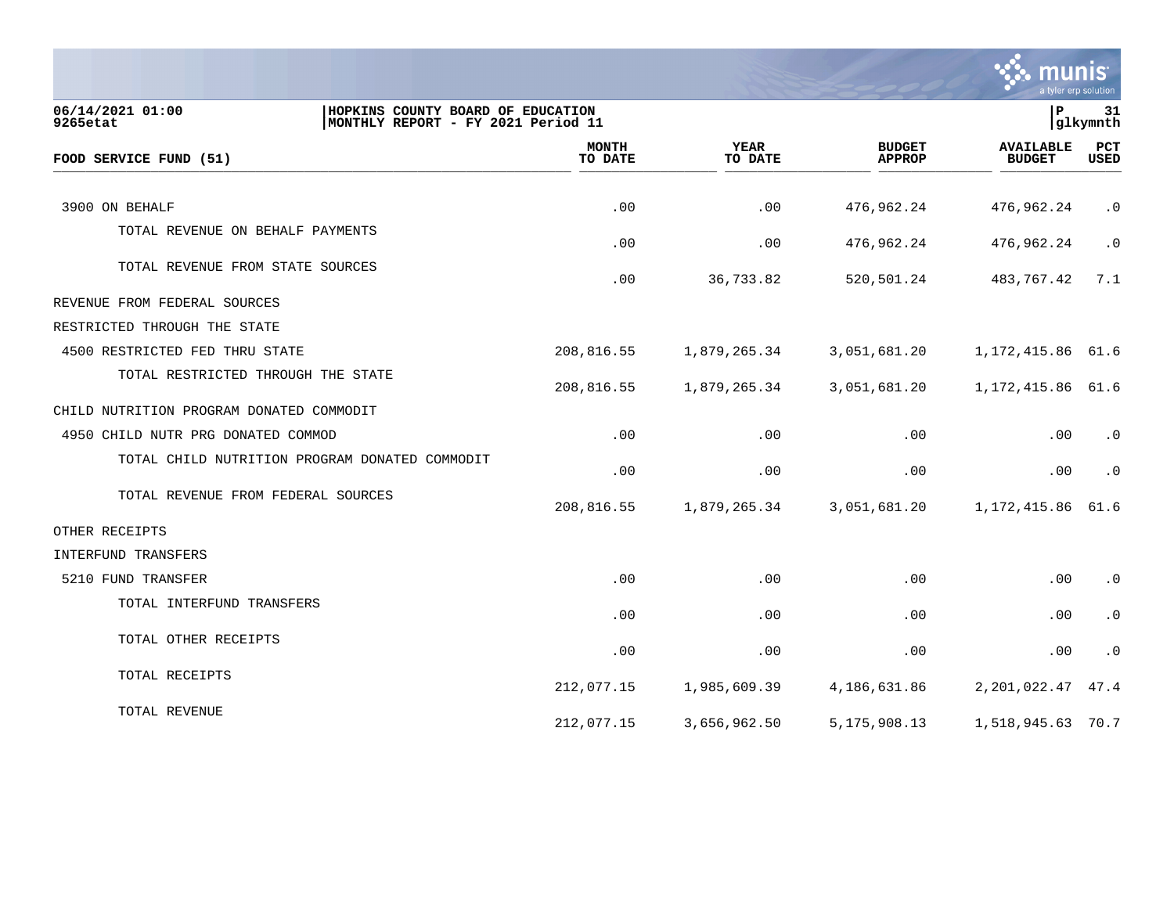

| 06/14/2021 01:00<br>HOPKINS COUNTY BOARD OF EDUCATION<br>9265etat<br>MONTHLY REPORT - FY 2021 Period 11 |                         |                        |                                | l P                               | 31<br>glkymnth |
|---------------------------------------------------------------------------------------------------------|-------------------------|------------------------|--------------------------------|-----------------------------------|----------------|
| FOOD SERVICE FUND (51)                                                                                  | <b>MONTH</b><br>TO DATE | <b>YEAR</b><br>TO DATE | <b>BUDGET</b><br><b>APPROP</b> | <b>AVAILABLE</b><br><b>BUDGET</b> | PCT<br>USED    |
|                                                                                                         |                         |                        |                                |                                   |                |
| 3900 ON BEHALF                                                                                          | .00                     | .00                    | 476,962.24                     | 476,962.24                        | $\cdot$ 0      |
| TOTAL REVENUE ON BEHALF PAYMENTS                                                                        | .00                     | .00                    | 476,962.24                     | 476,962.24                        | $\cdot$ 0      |
| TOTAL REVENUE FROM STATE SOURCES                                                                        | .00                     | 36,733.82              | 520,501.24                     | 483,767.42                        | 7.1            |
| REVENUE FROM FEDERAL SOURCES                                                                            |                         |                        |                                |                                   |                |
| RESTRICTED THROUGH THE STATE                                                                            |                         |                        |                                |                                   |                |
| 4500 RESTRICTED FED THRU STATE                                                                          | 208,816.55              | 1,879,265.34           | 3,051,681.20                   | 1, 172, 415.86 61.6               |                |
| TOTAL RESTRICTED THROUGH THE STATE                                                                      | 208,816.55              | 1,879,265.34           | 3,051,681.20                   | 1, 172, 415.86 61.6               |                |
| CHILD NUTRITION PROGRAM DONATED COMMODIT                                                                |                         |                        |                                |                                   |                |
| 4950 CHILD NUTR PRG DONATED COMMOD                                                                      | .00                     | .00                    | .00                            | .00                               | $\cdot$ 0      |
| TOTAL CHILD NUTRITION PROGRAM DONATED COMMODIT                                                          | .00                     | .00                    | .00                            | .00                               | $\cdot$ 0      |
| TOTAL REVENUE FROM FEDERAL SOURCES                                                                      | 208,816.55              | 1,879,265.34           | 3,051,681.20                   | 1,172,415.86                      | 61.6           |
| OTHER RECEIPTS                                                                                          |                         |                        |                                |                                   |                |
| INTERFUND TRANSFERS                                                                                     |                         |                        |                                |                                   |                |
| 5210 FUND TRANSFER                                                                                      | .00                     | .00                    | .00                            | .00                               | $\cdot$ 0      |
| TOTAL INTERFUND TRANSFERS                                                                               | .00                     | .00                    | .00                            | $.00 \,$                          | $\cdot$ 0      |
| TOTAL OTHER RECEIPTS                                                                                    | .00                     | .00                    | .00                            | .00                               | $\cdot$ 0      |
| TOTAL RECEIPTS                                                                                          | 212,077.15              | 1,985,609.39           | 4,186,631.86                   | 2,201,022.47                      | 47.4           |
| TOTAL REVENUE                                                                                           | 212,077.15              | 3,656,962.50           | 5, 175, 908. 13                | 1,518,945.63 70.7                 |                |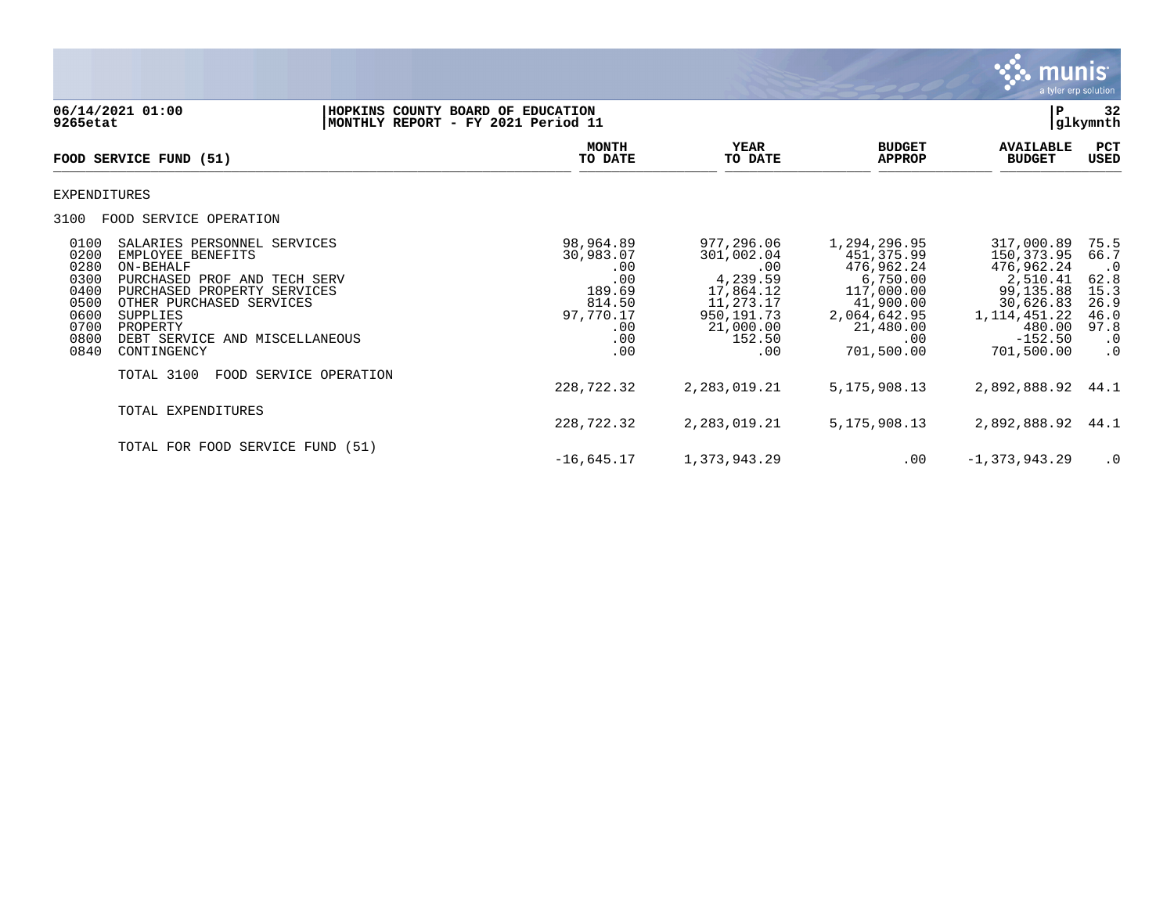

06/14/2021 01:00 **| HOPKINS COUNTY BOARD OF EDUCATION**<br>9265etat | MONTHLY REPORT - FY 2021 Period 11 **9265etat |MONTHLY REPORT - FY 2021 Period 11 |glkymnth MONTH YEAR BUDGET AVAILABLE PCT**<br>TO DATE TO DATE APPROP BUDGET USED FOOD SERVICE FUND (51)  $\overline{10 \text{ MHz}}$   $\overline{10 \text{ MHz}}$   $\overline{10 \text{ MHz}}$   $\overline{10 \text{ MHz}}$   $\overline{10 \text{ MHz}}$   $\overline{10 \text{ MHz}}$   $\overline{10 \text{ MHz}}$   $\overline{10 \text{ MHz}}$   $\overline{10 \text{ MHz}}$   $\overline{10 \text{ MHz}}$   $\overline{10 \text{ MHz}}$   $\overline{10 \text{ MHz}}$   $\overline{10 \text{ MHz}}$   $\overline{10 \text{ MHz}}$   $\overline{10 \text{ MHz}}$   $\overline{10 \text{ MHz$ EXPENDITURES 3100 FOOD SERVICE OPERATION 0100 SALARIES PERSONNEL SERVICES 98,964.89 977,296.06 1,294,296.95 317,000.89 75.5 0200 EMPLOYEE BENEFITS 30,983.07 301,002.04 451,375.99 150,373.95 66.7 0280 ON-BEHALF .00 .00 476,962.24 476,962.24 .0 0300 PURCHASED PROF AND TECH SERV .00 4,239.59 6,750.00 2,510.41 62.8 0400 PURCHASED PROPERTY SERVICES 189.69 17,864.12 117,000.00 99,135.88 15.3<br>0500 OTHER PURCHASED SERVICES 814.50 11,273.17 0500 OTHER PURCHASED SERVICES 614.50 814.50 11,273.17 41,900.00<br>0500 300PPLIES 814,642.95 30,031.770.17 950,191.73 2,064,642.95 0600 SUPPLIES 97,770.17 950,191.73 2,064,642.95 1,114,451.22 46.0 0700 PROPERTY .00 21,000.00 21,480.00 480.00 97.8 0800 DEBT SERVICE AND MISCELLANEOUS .00 152.50 .00 -152.50 .0 0840 CONTINGENCY TOTAL 3100 FOOD SERVICE OPERATION 228,722.32 2,283,019.21 5,175,908.13 2,892,888.92 44.1 TOTAL EXPENDITURES 228,722.32 2,283,019.21 5,175,908.13 2,892,888.92 44.1 TOTAL FOR FOOD SERVICE FUND (51)  $-16,645.17$  1,373,943.29 .00  $-1,373,943.29$  .0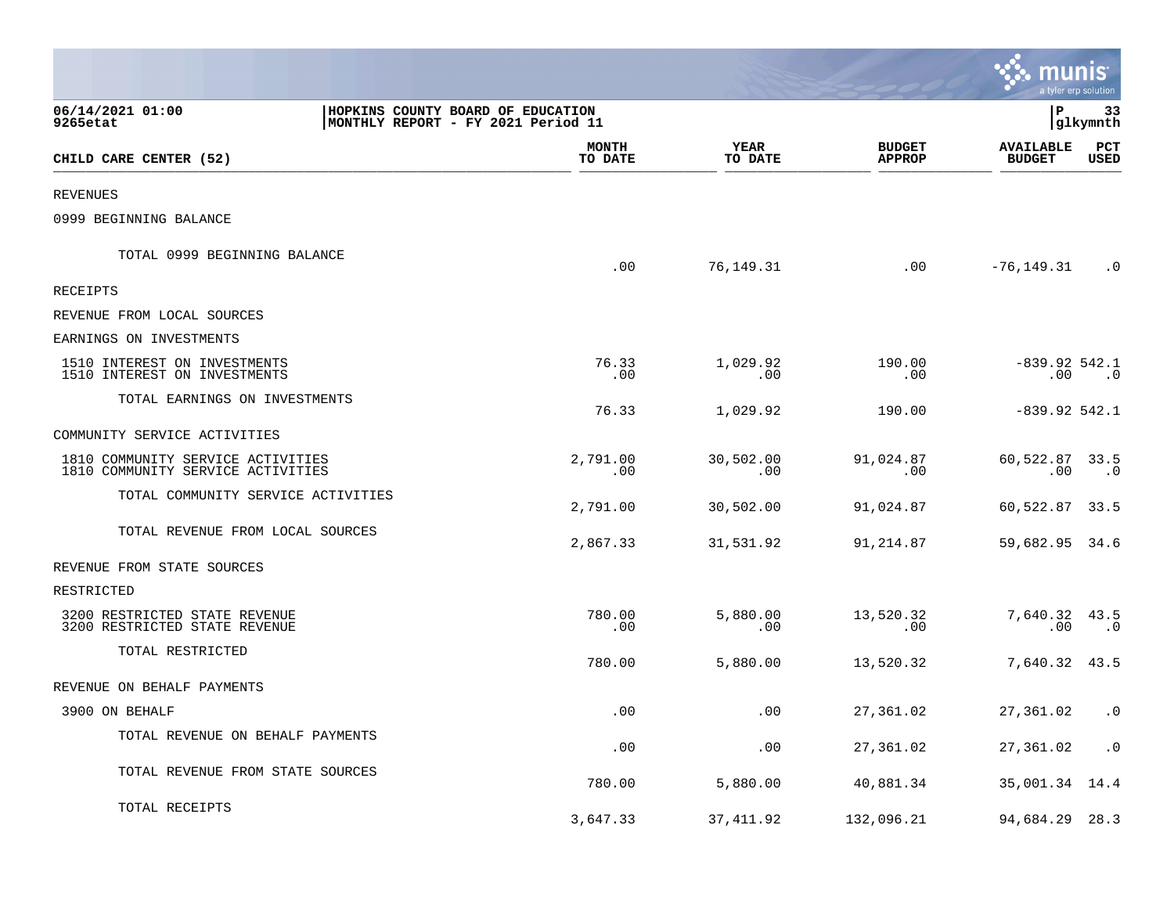|                                                                        |                                                                         |                      |                                | Imu                               | nıs<br>a tyler erp solution |
|------------------------------------------------------------------------|-------------------------------------------------------------------------|----------------------|--------------------------------|-----------------------------------|-----------------------------|
| 06/14/2021 01:00<br>9265etat                                           | HOPKINS COUNTY BOARD OF EDUCATION<br>MONTHLY REPORT - FY 2021 Period 11 |                      |                                | l P                               | 33<br> glkymnth             |
| CHILD CARE CENTER (52)                                                 | <b>MONTH</b><br>TO DATE                                                 | YEAR<br>TO DATE      | <b>BUDGET</b><br><b>APPROP</b> | <b>AVAILABLE</b><br><b>BUDGET</b> | PCT<br><b>USED</b>          |
| <b>REVENUES</b>                                                        |                                                                         |                      |                                |                                   |                             |
| 0999 BEGINNING BALANCE                                                 |                                                                         |                      |                                |                                   |                             |
| TOTAL 0999 BEGINNING BALANCE                                           | .00                                                                     | 76,149.31            | .00                            | -76,149.31                        | $\cdot$ 0                   |
| <b>RECEIPTS</b>                                                        |                                                                         |                      |                                |                                   |                             |
| REVENUE FROM LOCAL SOURCES                                             |                                                                         |                      |                                |                                   |                             |
| EARNINGS ON INVESTMENTS                                                |                                                                         |                      |                                |                                   |                             |
| 1510 INTEREST ON INVESTMENTS<br>1510 INTEREST ON INVESTMENTS           | 76.33<br>.00                                                            | 1,029.92<br>.00      | 190.00<br>.00                  | $-839.92542.1$                    | $.00$ $.0$                  |
| TOTAL EARNINGS ON INVESTMENTS                                          | 76.33                                                                   | 1,029.92             | 190.00                         | $-839.92542.1$                    |                             |
| COMMUNITY SERVICE ACTIVITIES                                           |                                                                         |                      |                                |                                   |                             |
| 1810 COMMUNITY SERVICE ACTIVITIES<br>1810 COMMUNITY SERVICE ACTIVITIES | 2,791.00<br>.00                                                         | 30,502.00<br>.00     | 91,024.87<br>.00               | 60,522.87 33.5<br>.00             | $\overline{\phantom{a}}$ .0 |
| TOTAL COMMUNITY SERVICE ACTIVITIES                                     | 2,791.00                                                                | 30,502.00            | 91,024.87                      | 60,522.87 33.5                    |                             |
| TOTAL REVENUE FROM LOCAL SOURCES                                       | 2,867.33                                                                | 31,531.92            | 91,214.87                      | 59,682.95 34.6                    |                             |
| REVENUE FROM STATE SOURCES                                             |                                                                         |                      |                                |                                   |                             |
| RESTRICTED                                                             |                                                                         |                      |                                |                                   |                             |
| 3200 RESTRICTED STATE REVENUE<br>3200 RESTRICTED STATE REVENUE         | 780.00<br>.00                                                           | 5,880.00<br>$.00 \,$ | 13,520.32<br>.00               | 7,640.32 43.5<br>.00              | $\cdot$ 0                   |
| TOTAL RESTRICTED                                                       | 780.00                                                                  | 5,880.00             | 13,520.32                      | 7,640.32 43.5                     |                             |
| REVENUE ON BEHALF PAYMENTS                                             |                                                                         |                      |                                |                                   |                             |
| 3900 ON BEHALF                                                         | .00                                                                     | .00                  | 27,361.02                      | 27,361.02                         | $\cdot$ 0                   |
| TOTAL REVENUE ON BEHALF PAYMENTS                                       | .00                                                                     | .00                  | 27,361.02                      | 27,361.02                         | $\cdot$ 0                   |
| TOTAL REVENUE FROM STATE SOURCES                                       | 780.00                                                                  | 5,880.00             | 40,881.34                      | 35,001.34 14.4                    |                             |
| TOTAL RECEIPTS                                                         | 3,647.33                                                                | 37,411.92            | 132,096.21                     | 94,684.29 28.3                    |                             |

**The State**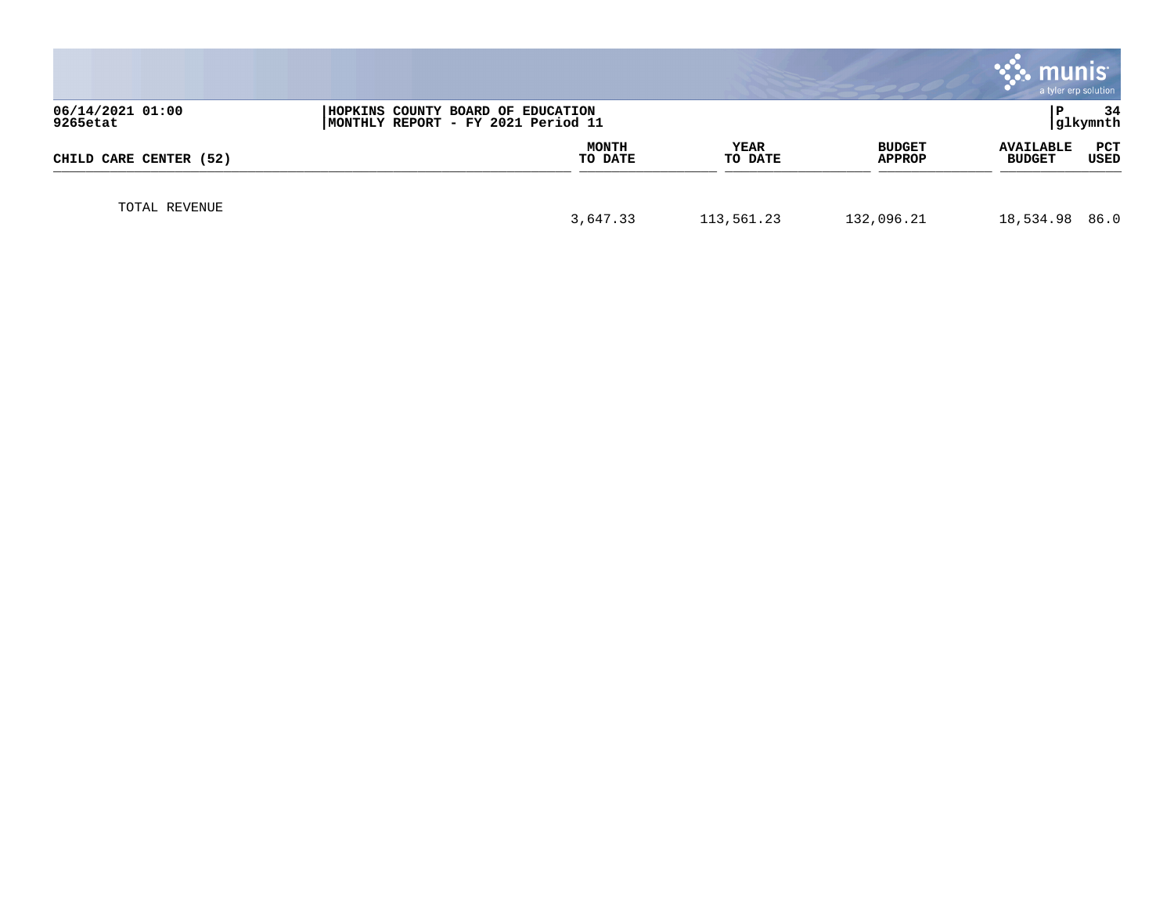|                              |                                                                         |                        |                         | <b>munis</b><br>a tyler erp solution             |
|------------------------------|-------------------------------------------------------------------------|------------------------|-------------------------|--------------------------------------------------|
| 06/14/2021 01:00<br>9265etat | HOPKINS COUNTY BOARD OF EDUCATION<br>MONTHLY REPORT - FY 2021 Period 11 |                        |                         | 34<br>glkymnth                                   |
| CHILD CARE CENTER (52)       | <b>MONTH</b><br>TO DATE                                                 | <b>YEAR</b><br>TO DATE | <b>BUDGET</b><br>APPROP | <b>AVAILABLE</b><br>PCT<br>USED<br><b>BUDGET</b> |
| TOTAL REVENUE                | 3,647.33                                                                | 113,561.23             | 132,096.21              | 18,534.98 86.0                                   |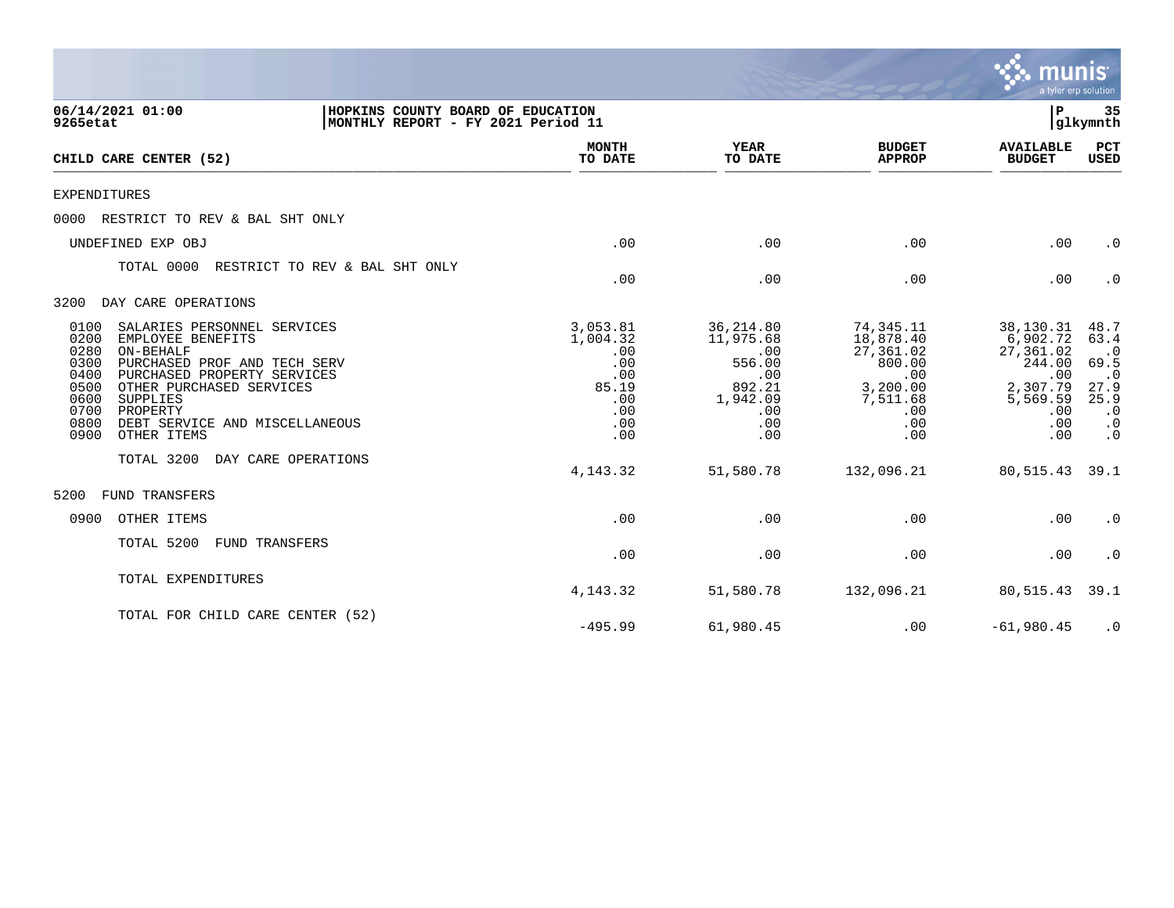|                                                                                                                                                                                                                                                                                                                   |                                                                                |                                                                                           |                                                                                                   | munis<br>a tyler erp solution                                                                    |                                                                                                       |
|-------------------------------------------------------------------------------------------------------------------------------------------------------------------------------------------------------------------------------------------------------------------------------------------------------------------|--------------------------------------------------------------------------------|-------------------------------------------------------------------------------------------|---------------------------------------------------------------------------------------------------|--------------------------------------------------------------------------------------------------|-------------------------------------------------------------------------------------------------------|
| HOPKINS COUNTY BOARD OF EDUCATION<br>06/14/2021 01:00<br>9265etat<br>MONTHLY REPORT - FY 2021 Period 11                                                                                                                                                                                                           |                                                                                |                                                                                           |                                                                                                   | ${\bf P}$                                                                                        | 35<br>glkymnth                                                                                        |
| CHILD CARE CENTER (52)                                                                                                                                                                                                                                                                                            | <b>MONTH</b><br>TO DATE                                                        | <b>YEAR</b><br>TO DATE                                                                    | <b>BUDGET</b><br><b>APPROP</b>                                                                    | <b>AVAILABLE</b><br><b>BUDGET</b>                                                                | PCT<br>USED                                                                                           |
| <b>EXPENDITURES</b>                                                                                                                                                                                                                                                                                               |                                                                                |                                                                                           |                                                                                                   |                                                                                                  |                                                                                                       |
| RESTRICT TO REV & BAL SHT ONLY<br>0000                                                                                                                                                                                                                                                                            |                                                                                |                                                                                           |                                                                                                   |                                                                                                  |                                                                                                       |
| UNDEFINED EXP OBJ                                                                                                                                                                                                                                                                                                 | .00                                                                            | .00                                                                                       | .00                                                                                               | .00                                                                                              | $\cdot$ 0                                                                                             |
| TOTAL 0000<br>RESTRICT TO REV & BAL SHT ONLY                                                                                                                                                                                                                                                                      | .00                                                                            | .00                                                                                       | .00                                                                                               | .00                                                                                              | $\cdot$ 0                                                                                             |
| 3200<br>DAY CARE OPERATIONS                                                                                                                                                                                                                                                                                       |                                                                                |                                                                                           |                                                                                                   |                                                                                                  |                                                                                                       |
| SALARIES PERSONNEL SERVICES<br>0100<br>0200<br>EMPLOYEE BENEFITS<br>0280<br>ON-BEHALF<br>0300<br>PURCHASED PROF AND TECH SERV<br>0400<br>PURCHASED PROPERTY SERVICES<br>0500<br>OTHER PURCHASED SERVICES<br>0600<br>SUPPLIES<br>0700<br>PROPERTY<br>0800<br>DEBT SERVICE AND MISCELLANEOUS<br>0900<br>OTHER ITEMS | 3,053.81<br>1,004.32<br>.00<br>.00<br>.00<br>85.19<br>.00<br>.00<br>.00<br>.00 | 36,214.80<br>11,975.68<br>.00<br>556.00<br>.00<br>892.21<br>1,942.09<br>.00<br>.00<br>.00 | 74,345.11<br>18,878.40<br>27,361.02<br>800.00<br>.00<br>3,200.00<br>7,511.68<br>.00<br>.00<br>.00 | 38,130.31<br>6,902.72<br>27,361.02<br>244.00<br>.00<br>2,307.79<br>5,569.59<br>.00<br>.00<br>.00 | 48.7<br>63.4<br>$\cdot$ 0<br>69.5<br>$\cdot$ 0<br>27.9<br>25.9<br>$\cdot$ 0<br>$\cdot$ 0<br>$\cdot$ 0 |
| TOTAL 3200<br>DAY CARE OPERATIONS                                                                                                                                                                                                                                                                                 |                                                                                |                                                                                           |                                                                                                   |                                                                                                  |                                                                                                       |
| <b>FUND TRANSFERS</b><br>5200                                                                                                                                                                                                                                                                                     | 4, 143.32                                                                      | 51,580.78                                                                                 | 132,096.21                                                                                        | 80,515.43                                                                                        | 39.1                                                                                                  |
| 0900<br>OTHER ITEMS                                                                                                                                                                                                                                                                                               | .00                                                                            | .00                                                                                       | .00                                                                                               | .00                                                                                              | $\cdot$ 0                                                                                             |
| TOTAL 5200<br>FUND TRANSFERS                                                                                                                                                                                                                                                                                      | .00                                                                            | .00                                                                                       | .00                                                                                               | .00                                                                                              | $\cdot$ 0                                                                                             |
| TOTAL EXPENDITURES                                                                                                                                                                                                                                                                                                | 4, 143. 32                                                                     | 51,580.78                                                                                 | 132,096.21                                                                                        | 80,515.43                                                                                        | 39.1                                                                                                  |
| TOTAL FOR CHILD CARE CENTER (52)                                                                                                                                                                                                                                                                                  | $-495.99$                                                                      | 61,980.45                                                                                 | .00                                                                                               | $-61,980.45$                                                                                     | $\cdot$ 0                                                                                             |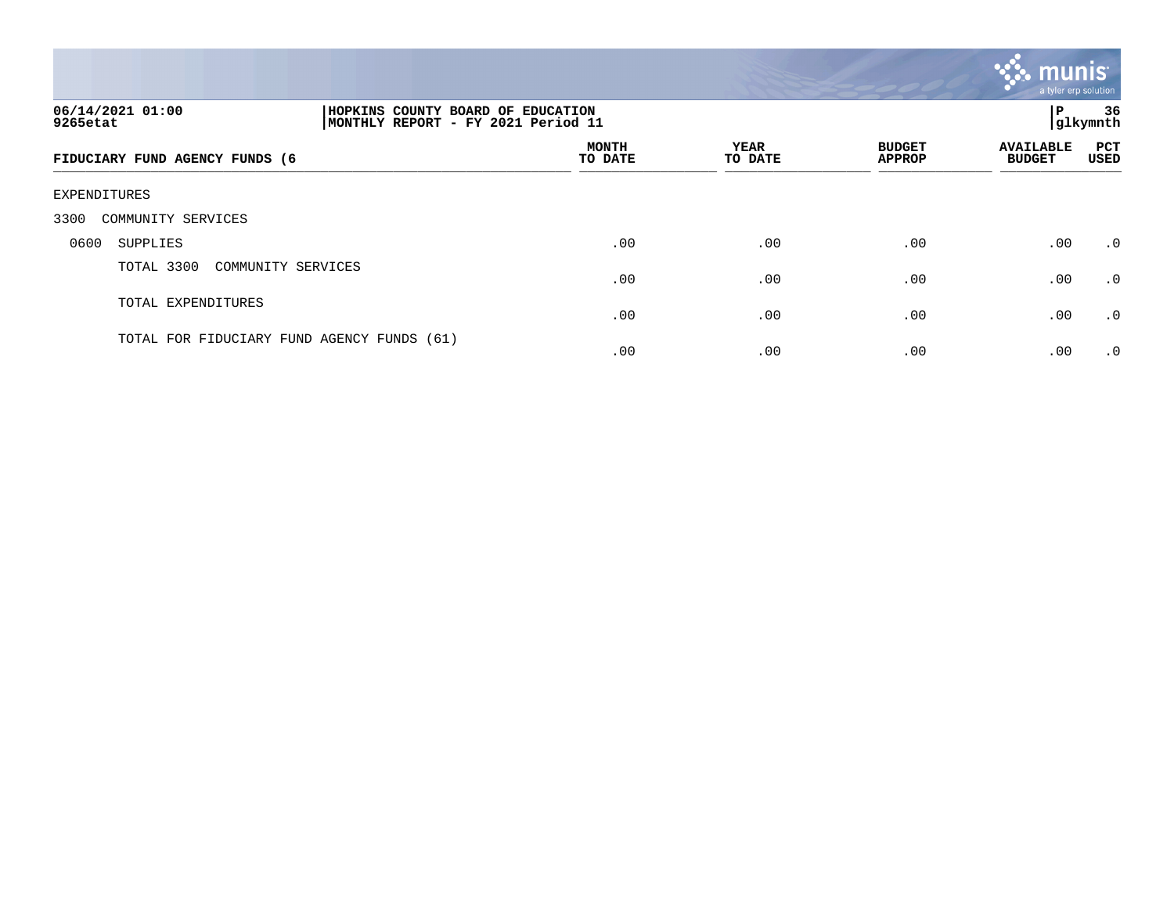

| 06/14/2021 01:00<br>HOPKINS COUNTY BOARD OF EDUCATION<br>MONTHLY REPORT - FY 2021 Period 11<br>9265etat |  |                         |                        |                                | ΙP                                | 36<br> glkymnth |
|---------------------------------------------------------------------------------------------------------|--|-------------------------|------------------------|--------------------------------|-----------------------------------|-----------------|
| FIDUCIARY FUND AGENCY FUNDS (6                                                                          |  | <b>MONTH</b><br>TO DATE | <b>YEAR</b><br>TO DATE | <b>BUDGET</b><br><b>APPROP</b> | <b>AVAILABLE</b><br><b>BUDGET</b> | PCT<br>USED     |
| EXPENDITURES                                                                                            |  |                         |                        |                                |                                   |                 |
| COMMUNITY SERVICES<br>3300                                                                              |  |                         |                        |                                |                                   |                 |
| 0600<br>SUPPLIES                                                                                        |  | .00                     | .00                    | .00                            | .00                               | .0              |
| TOTAL 3300<br>COMMUNITY SERVICES                                                                        |  | .00                     | .00                    | .00                            | .00                               | $\cdot$ 0       |
| TOTAL EXPENDITURES                                                                                      |  | .00                     | .00                    | .00                            | .00                               | .0              |
| TOTAL FOR FIDUCIARY FUND AGENCY FUNDS (61)                                                              |  | .00                     | .00                    | .00                            | .00                               | $\cdot$ 0       |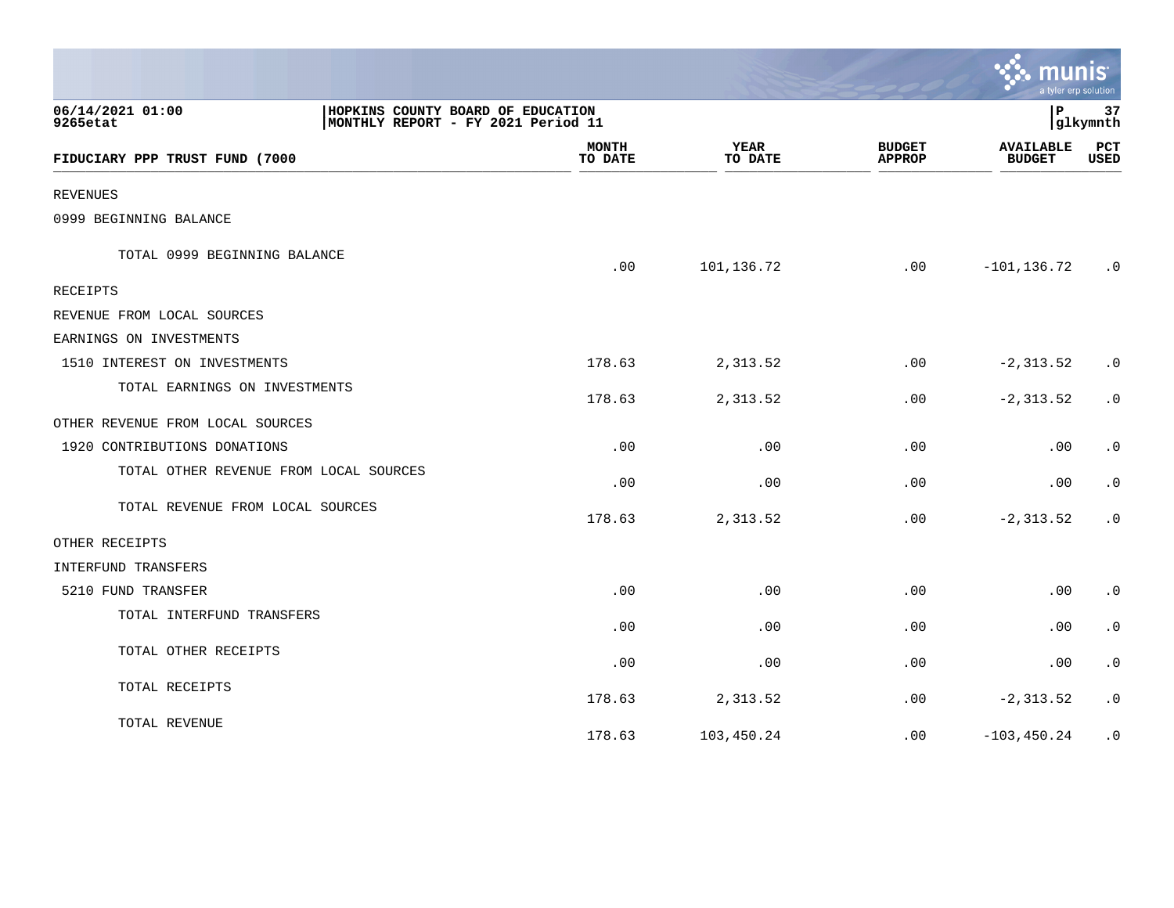|                                        |                                                                                                   |                        |                                | mun                               | a tyler erp solution   |  |  |  |
|----------------------------------------|---------------------------------------------------------------------------------------------------|------------------------|--------------------------------|-----------------------------------|------------------------|--|--|--|
| 06/14/2021 01:00<br>9265etat           | HOPKINS COUNTY BOARD OF EDUCATION<br>l P<br>37<br>glkymnth <br>MONTHLY REPORT - FY 2021 Period 11 |                        |                                |                                   |                        |  |  |  |
| FIDUCIARY PPP TRUST FUND (7000         | <b>MONTH</b><br>TO DATE                                                                           | <b>YEAR</b><br>TO DATE | <b>BUDGET</b><br><b>APPROP</b> | <b>AVAILABLE</b><br><b>BUDGET</b> | PCT<br>USED            |  |  |  |
| <b>REVENUES</b>                        |                                                                                                   |                        |                                |                                   |                        |  |  |  |
| 0999 BEGINNING BALANCE                 |                                                                                                   |                        |                                |                                   |                        |  |  |  |
| TOTAL 0999 BEGINNING BALANCE           | .00                                                                                               | 101,136.72             | .00                            | $-101, 136.72$                    | $\cdot$ 0              |  |  |  |
| <b>RECEIPTS</b>                        |                                                                                                   |                        |                                |                                   |                        |  |  |  |
| REVENUE FROM LOCAL SOURCES             |                                                                                                   |                        |                                |                                   |                        |  |  |  |
| EARNINGS ON INVESTMENTS                |                                                                                                   |                        |                                |                                   |                        |  |  |  |
| 1510 INTEREST ON INVESTMENTS           | 178.63                                                                                            | 2,313.52               | .00                            | $-2, 313.52$                      | $\cdot$ 0              |  |  |  |
| TOTAL EARNINGS ON INVESTMENTS          | 178.63                                                                                            | 2,313.52               | .00                            | $-2, 313.52$                      | $\cdot$ 0              |  |  |  |
| OTHER REVENUE FROM LOCAL SOURCES       |                                                                                                   |                        |                                |                                   |                        |  |  |  |
| 1920 CONTRIBUTIONS DONATIONS           | .00                                                                                               | .00                    | .00                            | .00                               | $\cdot$ 0              |  |  |  |
| TOTAL OTHER REVENUE FROM LOCAL SOURCES | .00                                                                                               | .00                    | .00                            | .00                               | $\cdot$ 0              |  |  |  |
| TOTAL REVENUE FROM LOCAL SOURCES       | 178.63                                                                                            | 2,313.52               | .00                            | $-2, 313.52$                      | $\cdot$ 0              |  |  |  |
| OTHER RECEIPTS                         |                                                                                                   |                        |                                |                                   |                        |  |  |  |
| INTERFUND TRANSFERS                    |                                                                                                   |                        |                                |                                   |                        |  |  |  |
| 5210 FUND TRANSFER                     | .00                                                                                               | .00                    | .00                            | .00                               | $\cdot$ 0              |  |  |  |
| TOTAL INTERFUND TRANSFERS              | .00                                                                                               | .00                    | .00                            | .00                               | $\cdot$ 0              |  |  |  |
| TOTAL OTHER RECEIPTS                   | .00                                                                                               | .00                    | .00.                           | $.00 \,$                          | $\cdot$ 0              |  |  |  |
| TOTAL RECEIPTS                         | 178.63                                                                                            | 2,313.52               | .00                            | $-2, 313.52$                      | $\boldsymbol{\cdot}$ 0 |  |  |  |
| TOTAL REVENUE                          | 178.63                                                                                            | 103,450.24             | .00                            | $-103, 450.24$                    | $\cdot$ 0              |  |  |  |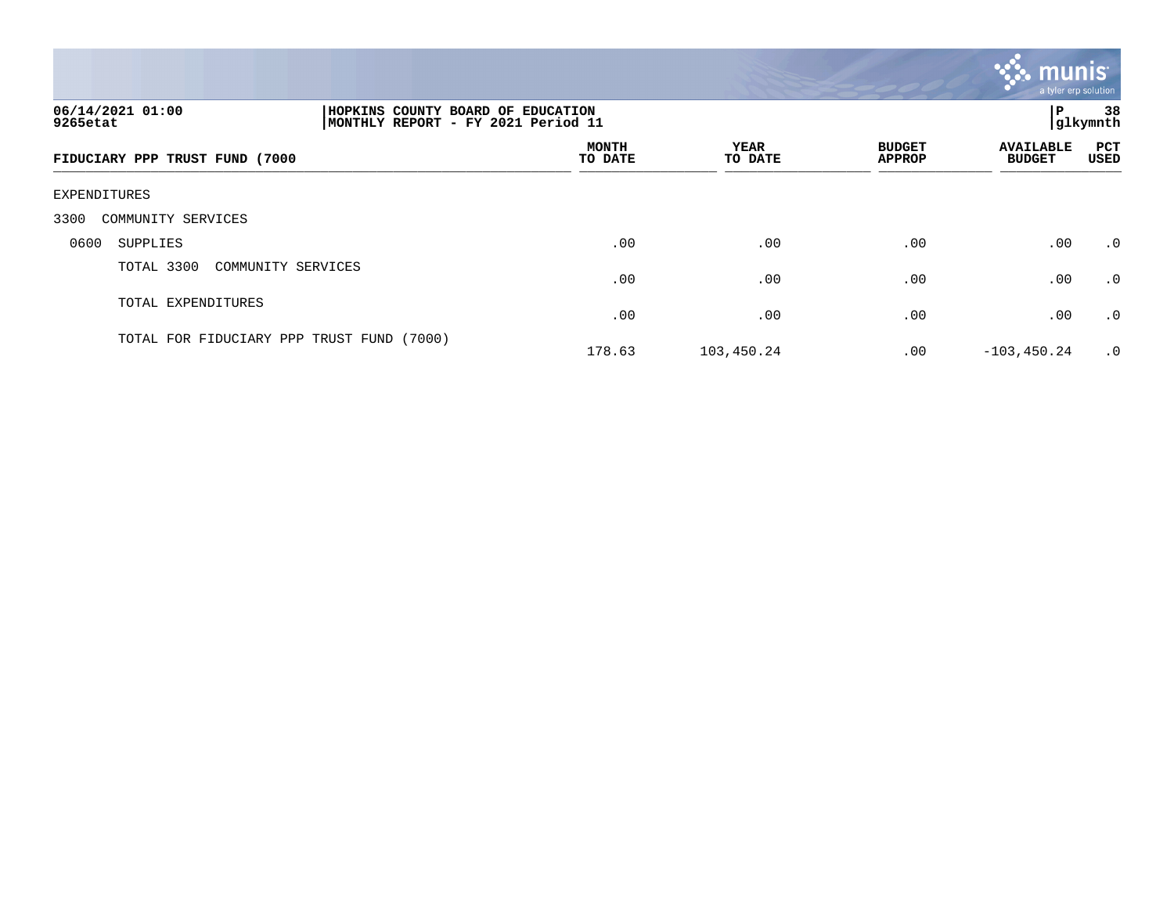

| 06/14/2021 01:00<br>9265etat              | HOPKINS COUNTY BOARD OF EDUCATION<br> MONTHLY REPORT - FY 2021 Period 11 |                 |                                |                                   |             |  |  |
|-------------------------------------------|--------------------------------------------------------------------------|-----------------|--------------------------------|-----------------------------------|-------------|--|--|
| FIDUCIARY PPP TRUST FUND (7000            | <b>MONTH</b><br>TO DATE                                                  | YEAR<br>TO DATE | <b>BUDGET</b><br><b>APPROP</b> | <b>AVAILABLE</b><br><b>BUDGET</b> | PCT<br>USED |  |  |
| EXPENDITURES                              |                                                                          |                 |                                |                                   |             |  |  |
| 3300<br>COMMUNITY SERVICES                |                                                                          |                 |                                |                                   |             |  |  |
| 0600<br>SUPPLIES                          | .00                                                                      | .00             | .00                            | .00                               | .0          |  |  |
| TOTAL 3300<br>COMMUNITY SERVICES          | .00                                                                      | .00             | .00                            | .00                               | .0          |  |  |
| TOTAL EXPENDITURES                        | .00                                                                      | .00             | .00                            | .00                               | .0          |  |  |
| TOTAL FOR FIDUCIARY PPP TRUST FUND (7000) | 178.63                                                                   | 103,450.24      | .00                            | $-103, 450.24$                    | $\cdot$ 0   |  |  |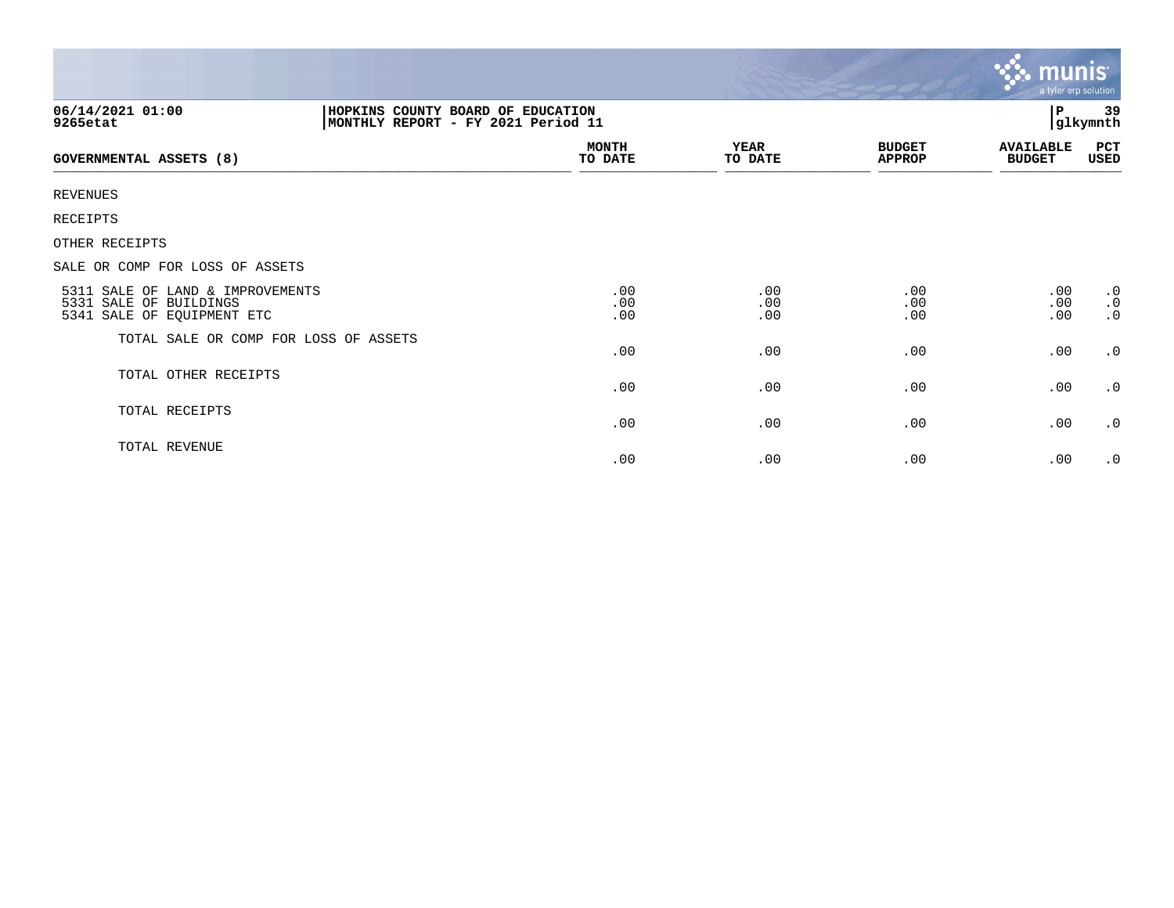|                                                                                                         |                         |                        |                                | $\mathsf{m}$ unis $\mathsf{m}$<br><b>Beach</b><br>a tyler erp solution |                                     |
|---------------------------------------------------------------------------------------------------------|-------------------------|------------------------|--------------------------------|------------------------------------------------------------------------|-------------------------------------|
| 06/14/2021 01:00<br>HOPKINS COUNTY BOARD OF EDUCATION<br>MONTHLY REPORT - FY 2021 Period 11<br>9265etat |                         |                        |                                | P                                                                      | 39<br>glkymnth                      |
| <b>GOVERNMENTAL ASSETS (8)</b>                                                                          | <b>MONTH</b><br>TO DATE | <b>YEAR</b><br>TO DATE | <b>BUDGET</b><br><b>APPROP</b> | <b>AVAILABLE</b><br><b>BUDGET</b>                                      | PCT<br>USED                         |
| <b>REVENUES</b>                                                                                         |                         |                        |                                |                                                                        |                                     |
| RECEIPTS                                                                                                |                         |                        |                                |                                                                        |                                     |
| OTHER RECEIPTS                                                                                          |                         |                        |                                |                                                                        |                                     |
| SALE OR COMP FOR LOSS OF ASSETS                                                                         |                         |                        |                                |                                                                        |                                     |
| 5311 SALE OF LAND & IMPROVEMENTS<br>5331 SALE OF BUILDINGS<br>5341 SALE OF EQUIPMENT ETC                | .00<br>.00<br>.00       | .00<br>.00<br>.00      | .00<br>.00<br>.00              | .00<br>.00<br>.00                                                      | $\cdot$ 0<br>$\cdot$ 0<br>$\cdot$ 0 |
| TOTAL SALE OR COMP FOR LOSS OF ASSETS                                                                   | .00                     | .00                    | .00                            | .00                                                                    | .0                                  |
| TOTAL OTHER RECEIPTS                                                                                    | .00                     | .00                    | .00                            | .00                                                                    | $\cdot$ 0                           |
| TOTAL RECEIPTS                                                                                          | .00                     | .00                    | .00                            | .00                                                                    | $\cdot$ 0                           |
| TOTAL REVENUE                                                                                           | .00                     | .00                    | .00                            | .00                                                                    | $\cdot$ 0                           |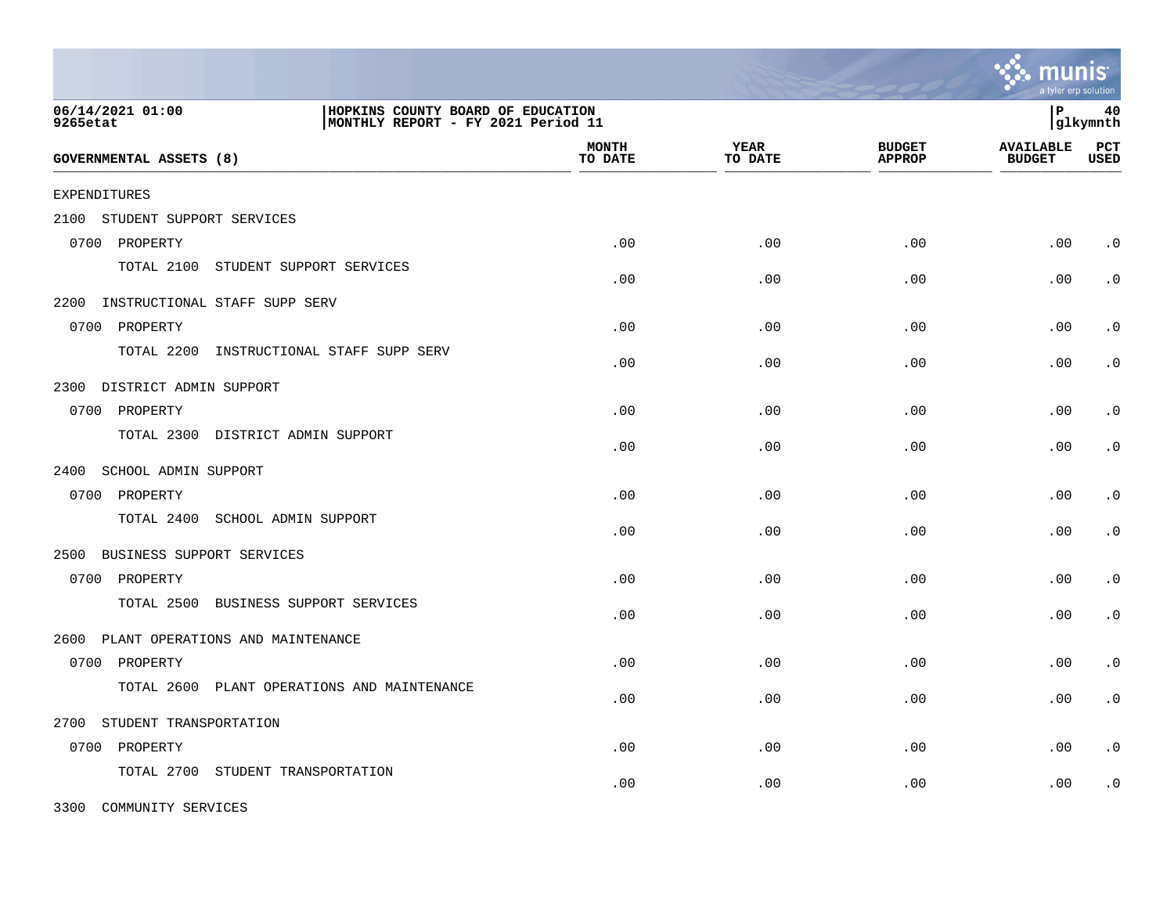|                                                                                                         |                                  |                         |                        |                                | a tyler erp solution              |                    |
|---------------------------------------------------------------------------------------------------------|----------------------------------|-------------------------|------------------------|--------------------------------|-----------------------------------|--------------------|
| 06/14/2021 01:00<br>HOPKINS COUNTY BOARD OF EDUCATION<br>MONTHLY REPORT - FY 2021 Period 11<br>9265etat |                                  |                         |                        |                                | l P                               | 40<br> glkymnth    |
| GOVERNMENTAL ASSETS (8)                                                                                 |                                  | <b>MONTH</b><br>TO DATE | <b>YEAR</b><br>TO DATE | <b>BUDGET</b><br><b>APPROP</b> | <b>AVAILABLE</b><br><b>BUDGET</b> | PCT<br><b>USED</b> |
| <b>EXPENDITURES</b>                                                                                     |                                  |                         |                        |                                |                                   |                    |
| 2100<br>STUDENT SUPPORT SERVICES                                                                        |                                  |                         |                        |                                |                                   |                    |
| 0700 PROPERTY                                                                                           |                                  | .00                     | .00                    | .00                            | .00                               | $\cdot$ 0          |
| TOTAL 2100<br>STUDENT SUPPORT SERVICES                                                                  |                                  | .00                     | .00                    | .00                            | .00                               | $\cdot$ 0          |
| 2200 INSTRUCTIONAL STAFF SUPP SERV                                                                      |                                  |                         |                        |                                |                                   |                    |
| 0700 PROPERTY                                                                                           |                                  | .00                     | .00                    | .00                            | .00                               | $\cdot$ 0          |
| TOTAL 2200                                                                                              | INSTRUCTIONAL STAFF SUPP SERV    | .00                     | .00                    | .00                            | .00                               | $\cdot$ 0          |
| 2300<br>DISTRICT ADMIN SUPPORT                                                                          |                                  |                         |                        |                                |                                   |                    |
| 0700 PROPERTY                                                                                           |                                  | .00                     | .00                    | .00                            | .00                               | $\cdot$ 0          |
| TOTAL 2300<br>DISTRICT ADMIN SUPPORT                                                                    |                                  | .00                     | .00                    | .00                            | .00                               | $\cdot$ 0          |
| 2400<br>SCHOOL ADMIN SUPPORT                                                                            |                                  |                         |                        |                                |                                   |                    |
| 0700 PROPERTY                                                                                           |                                  | .00                     | .00                    | .00                            | .00                               | $\cdot$ 0          |
| TOTAL 2400<br>SCHOOL ADMIN SUPPORT                                                                      |                                  | .00                     | .00                    | .00                            | .00                               | $\cdot$ 0          |
| 2500<br>BUSINESS SUPPORT SERVICES                                                                       |                                  |                         |                        |                                |                                   |                    |
| 0700 PROPERTY                                                                                           |                                  | .00                     | .00                    | .00                            | .00                               | $\cdot$ 0          |
| TOTAL 2500                                                                                              | BUSINESS SUPPORT SERVICES        | .00                     | .00                    | .00                            | .00                               | $\cdot$ 0          |
| 2600<br>PLANT OPERATIONS AND MAINTENANCE                                                                |                                  |                         |                        |                                |                                   |                    |
| 0700 PROPERTY                                                                                           |                                  | .00                     | .00                    | .00                            | .00                               | $\cdot$ 0          |
| TOTAL 2600                                                                                              | PLANT OPERATIONS AND MAINTENANCE | .00                     | .00                    | .00                            | .00                               | $\cdot$ 0          |
| STUDENT TRANSPORTATION<br>2700                                                                          |                                  |                         |                        |                                |                                   |                    |
| 0700 PROPERTY                                                                                           |                                  | .00                     | .00                    | .00                            | .00                               | $\cdot$ 0          |
| TOTAL 2700<br>STUDENT TRANSPORTATION                                                                    |                                  | .00                     | .00                    | .00                            | .00                               | $\cdot$ 0          |

3300 COMMUNITY SERVICES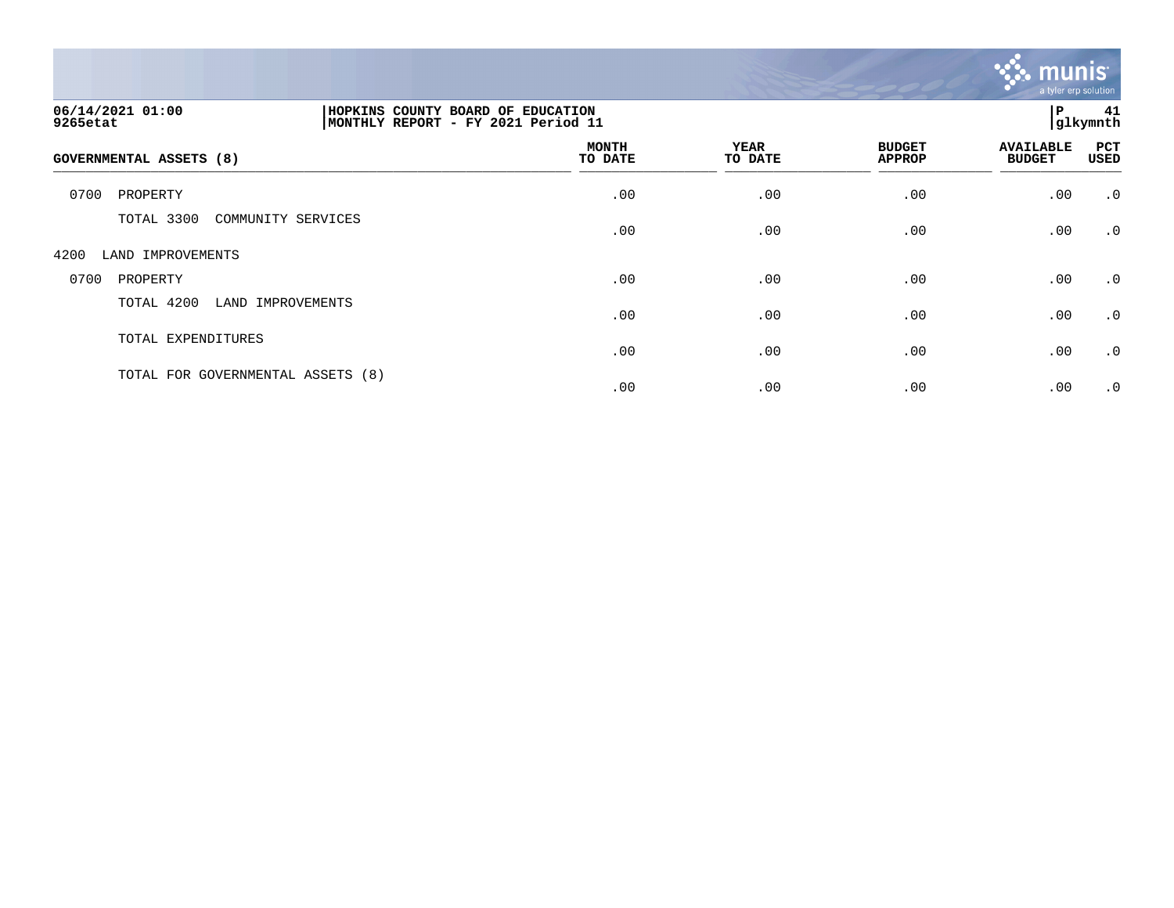

| 06/14/2021 01:00<br>9265etat      |                    | HOPKINS COUNTY BOARD OF EDUCATION<br>MONTHLY REPORT - FY 2021 Period 11 |                        |                                |                                   | ∣P<br>41<br> glkymnth |  |
|-----------------------------------|--------------------|-------------------------------------------------------------------------|------------------------|--------------------------------|-----------------------------------|-----------------------|--|
| <b>GOVERNMENTAL ASSETS (8)</b>    |                    | <b>MONTH</b><br>TO DATE                                                 | <b>YEAR</b><br>TO DATE | <b>BUDGET</b><br><b>APPROP</b> | <b>AVAILABLE</b><br><b>BUDGET</b> | PCT<br><b>USED</b>    |  |
| 0700<br>PROPERTY                  |                    | .00                                                                     | .00                    | .00                            | .00                               | $\cdot$ 0             |  |
| TOTAL 3300                        | COMMUNITY SERVICES | .00                                                                     | .00                    | .00                            | .00                               | $\cdot$ 0             |  |
| 4200<br>LAND IMPROVEMENTS         |                    |                                                                         |                        |                                |                                   |                       |  |
| 0700<br>PROPERTY                  |                    | .00                                                                     | .00                    | .00                            | .00                               | $\cdot$ 0             |  |
| TOTAL 4200<br>LAND IMPROVEMENTS   |                    | .00                                                                     | .00                    | .00                            | .00                               | $\cdot$ 0             |  |
| TOTAL EXPENDITURES                |                    | .00                                                                     | .00                    | .00                            | .00                               | $\cdot$ 0             |  |
| TOTAL FOR GOVERNMENTAL ASSETS (8) |                    | .00                                                                     | .00                    | .00                            | .00                               | $\cdot$ 0             |  |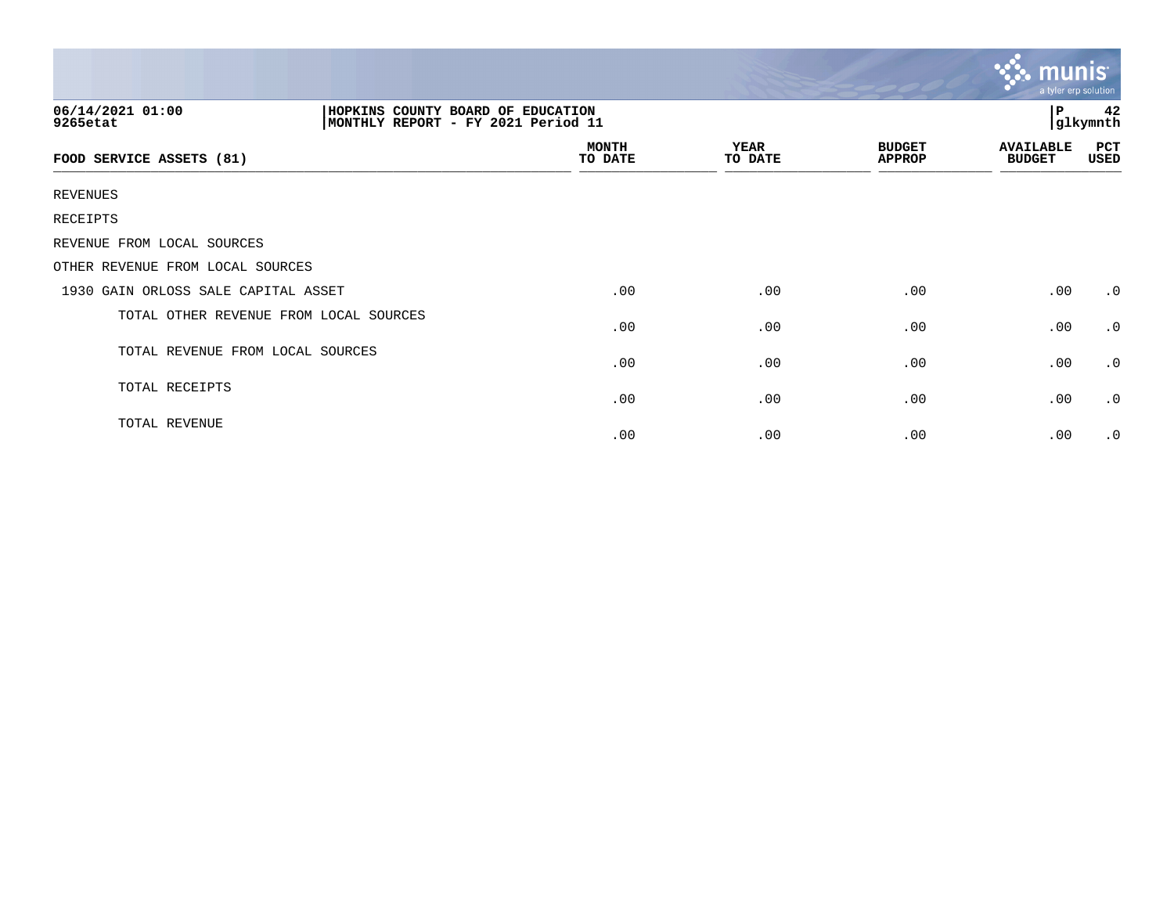|                                        |                                                                         |                         |                 |                                | munis<br>a tyler erp solution     |                     |  |
|----------------------------------------|-------------------------------------------------------------------------|-------------------------|-----------------|--------------------------------|-----------------------------------|---------------------|--|
| 06/14/2021 01:00<br>9265etat           | HOPKINS COUNTY BOARD OF EDUCATION<br>MONTHLY REPORT - FY 2021 Period 11 |                         |                 |                                |                                   | 42<br>P<br>glkymnth |  |
| FOOD SERVICE ASSETS (81)               |                                                                         | <b>MONTH</b><br>TO DATE | YEAR<br>TO DATE | <b>BUDGET</b><br><b>APPROP</b> | <b>AVAILABLE</b><br><b>BUDGET</b> | PCT<br>USED         |  |
| <b>REVENUES</b>                        |                                                                         |                         |                 |                                |                                   |                     |  |
| RECEIPTS                               |                                                                         |                         |                 |                                |                                   |                     |  |
| REVENUE FROM LOCAL SOURCES             |                                                                         |                         |                 |                                |                                   |                     |  |
| OTHER REVENUE FROM LOCAL SOURCES       |                                                                         |                         |                 |                                |                                   |                     |  |
| 1930 GAIN ORLOSS SALE CAPITAL ASSET    |                                                                         | .00                     | .00             | .00                            | .00                               | $\cdot$ 0           |  |
| TOTAL OTHER REVENUE FROM LOCAL SOURCES |                                                                         | .00                     | .00             | .00                            | .00                               | $\cdot$ 0           |  |
| TOTAL REVENUE FROM LOCAL SOURCES       |                                                                         | .00                     | .00             | .00                            | .00                               | $\cdot$ 0           |  |
| TOTAL RECEIPTS                         |                                                                         | .00                     | .00             | .00                            | .00                               | $\cdot$ 0           |  |
| TOTAL REVENUE                          |                                                                         | .00                     | .00             | .00                            | .00                               | $\cdot$ 0           |  |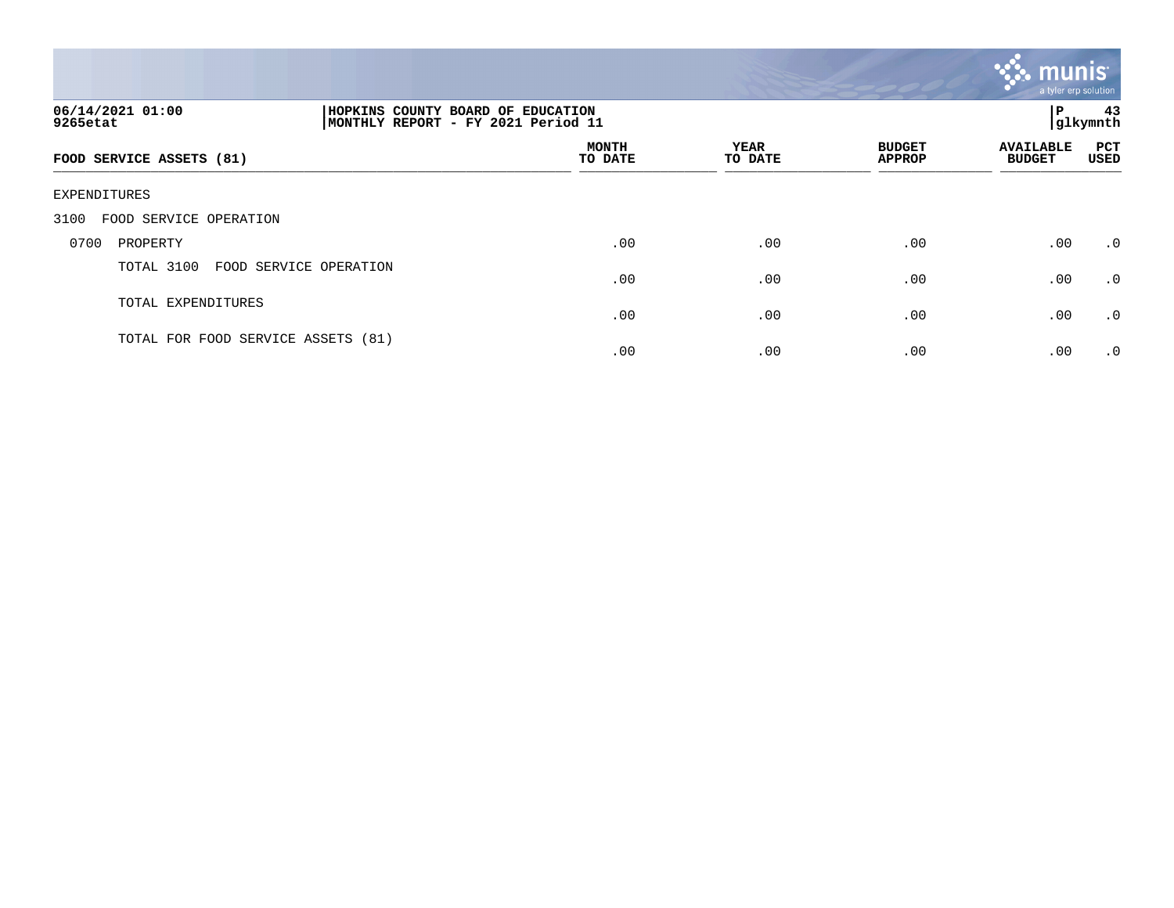

| 06/14/2021 01:00<br>9265etat       | HOPKINS COUNTY BOARD OF EDUCATION<br>ΙP<br>MONTHLY REPORT - FY 2021 Period 11<br> glkymnth |                         |                 |                                |                                   |             |
|------------------------------------|--------------------------------------------------------------------------------------------|-------------------------|-----------------|--------------------------------|-----------------------------------|-------------|
| FOOD SERVICE ASSETS (81)           |                                                                                            | <b>MONTH</b><br>TO DATE | YEAR<br>TO DATE | <b>BUDGET</b><br><b>APPROP</b> | <b>AVAILABLE</b><br><b>BUDGET</b> | PCT<br>USED |
| EXPENDITURES                       |                                                                                            |                         |                 |                                |                                   |             |
| 3100<br>FOOD SERVICE OPERATION     |                                                                                            |                         |                 |                                |                                   |             |
| 0700<br>PROPERTY                   |                                                                                            | .00                     | .00             | $.00 \,$                       | .00                               | $\cdot$ 0   |
| TOTAL 3100                         | FOOD SERVICE OPERATION                                                                     | .00                     | .00             | .00                            | .00                               | .0          |
| TOTAL EXPENDITURES                 |                                                                                            | .00                     | .00             | .00                            | .00                               | $\cdot$ 0   |
| TOTAL FOR FOOD SERVICE ASSETS (81) |                                                                                            | .00                     | .00             | .00                            | .00                               | $\cdot$ 0   |